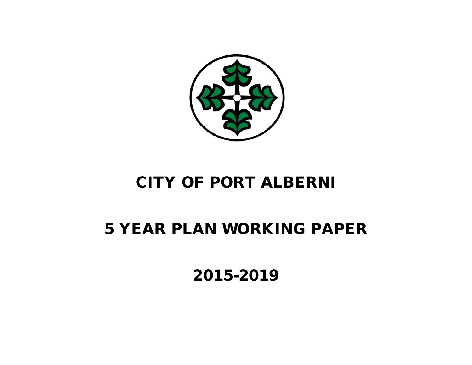

## CITY OF PORT ALBERNI

# 5 YEAR PLAN WORKING PAPER

2015-2019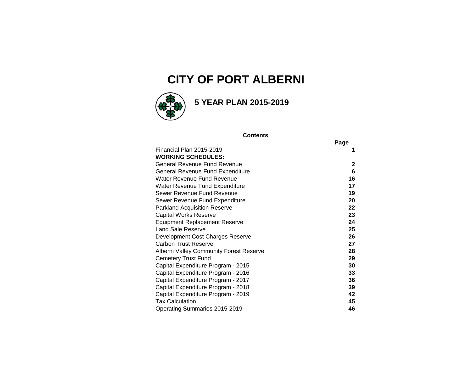## **CITY OF PORT ALBERNI**



### **5 YEAR PLAN 2015-2019**

#### **Contents**

|                                         | Page |
|-----------------------------------------|------|
| Financial Plan 2015-2019                | 1    |
| <b>WORKING SCHEDULES:</b>               |      |
| General Revenue Fund Revenue            | 2    |
| General Revenue Fund Expenditure        | 6    |
| Water Revenue Fund Revenue              | 16   |
| Water Revenue Fund Expenditure          | 17   |
| Sewer Revenue Fund Revenue              | 19   |
| Sewer Revenue Fund Expenditure          | 20   |
| <b>Parkland Acquisition Reserve</b>     | 22   |
| <b>Capital Works Reserve</b>            | 23   |
| Equipment Replacement Reserve           | 24   |
| <b>Land Sale Reserve</b>                | 25   |
| Development Cost Charges Reserve        | 26   |
| Carbon Trust Reserve                    | 27   |
| Alberni Valley Community Forest Reserve | 28   |
| <b>Cemetery Trust Fund</b>              | 29   |
| Capital Expenditure Program - 2015      | 30   |
| Capital Expenditure Program - 2016      | 33   |
| Capital Expenditure Program - 2017      | 36   |
| Capital Expenditure Program - 2018      | 39   |
| Capital Expenditure Program - 2019      | 42   |
| <b>Tax Calculation</b>                  | 45   |
| Operating Summaries 2015-2019           | 46   |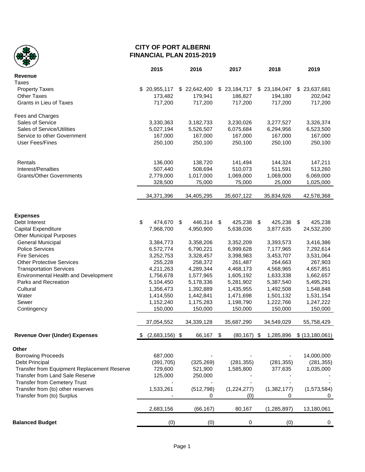

#### **CITY OF PORT ALBERNI FINANCIAL PLAN 2015-2019**

|                                                                        | 2015                   | 2016                   | 2017                   | 2018                   | 2019                   |
|------------------------------------------------------------------------|------------------------|------------------------|------------------------|------------------------|------------------------|
| <b>Revenue</b>                                                         |                        |                        |                        |                        |                        |
| Taxes                                                                  |                        |                        |                        |                        |                        |
| <b>Property Taxes</b>                                                  | \$20,955,117           | \$22,642,400           | \$23,184,717           | \$23,184,047           | \$23,637,681           |
| <b>Other Taxes</b>                                                     | 173,482                | 179,941                | 186,827                | 194,180                | 202,042                |
| <b>Grants in Lieu of Taxes</b>                                         | 717,200                | 717,200                | 717,200                | 717,200                | 717,200                |
| Fees and Charges                                                       |                        |                        |                        |                        |                        |
| Sales of Service                                                       | 3,330,363              | 3,182,733              | 3,230,026              | 3,277,527              | 3,326,374              |
| Sales of Service/Utilities                                             | 5,027,194              | 5,526,507              | 6,075,684              | 6,294,956              | 6,523,500              |
| Service to other Government                                            | 167,000                | 167,000                | 167,000                | 167,000                | 167,000                |
| <b>User Fees/Fines</b>                                                 | 250,100                | 250,100                | 250,100                | 250,100                | 250,100                |
|                                                                        |                        |                        |                        |                        |                        |
| Rentals                                                                | 136,000                | 138,720                | 141,494                | 144,324                | 147,211                |
| Interest/Penalties                                                     | 507,440                | 508,694                | 510,073                | 511,591                | 513,260                |
| <b>Grants/Other Governments</b>                                        | 2,779,000<br>328,500   | 1,017,000<br>75,000    | 1,069,000<br>75,000    | 1,069,000<br>25,000    | 6,069,000<br>1,025,000 |
|                                                                        |                        |                        |                        |                        |                        |
|                                                                        | 34,371,396             | 34,405,295             | 35,607,122             | 35,834,926             | 42,578,368             |
|                                                                        |                        |                        |                        |                        |                        |
| <b>Expenses</b>                                                        |                        |                        |                        |                        |                        |
| Debt Interest                                                          | \$<br>474,670 \$       | 446,314                | \$<br>425,238          | 425,238<br>\$          | -\$<br>425,238         |
| Capital Expenditure                                                    | 7,968,700              | 4,950,900              | 5,638,036              | 3,877,635              | 24,532,200             |
| <b>Other Municipal Purposes</b>                                        |                        |                        |                        |                        |                        |
| General Municipal                                                      | 3,384,773              | 3,358,206              | 3,352,209              | 3,393,573              | 3,416,386              |
| <b>Police Services</b>                                                 | 6,572,774              | 6,790,221              | 6,999,628              | 7,177,965              | 7,292,614              |
| <b>Fire Services</b><br><b>Other Protective Services</b>               | 3,252,753              | 3,328,457              | 3,398,983              | 3,453,707              | 3,531,064              |
|                                                                        | 255,228                | 258,372                | 261,487<br>4,468,173   | 264,663                | 267,903                |
| <b>Transportation Services</b><br>Environmental Health and Development | 4,211,263<br>1,756,678 | 4,289,344<br>1,577,965 | 1,605,192              | 4,568,965<br>1,633,338 | 4,657,851<br>1,662,657 |
| Parks and Recreation                                                   | 5,104,450              | 5,178,336              | 5,281,902              | 5,387,540              | 5,495,291              |
| Cultural                                                               | 1,356,473              | 1,392,889              | 1,435,955              | 1,492,508              | 1,548,848              |
| Water                                                                  | 1,414,550              | 1,442,841              | 1,471,698              | 1,501,132              | 1,531,154              |
| Sewer                                                                  | 1,152,240              | 1,175,283              | 1,198,790              | 1,222,766              | 1,247,222              |
| Contingency                                                            | 150,000                | 150,000                | 150,000                | 150,000                | 150,000                |
|                                                                        |                        |                        |                        |                        |                        |
|                                                                        | 37,054,552             | 34,339,128             | 35,687,290             | 34,549,029             | 55,758,429             |
| <b>Revenue Over (Under) Expenses</b>                                   | $(2,683,156)$ \$<br>\$ | 66,167                 | - \$<br>$(80, 167)$ \$ | 1,285,896              | \$(13, 180, 061)       |
| Other                                                                  |                        |                        |                        |                        |                        |
| <b>Borrowing Proceeds</b>                                              | 687,000                |                        |                        |                        | 14,000,000             |
| Debt Principal                                                         | (391, 705)             | (325, 269)             | (281, 355)             | (281, 355)             | (281, 355)             |
| Transfer from Equipment Replacement Reserve                            | 729,600                | 521,900                | 1,585,800              | 377,635                | 1,035,000              |
| Transfer from Land Sale Reserve                                        | 125,000                | 250,000                |                        |                        |                        |
| <b>Transfer from Cemetery Trust</b>                                    |                        |                        |                        |                        |                        |
| Transfer from (to) other reserves                                      | 1,533,261              | (512, 798)             | (1,224,277)            | (1,382,177)            | (1, 573, 584)          |
| Transfer from (to) Surplus                                             |                        | 0                      | (0)                    | 0                      | 0                      |
|                                                                        | 2,683,156              | (66, 167)              | 80,167                 | (1,285,897)            | 13,180,061             |
| <b>Balanced Budget</b>                                                 | (0)                    | (0)                    | 0                      | (0)                    | 0                      |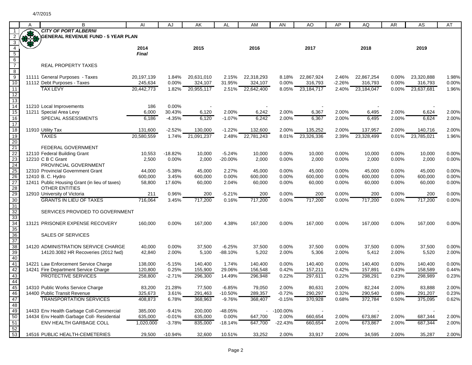|                       | A | B                                                                      | AI               | AJ             | AK                 | AL                    | AM                        | AN             | AO                                  | AP             | AQ              | <b>AR</b>      | AS              | AT             |
|-----------------------|---|------------------------------------------------------------------------|------------------|----------------|--------------------|-----------------------|---------------------------|----------------|-------------------------------------|----------------|-----------------|----------------|-----------------|----------------|
|                       |   | <b>CITY OF PORT ALBERNI</b>                                            |                  |                |                    |                       |                           |                |                                     |                |                 |                |                 |                |
|                       |   | <b>GENERAL REVENUE FUND - 5 YEAR PLAN</b>                              |                  |                |                    |                       |                           |                |                                     |                |                 |                |                 |                |
| 3                     |   |                                                                        |                  |                |                    |                       |                           |                |                                     |                |                 |                |                 |                |
| $\overline{4}$        |   |                                                                        | 2014             |                | 2015               |                       | 2016                      |                | 2017                                |                | 2018            |                | 2019            |                |
| $\frac{5}{6}$         |   |                                                                        | <b>Final</b>     |                |                    |                       |                           |                |                                     |                |                 |                |                 |                |
|                       |   | <b>REAL PROPERTY TAXES</b>                                             |                  |                |                    |                       |                           |                |                                     |                |                 |                |                 |                |
| $\overline{8}$        |   |                                                                        |                  |                |                    |                       |                           |                |                                     |                |                 |                |                 |                |
| $\overline{9}$        |   | 11111 General Purposes - Taxes                                         | 20,197,139       | 1.84%          | 20,631,010         | 2.15%                 | 22,318,293                | 8.18%          | 22,867,924                          | 2.46%          | 22,867,254      | $0.00\%$       | 23,320,888      | 1.98%          |
| 10                    |   | 11112 Debt Purposes - Taxes                                            | 245,634          | 0.00%          | 324.107            | 31.95%                | 324,107                   | $0.00\%$       | 316,793                             | -2.26%         | 316,793         | 0.00%          | 316,793         | $0.00\%$       |
| 11                    |   | <b>TAX LEVY</b>                                                        | 20,442,773       |                | 1.82% 20,955,117   | 2.51%                 | 22,642,400                | 8.05%          | 23,184,717                          | 2.40%          | 23,184,047      | $0.00\%$       | 23,637,681      | 1.96%          |
| $\overline{12}$       |   |                                                                        |                  |                |                    |                       |                           |                |                                     |                |                 |                |                 |                |
| $\overline{13}$       |   |                                                                        |                  |                |                    |                       |                           |                |                                     |                |                 |                |                 |                |
| $\overline{14}$       |   | 11210 Local Improvements                                               | 186              | 0.00%          |                    |                       |                           |                |                                     |                |                 |                |                 |                |
| $\overline{15}$       |   | 11211 Special Area Levy                                                | 6,000            | 30.43%         | 6,120              | 2.00%                 | 6,242                     | 2.00%          | 6,367                               | 2.00%          | 6,495           | 2.00%          | 6,624           | 2.00%          |
| 16<br>$\overline{17}$ |   | SPECIAL ASSESSMENTS                                                    | 6,186            | $-4.35%$       | 6,120              | $-1.07%$              | 6,242                     | 2.00%          | 6,367                               | 2.00%          | 6,495           | 2.00%          | 6,624           | 2.00%          |
| 18                    |   | 11910 Utility Tax                                                      | 131,600          | $-2.52%$       | 130,000            | $-1.22%$              | 132,600                   | 2.00%          | 135,252                             | 2.00%          | 137,957         | 2.00%          | 140,716         | 2.00%          |
| 19                    |   | <b>TAXES</b>                                                           | 20,580,559       | 1.74%          | 21,091,237         | 2.48%                 | 22,781,243                | 8.01%          | 23,326,336                          | 2.39%          | 23,328,499      | 0.01%          | 23,785,021      | 1.96%          |
| 20                    |   |                                                                        |                  |                |                    |                       |                           |                |                                     |                |                 |                |                 |                |
|                       |   | FEDERAL GOVERNMENT                                                     |                  |                |                    |                       |                           |                |                                     |                |                 |                |                 |                |
|                       |   | 12110 Federal Building Grant                                           | 10,553           | $-18.82%$      | 10,000             | $-5.24%$              | 10,000                    | 0.00%          | 10,000                              | 0.00%          | 10,000          | 0.00%          | 10,000          | 0.00%          |
| 21<br>22<br>23        |   | 12210 C B C Grant                                                      | 2,500            | 0.00%          | 2,000              | $-20.00%$             | 2,000                     | 0.00%          | 2,000                               | 0.00%          | 2,000           | 0.00%          | 2,000           | 0.00%          |
| 24                    |   | PROVINCIAL GOVERNMENT                                                  |                  |                |                    |                       |                           |                |                                     |                |                 |                |                 |                |
| 25<br>26              |   | 12310 Provincial Government Grant                                      | 44,000           | $-5.38%$       | 45,000             | 2.27%                 | 45,000                    | $0.00\%$       | 45,000                              | 0.00%          | 45,000          | 0.00%          | 45,000          | 0.00%          |
|                       |   | 12410 B. C. Hydro                                                      | 600,000          | 3.45%          | 600,000            | 0.00%                 | 600,000                   | 0.00%          | 600,000                             | 0.00%          | 600,000         | 0.00%          | 600,000         | 0.00%          |
| 27                    |   | 12411 Public Housing Grant (in lieu of taxes)<br><b>OTHER ENTITIES</b> | 58,800           | 17.60%         | 60,000             | 2.04%                 | 60,000                    | 0.00%          | 60,000                              | 0.00%          | 60,000          | 0.00%          | 60,000          | 0.00%          |
|                       |   | 12910 University of Victoria                                           | 211              | 0.96%          | 200                | $-5.21%$              | 200                       | 0.00%          | 200                                 | 0.00%          | 200             | 0.00%          | 200             | 0.00%          |
| 28<br>29<br>30        |   | <b>GRANTS IN LIEU OF TAXES</b>                                         | 716,064          | 3.45%          | 717,200            | 0.16%                 | 717,200                   | 0.00%          | 717,200                             | 0.00%          | 717,200         | 0.00%          | 717,200         | 0.00%          |
| 31                    |   |                                                                        |                  |                |                    |                       |                           |                |                                     |                |                 |                |                 |                |
| 32                    |   | SERVICES PROVIDED TO GOVERNMENT                                        |                  |                |                    |                       |                           |                |                                     |                |                 |                |                 |                |
|                       |   |                                                                        |                  |                |                    |                       |                           |                |                                     |                |                 |                |                 |                |
| 33<br>34              |   | 13121 PRISONER EXPENSE RECOVERY                                        | 160,000          | 0.00%          | 167,000            | 4.38%                 | 167,000                   | $0.00\%$       | 167,000                             | 0.00%          | 167,000         | 0.00%          | 167,000         | 0.00%          |
| 35                    |   |                                                                        |                  |                |                    |                       |                           |                |                                     |                |                 |                |                 |                |
| 36                    |   | SALES OF SERVICES                                                      |                  |                |                    |                       |                           |                |                                     |                |                 |                |                 |                |
| 37<br>38              |   |                                                                        |                  |                |                    |                       |                           |                |                                     |                |                 |                |                 |                |
| 39                    |   | 14120 ADMINISTRATION SERVICE CHARGE                                    | 40,000<br>42,840 | 0.00%<br>2.00% | 37,500<br>5,100    | $-6.25%$<br>$-88.10%$ | 37,500<br>5,202           | 0.00%<br>2.00% | 37,500<br>5,306                     | 0.00%<br>2.00% | 37,500<br>5,412 | 0.00%<br>2.00% | 37,500<br>5,520 | 0.00%<br>2.00% |
| 40                    |   | 14120.3082 HR Recoveries (2012 fwd)                                    |                  |                |                    |                       |                           |                |                                     |                |                 |                |                 |                |
|                       |   | 14221 Law Enforcement Service Charge                                   | 138,000          | $-5.15%$       | 140,400            | 1.74%                 | 140,400                   | $0.00\%$       | 140,400                             | 0.00%          | 140,400         | 0.00%          | 140,400         | 0.00%          |
|                       |   | 14241 Fire Department Service Charge                                   | 120,800          | 0.25%          | 155,900            | 29.06%                | 156,548                   | 0.42%          | 157,211                             | 0.42%          | 157,891         | 0.43%          | 158,589         | 0.44%          |
| 41<br>42<br>43        |   | <b>PROTECTIVE SERVICES</b>                                             | 258,800          | $-2.71%$       | 296,300            | 14.49%                | 296,948                   | 0.22%          | 297,611                             | 0.22%          | 298,291         | 0.23%          | 298,989         | 0.23%          |
| 44                    |   |                                                                        |                  |                |                    |                       |                           |                |                                     |                |                 |                |                 |                |
| 45                    |   | 14310 Public Works Service Charge                                      | 83,200           | 21.28%         | 77,500             | $-6.85%$              | 79,050                    | 2.00%          | 80,631                              | 2.00%          | 82,244          | 2.00%          | 83,888          | 2.00%          |
| 46                    |   | 14400 Public Transit Revenue                                           | 325,673          | 3.61%          | 291,463            | $-10.50%$             | 289,357                   | $-0.72%$       | 290,297                             | 0.32%          | 290,540         | 0.08%          | 291,207         | 0.23%          |
| 47                    |   | <b>TRANSPORTATION SERVICES</b>                                         | 408,873          | 6.78%          | 368,963            | $-9.76%$              | 368,407                   | $-0.15%$       | 370,928                             | 0.68%          | 372,784         | 0.50%          | 375,095         | 0.62%          |
| 48                    |   | 14433 Env Health Garbage Coll-Commercial                               | 385,000          | $-9.41%$       |                    | $-48.05%$             |                           | -100.00%       |                                     |                |                 |                |                 |                |
| 49<br>50              |   | 14434 Env Health Garbage Coll- Residential                             | 635,000          | $-0.01%$       | 200,000<br>635,000 | 0.00%                 | $\blacksquare$<br>647,700 | 2.00%          | $\overline{\phantom{a}}$<br>660,654 | 2.00%          | 673,867         | 2.00%          | 687,344         | 2.00%          |
| 51                    |   | ENV HEALTH GARBAGE COLL                                                | 1,020,000        | $-3.78%$       | 835,000            | $-18.14%$             | 647,700                   | $-22.43%$      | 660,654                             | 2.00%          | 673,867         | 2.00%          | 687,344         | 2.00%          |
| 52                    |   |                                                                        |                  |                |                    |                       |                           |                |                                     |                |                 |                |                 |                |
| 53                    |   | 14516 PUBLIC HEALTH-CEMETERIES                                         | 29,500           | $-10.94%$      | 32,600             | 10.51%                | 33,252                    | 2.00%          | 33,917                              | 2.00%          | 34,595          | 2.00%          | 35,287          | 2.00%          |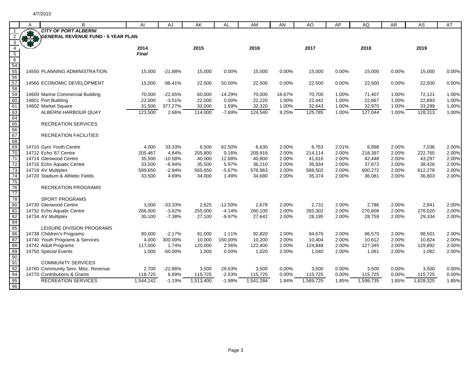|                                                                                       | A            | B                                   | AI        | AJ        | AK        | AL        | AM        | AN       | AO        | AP    | AQ        | AR.   | AS        | AT    |
|---------------------------------------------------------------------------------------|--------------|-------------------------------------|-----------|-----------|-----------|-----------|-----------|----------|-----------|-------|-----------|-------|-----------|-------|
|                                                                                       | $\mathbf{R}$ | <b>CITY OF PORT ALBERNI</b>         |           |           |           |           |           |          |           |       |           |       |           |       |
| 3                                                                                     |              | GENERAL REVENUE FUND - 5 YEAR PLAN  |           |           |           |           |           |          |           |       |           |       |           |       |
| $\overline{4}$                                                                        |              |                                     | 2014      |           | 2015      |           | 2016      |          | 2017      |       | 2018      |       | 2019      |       |
|                                                                                       |              |                                     | Final     |           |           |           |           |          |           |       |           |       |           |       |
|                                                                                       |              |                                     |           |           |           |           |           |          |           |       |           |       |           |       |
|                                                                                       |              |                                     |           |           |           |           |           |          |           |       |           |       |           |       |
|                                                                                       |              | 14550 PLANNING ADMINISTRATION       | 15,000    | $-21.88%$ | 15,000    | $0.00\%$  | 15,000    | $0.00\%$ | 15,000    | 0.00% | 15,000    | 0.00% | 15,000    | 0.00% |
|                                                                                       |              | 14560 ECONOMIC DEVELOPMENT          | 15,000    | $-96.41%$ | 22,500    | 50.00%    | 22,500    | 0.00%    | 22,500    | 0.00% | 22,500    | 0.00% | 22,500    | 0.00% |
|                                                                                       |              |                                     |           |           |           |           |           |          |           |       |           |       |           |       |
| 5<br>6<br>5<br>5<br>5<br>5<br>5<br>5<br>5<br>5<br>5<br>5<br>5<br>5<br>5<br>5<br>5<br> |              | 14600 Marine Commercial Building    | 70,000    | $-22.65%$ | 60,000    | $-14.29%$ | 70,000    | 16.67%   | 70,700    | 1.00% | 71,407    | 1.00% | 72,121    | 1.00% |
|                                                                                       |              | 14601 Port Building                 | 22,000    | $-3.51%$  | 22,000    | 0.00%     | 22,220    | 1.00%    | 22,442    | 1.00% | 22,667    | 1.00% | 22,893    | 1.00% |
| 61                                                                                    |              | 14602 Market Square                 | 31,500    | 377.27%   | 32,000    | 1.59%     | 32,320    | 1.00%    | 32,643    | 1.00% | 32,970    | 1.00% | 33,299    | 1.00% |
| 63<br>64                                                                              |              | ALBERNI HARBOUR QUAY                | 123,500   | 2.66%     | 114,000   | $-7.69%$  | 124,540   | 9.25%    | 125,785   | 1.00% | 127,044   | 1.00% | 128,313   | 1.00% |
|                                                                                       |              |                                     |           |           |           |           |           |          |           |       |           |       |           |       |
| 65                                                                                    |              | <b>RECREATION SERVICES</b>          |           |           |           |           |           |          |           |       |           |       |           |       |
| 66<br>67                                                                              |              | <b>RECREATION FACILITIES</b>        |           |           |           |           |           |          |           |       |           |       |           |       |
| 68                                                                                    |              |                                     |           |           |           |           |           |          |           |       |           |       |           |       |
| 69                                                                                    |              | 14710 Gyro Youth Centre             | 4,000     | 33.33%    | 6,500     | 62.50%    | 6,630     | 2.00%    | 6,763     | 2.01% | 6,898     | 2.00% | 7,036     | 2.00% |
| 70                                                                                    |              | 14712 Echo '67 Centre               | 205,467   | 4.84%     | 205,800   | 0.16%     | 209,916   | 2.00%    | 214,114   | 2.00% | 218,397   | 2.00% | 222,765   | 2.00% |
| $\overline{71}$                                                                       |              | 14714 Glenwood Centre               | 35,500    | $-10.58%$ | 40,000    | 12.68%    | 40,800    | 2.00%    | 41,616    | 2.00% | 42,448    | 2.00% | 43,297    | 2.00% |
| 72                                                                                    |              | 14716 Echo Aquatic Centre           | 33,500    | $-6.94%$  | 35,500    | 5.97%     | 36,210    | 2.00%    | 36,934    | 2.00% | 37,673    | 2.00% | 38,426    | 2.00% |
| $\overline{73}$                                                                       |              | 14718 AV Multiplex                  | 599,650   | $-2.94%$  | 565,650   | $-5.67%$  | 576,963   | 2.00%    | 588,502   | 2.00% | 600,272   | 2.00% | 612,278   | 2.00% |
| 74                                                                                    |              | 14720 Stadium & Athletic Fields     | 33,500    | 4.69%     | 34,000    | 1.49%     | 34,680    | 2.00%    | 35,374    | 2.00% | 36,081    | 2.00% | 36,803    | 2.00% |
| 75                                                                                    |              |                                     |           |           |           |           |           |          |           |       |           |       |           |       |
| 76<br>$\overline{77}$                                                                 |              | <b>RECREATION PROGRAMS</b>          |           |           |           |           |           |          |           |       |           |       |           |       |
| $\overline{78}$                                                                       |              | <b>SPORT PROGRAMS</b>               |           |           |           |           |           |          |           |       |           |       |           |       |
| $\overline{80}$                                                                       |              | 14730 Glenwood Centre               | 3,000     | $-33.33%$ | 2,625     | $-12.50%$ | 2,678     | 2.00%    | 2,731     | 2.00% | 2,786     | 2.00% | 2.841     | 2.00% |
|                                                                                       |              | 14732 Echo Aquatic Centre           | 266,000   | $-3.62%$  | 255,000   | $-4.14%$  | 260,100   | 2.00%    | 265,302   | 2.00% | 270,608   | 2.00% | 276,020   | 2.00% |
| 81<br>82                                                                              |              | 14734 AV Multiplex                  | 30,100    | $-7.38%$  | 27.100    | $-9.97%$  | 27,642    | 2.00%    | 28,195    | 2.00% | 28,759    | 2.00% | 29,334    | 2.00% |
| 84                                                                                    |              |                                     |           |           |           |           |           |          |           |       |           |       |           |       |
| 85                                                                                    |              | LEISURE DIVISION PROGRAMS           |           |           |           |           |           |          |           |       |           |       |           |       |
| 86                                                                                    |              | 14738 Children's Programs           | 90,000    | $-2.17%$  | 91,000    | 1.11%     | 92,820    | 2.00%    | 94,676    | 2.00% | 96,570    | 2.00% | 98,501    | 2.00% |
| 87                                                                                    |              | 14740 Youth Programs & Services     | 4,000     | 300.00%   | 10,000    | 150.00%   | 10,200    | 2.00%    | 10,404    | 2.00% | 10,612    | 2.00% | 10,824    | 2.00% |
| 88                                                                                    |              | 14742 Adult Programs                | 117,000   | 1.74%     | 120,000   | 2.56%     | 122,400   | 2.00%    | 124,848   | 2.00% | 127,345   | 2.00% | 129,892   | 2.00% |
| 89<br>90                                                                              |              | 14750 Special Events                | 1,000     | $-60.00%$ | 1,000     | 0.00%     | 1,020     | 2.00%    | 1,040     | 2.00% | 1,061     | 2.00% | 1,082     | 2.00% |
| 91                                                                                    |              | <b>COMMUNITY SERVICES</b>           |           |           |           |           |           |          |           |       |           |       |           |       |
|                                                                                       |              | 14760 Community Serv. Misc. Revenue | 2,700     | $-22.86%$ | 3,500     | 29.63%    | 3,500     | 0.00%    | 3,500     | 0.00% | 3,500     | 0.00% | 3,500     | 0.00% |
| 92<br>94                                                                              |              | 14770 Contributions & Grants        | 118,725   | 6.69%     | 115,725   | $-2.53%$  | 115,725   | 0.00%    | 115,725   | 0.00% | 115,725   | 0.00% | 115,725   | 0.00% |
| 95                                                                                    |              | <b>RECREATION SERVICES</b>          | 1,544,142 | $-1.19%$  | 1,513,400 | $-1.99%$  | 1,541,284 | 1.84%    | 1,569,725 | 1.85% | 1,598,735 | 1.85% | 1,628,325 | 1.85% |
| 96                                                                                    |              |                                     |           |           |           |           |           |          |           |       |           |       |           |       |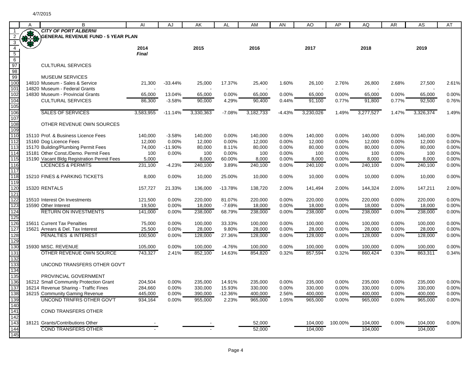|                        | A | В                                                                           | Al                 | AJ                | AK                 | AL                  | AM                 | AN                | AO                 | AP                | AQ                 | AR                | AS                 | AT                |
|------------------------|---|-----------------------------------------------------------------------------|--------------------|-------------------|--------------------|---------------------|--------------------|-------------------|--------------------|-------------------|--------------------|-------------------|--------------------|-------------------|
|                        |   | <b>CITY OF PORT ALBERNI</b>                                                 |                    |                   |                    |                     |                    |                   |                    |                   |                    |                   |                    |                   |
|                        | B | <b>GENERAL REVENUE FUND - 5 YEAR PLAN</b>                                   |                    |                   |                    |                     |                    |                   |                    |                   |                    |                   |                    |                   |
| $\overline{3}$         |   |                                                                             |                    |                   |                    |                     |                    |                   |                    |                   |                    |                   |                    |                   |
| $\overline{4}$         |   |                                                                             | 2014               |                   | 2015               |                     | 2016               |                   | 2017               |                   | 2018               |                   | 2019               |                   |
| $5\overline{)}$        |   |                                                                             | <b>Final</b>       |                   |                    |                     |                    |                   |                    |                   |                    |                   |                    |                   |
| $6\overline{6}$        |   |                                                                             |                    |                   |                    |                     |                    |                   |                    |                   |                    |                   |                    |                   |
| 97                     |   | <b>CULTURAL SERVICES</b>                                                    |                    |                   |                    |                     |                    |                   |                    |                   |                    |                   |                    |                   |
| 98                     |   |                                                                             |                    |                   |                    |                     |                    |                   |                    |                   |                    |                   |                    |                   |
| 99                     |   | <b>MUSEUM SERVICES</b>                                                      |                    |                   |                    |                     |                    |                   |                    |                   |                    |                   |                    |                   |
| 100                    |   | 14810 Museum - Sales & Service                                              | 21,300             | -33.44%           | 25,000             | 17.37%              | 25,400             | 1.60%             | 26,100             | 2.76%             | 26,800             | 2.68%             | 27,500             | 2.61%             |
| 101                    |   | 14820 Museum - Federal Grants                                               |                    |                   |                    |                     |                    |                   |                    |                   |                    |                   |                    |                   |
| 102                    |   | 14830 Museum - Provincial Grants                                            | 65,000             | 13.04%            | 65,000             | 0.00%               | 65,000             | $0.00\%$          | 65,000             | 0.00%             | 65,000             | 0.00%             | 65,000             | 0.00%             |
| 104                    |   | <b>CULTURAL SERVICES</b>                                                    | 86,300             | $-3.58%$          | 90,000             | 4.29%               | 90,400             | 0.44%             | 91,100             | 0.77%             | 91,800             | 0.77%             | 92,500             | 0.76%             |
| 105                    |   |                                                                             |                    |                   |                    |                     |                    |                   |                    |                   |                    |                   |                    |                   |
| 106                    |   | <b>SALES OF SERVICES</b>                                                    | 3,583,955          | $-11.14%$         | 3,330,363          | $-7.08%$            | 3,182,733          | $-4.43%$          | 3,230,026          | 1.49%             | 3,277,527          | 1.47%             | 3,326,374          | 1.49%             |
| 107                    |   |                                                                             |                    |                   |                    |                     |                    |                   |                    |                   |                    |                   |                    |                   |
| 108                    |   | OTHER REVENUE OWN SOURCES                                                   |                    |                   |                    |                     |                    |                   |                    |                   |                    |                   |                    |                   |
| 109                    |   |                                                                             |                    |                   |                    |                     |                    |                   |                    |                   |                    |                   |                    |                   |
| 110                    |   | 15110 Prof. & Business Licence Fees                                         | 140,000            | $-3.58%$          | 140,000            | 0.00%               | 140,000            | $0.00\%$          | 140,000            | 0.00%             | 140,000            | 0.00%             | 140,000            | 0.00%             |
| 112                    |   | 15160 Dog Licence Fees                                                      | 12,000             | 0.00%             | 12,000             | 0.00%               | 12,000             | $0.00\%$          | 12,000             | 0.00%             | 12,000             | $0.00\%$          | 12,000             | 0.00%             |
| $\overline{113}$       |   | 15170 Building/Plumbing Permit Fees<br>15181 Other Const./Demo, Permit Fees | 74,000             | $-11.90%$         | 80,000             | 8.11%               | 80,000             | $0.00\%$          | 80,000             | 0.00%             | 80,000             | $0.00\%$          | 80,000             | 0.00%             |
| 11 <sup>2</sup><br>115 |   |                                                                             | 100                | 0.00%             | 100                | 0.00%               | 100                | $0.00\%$          | 100                | 0.00%             | 100                | $0.00\%$          | 100                | 0.00%             |
| 116                    |   | 15190 Vacant Bldg Registration Permit Fees<br><b>LICENCES &amp; PERMITS</b> | 5,000<br>231,100   | $-4.23%$          | 8,000<br>240,100   | 60.00%<br>3.89%     | 8,000<br>240,100   | 0.00%<br>$0.00\%$ | 8,000<br>240,100   | 0.00%<br>$0.00\%$ | 8,000<br>240,100   | 0.00%<br>0.00%    | 8,000<br>240,100   | 0.00%<br>0.00%    |
| 117                    |   |                                                                             |                    |                   |                    |                     |                    |                   |                    |                   |                    |                   |                    |                   |
| 118                    |   | 15210 FINES & PARKING TICKETS                                               | 8,000              | 0.00%             | 10,000             | 25.00%              | 10,000             | 0.00%             | 10,000             | 0.00%             | 10,000             | 0.00%             | 10,000             | 0.00%             |
| 119                    |   |                                                                             |                    |                   |                    |                     |                    |                   |                    |                   |                    |                   |                    |                   |
| 120                    |   | 15320 RENTALS                                                               | 157,727            | 21.33%            | 136,000            | $-13.78%$           | 138,720            | 2.00%             | 141,494            | 2.00%             | 144,324            | 2.00%             | 147,211            | 2.00%             |
| 121                    |   |                                                                             |                    |                   |                    |                     |                    |                   |                    |                   |                    |                   |                    |                   |
| 122                    |   | 15510 Interest On Investments                                               | 121,500            | 0.00%             | 220,000            | 81.07%              | 220,000            | $0.00\%$          | 220,000            | 0.00%             | 220,000            | 0.00%             | 220,000            | 0.00%             |
| 123                    |   | 15590 Other Interest                                                        | 19,500             | 0.00%             | 18,000             | $-7.69%$            | 18,000             | 0.00%             | 18,000             | 0.00%             | 18,000             | 0.00%             | 18,000             | 0.00%             |
| 124                    |   | <b>RETURN ON INVESTMENTS</b>                                                | 141,000            | 0.00%             | 238,000            | 68.79%              | 238,000            | $0.00\%$          | 238,000            | 0.00%             | 238,000            | 0.00%             | 238,000            | 0.00%             |
| 125                    |   |                                                                             |                    |                   |                    |                     |                    |                   |                    |                   |                    |                   |                    |                   |
| 126                    |   | 15611 Current Tax Penalties                                                 | 75,000             | 0.00%             | 100,000            | 33.33%              | 100,000            | $0.00\%$          | 100,000            | 0.00%             | 100,000            | 0.00%             | 100,000            | 0.00%             |
| 127                    |   | 15621 Arrears & Del. Tax Interest                                           | 25,500             | 0.00%             | 28,000             | 9.80%               | 28,000             | $0.00\%$          | 28,000             | 0.00%             | 28,000             | 0.00%             | 28,000             | 0.00%             |
| 128                    |   | PENALTIES & INTEREST                                                        | 100,500            | 0.00%             | 128,000            | 27.36%              | 128,000            | $0.00\%$          | 128,000            | 0.00%             | 128,000            | 0.00%             | 128,000            | 0.00%             |
| 129                    |   |                                                                             |                    |                   |                    |                     |                    |                   |                    |                   |                    |                   |                    |                   |
| 130                    |   | 15930 MISC. REVENUE                                                         | 105,000            | 0.00%             | 100,000            | $-4.76%$            | 100,000            | $0.00\%$          | 100,000            | 0.00%             | 100,000            | $0.00\%$          | 100,000            | 0.00%             |
| 131                    |   | OTHER REVENUE OWN SOURCE                                                    | 743,327            | 2.41%             | 852,100            | 14.63%              | 854,820            | 0.32%             | 857,594            | 0.32%             | 860,424            | 0.33%             | 863,311            | 0.34%             |
| 132                    |   |                                                                             |                    |                   |                    |                     |                    |                   |                    |                   |                    |                   |                    |                   |
| 133                    |   | UNCOND TRANSFERS OTHER GOV'T                                                |                    |                   |                    |                     |                    |                   |                    |                   |                    |                   |                    |                   |
| 134                    |   |                                                                             |                    |                   |                    |                     |                    |                   |                    |                   |                    |                   |                    |                   |
| 135                    |   | PROVINCIAL GOVERNMENT                                                       |                    |                   |                    |                     |                    |                   |                    |                   |                    |                   |                    |                   |
| 136                    |   | 16212 Small Community Protection Grant                                      | 204,504            | 0.00%             | 235,000            | 14.91%              | 235,000            | $0.00\%$          | 235,000            | 0.00%             | 235,000            | 0.00%             | 235,000            | 0.00%             |
| 137<br>138             |   | 16214 Revenue Sharing - Traffic Fines<br>16215 Community Gaming Revenue     | 284,660<br>445,000 | $0.00\%$<br>0.00% | 330,000<br>390,000 | 15.93%<br>$-12.36%$ | 330,000<br>400,000 | $0.00\%$<br>2.56% | 330,000<br>400,000 | $0.00\%$<br>0.00% | 330,000<br>400,000 | $0.00\%$<br>0.00% | 330,000<br>400,000 | $0.00\%$<br>0.00% |
| 139                    |   | UNCOND TRNFRS OTHER GOV'T                                                   | 934,164            |                   | 955,000            | 2.23%               | 965,000            |                   |                    |                   |                    | 0.00%             |                    |                   |
| 140                    |   |                                                                             |                    | 0.00%             |                    |                     |                    | 1.05%             | 965,000            | 0.00%             | 965,000            |                   | 965,000            | 0.00%             |
| 141                    |   | <b>COND TRANSFERS OTHER</b>                                                 |                    |                   |                    |                     |                    |                   |                    |                   |                    |                   |                    |                   |
|                        |   |                                                                             |                    |                   |                    |                     |                    |                   |                    |                   |                    |                   |                    |                   |
| 142<br>143             |   | 18121 Grants/Contributions Other                                            |                    |                   |                    |                     | 52,000             |                   | 104,000            | 100.00%           | 104,000            | 0.00%             | 104,000            | 0.00%             |
| 144                    |   | <b>COND TRANSFERS OTHER</b>                                                 |                    |                   |                    |                     | 52,000             |                   | 104,000            |                   | 104,000            |                   | 104,000            |                   |
| 145                    |   |                                                                             |                    |                   |                    |                     |                    |                   |                    |                   |                    |                   |                    |                   |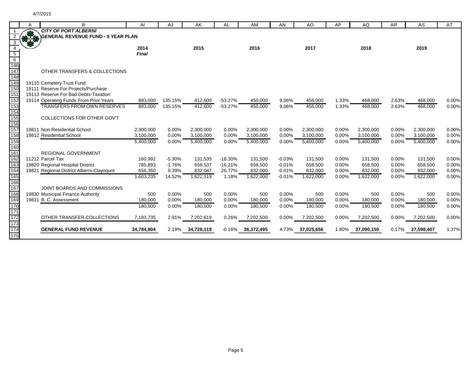|                 | A | B                                         | AI         | AJ       | AK         | AL        | AM         | AN       | AO         | AP    | AQ         | AR    | AS         | AT    |
|-----------------|---|-------------------------------------------|------------|----------|------------|-----------|------------|----------|------------|-------|------------|-------|------------|-------|
|                 | A | <b>CITY OF PORT ALBERNI</b>               |            |          |            |           |            |          |            |       |            |       |            |       |
|                 |   | <b>GENERAL REVENUE FUND - 5 YEAR PLAN</b> |            |          |            |           |            |          |            |       |            |       |            |       |
| 3               |   |                                           |            |          |            |           |            |          |            |       |            |       |            |       |
|                 |   |                                           | 2014       |          | 2015       |           | 2016       |          | 2017       |       | 2018       |       | 2019       |       |
| $\overline{5}$  |   |                                           | Final      |          |            |           |            |          |            |       |            |       |            |       |
| $6\overline{6}$ |   |                                           |            |          |            |           |            |          |            |       |            |       |            |       |
| 146             |   |                                           |            |          |            |           |            |          |            |       |            |       |            |       |
| 147             |   | OTHER TRANSFERS & COLLECTIONS             |            |          |            |           |            |          |            |       |            |       |            |       |
| 148             |   |                                           |            |          |            |           |            |          |            |       |            |       |            |       |
| 149             |   | 19110 Cemetery Trust Fund                 |            |          |            |           |            |          |            |       |            |       |            |       |
| 150             |   | 19111 Reserve For Projects/Purchase       |            |          |            |           |            |          |            |       |            |       |            |       |
| 151             |   | 19113 Reserve For Bad Debts-Taxation      |            |          |            |           |            |          |            |       |            |       |            |       |
| 152             |   | 19114 Operating Funds From Prior Years    | 883,000    | 135.15%  | 412,600    | $-53.27%$ | 450,000    | 9.06%    | 456,000    | 1.33% | 468,000    | 2.63% | 468,000    | 0.00% |
| 153             |   | <b>TRANSFERS FROM OWN RESERVES</b>        | 883,000    | 135.15%  | 412,600    | $-53.27%$ | 450,000    | 9.06%    | 456,000    | 1.33% | 468,000    | 2.63% | 468,000    | 0.00% |
| 154             |   |                                           |            |          |            |           |            |          |            |       |            |       |            |       |
| 155             |   | COLLECTIONS FOR OTHER GOV'T               |            |          |            |           |            |          |            |       |            |       |            |       |
| 156             |   |                                           |            |          |            |           |            |          |            |       |            |       |            |       |
| 157             |   | 19811 Non-Residential School              | 2,300,000  | 0.00%    | 2,300,000  | 0.00%     | 2,300,000  | 0.00%    | 2,300,000  | 0.00% | 2,300,000  | 0.00% | 2,300,000  | 0.00% |
| 158             |   | 19812 Residential School                  | 3,100,000  | 0.00%    | 3,100,000  | 0.00%     | 3,100,000  | $0.00\%$ | 3,100,000  | 0.00% | 3,100,000  | 0.00% | 3,100,000  | 0.00% |
| 159             |   |                                           | 5,400,000  | 0.00%    | 5,400,000  | 0.00%     | 5,400,000  | 0.00%    | 5,400,000  | 0.00% | 5,400,000  | 0.00% | 5,400,000  | 0.00% |
| 160             |   |                                           |            |          |            |           |            |          |            |       |            |       |            |       |
| 161             |   | REGIONAL GOVERNMENT                       |            |          |            |           |            |          |            |       |            |       |            |       |
| 162             |   | 11212 Parcel Tax                          | 160,992    | $-5.30%$ | 131,535    | $-18.30%$ | 131,500    | $-0.03%$ | 131,500    | 0.00% | 131,500    | 0.00% | 131,500    | 0.00% |
| 163             |   | 19820 Regional Hospital District          | 785,893    | $-1.76%$ | 658,537    | $-16.21%$ | 658,500    | $-0.01%$ | 658,500    | 0.00% | 658,500    | 0.00% | 658,500    | 0.00% |
| 164             |   | 19821 Regional District Alberni-Clayoquot | 656,350    | 9.39%    | 832,047    | 26.77%    | 832,000    | $-0.01%$ | 832,000    | 0.00% | 832.000    | 0.00% | 832,000    | 0.00% |
| 165             |   |                                           | 1,603,235  | 14.52%   | 1,622,119  | 1.18%     | 1,622,000  | $-0.01%$ | 1,622,000  | 0.00% | 1,622,000  | 0.00% | 1,622,000  | 0.00% |
| 166             |   |                                           |            |          |            |           |            |          |            |       |            |       |            |       |
| 167             |   | JOINT BOARDS AND COMMISSIONS              |            |          |            |           |            |          |            |       |            |       |            |       |
| 168             |   | 19830 Municipal Finance Authority         | 500        | 0.00%    | 500        | 0.00%     | 500        | 0.00%    | 500        | 0.00% | 500        | 0.00% | 500        | 0.00% |
| 169             |   | 19831 B. C. Assessment                    | 180,000    | 0.00%    | 180,000    | 0.00%     | 180,000    | 0.00%    | 180,000    | 0.00% | 180,000    | 0.00% | 180,000    | 0.00% |
| 170             |   |                                           | 180,500    | 0.00%    | 180,500    | 0.00%     | 180,500    | 0.00%    | 180,500    | 0.00% | 180,500    | 0.00% | 180,500    | 0.00% |
| 171             |   |                                           |            |          |            |           |            |          |            |       |            |       |            |       |
| 172             |   | OTHER TRANSFER, COLLECTIONS               | 7,183,735  | 2.91%    | 7,202,619  | 0.26%     | 7,202,500  | 0.00%    | 7,202,500  | 0.00% | 7,202,500  | 0.00% | 7,202,500  | 0.00% |
| 173             |   |                                           |            |          |            |           |            |          |            |       |            |       |            |       |
| 174             |   | <b>GENERAL FUND REVENUE</b>               | 34,784,804 | 2.19%    | 34,728,119 | $-0.16%$  | 36,372,495 | 4.73%    | 37,025,656 | 1.80% | 37,090,150 | 0.17% | 37,598,407 | 1.37% |
| 175             |   |                                           |            |          |            |           |            |          |            |       |            |       |            |       |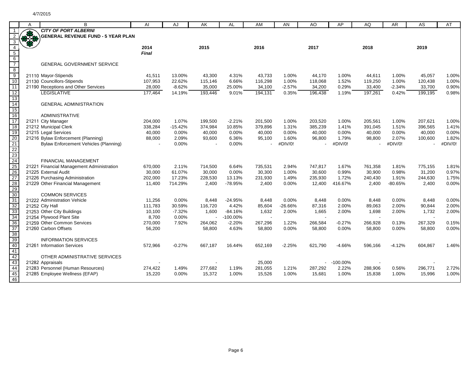|                                                       | A            | B                                            | AI           | AJ        | AK      | AL          | AM                       | AN        | AO                       | AP          | AQ      | <b>AR</b> | AS      | AT      |
|-------------------------------------------------------|--------------|----------------------------------------------|--------------|-----------|---------|-------------|--------------------------|-----------|--------------------------|-------------|---------|-----------|---------|---------|
|                                                       |              | <b>CITY OF PORT ALBERNI</b>                  |              |           |         |             |                          |           |                          |             |         |           |         |         |
|                                                       | <b>RATES</b> | <b>GENERAL REVENUE FUND - 5 YEAR PLAN</b>    |              |           |         |             |                          |           |                          |             |         |           |         |         |
| 3                                                     |              |                                              |              |           |         |             |                          |           |                          |             |         |           |         |         |
| $\overline{4}$                                        |              |                                              | 2014         |           | 2015    |             | 2016                     |           | 2017                     |             | 2018    |           | 2019    |         |
| $\overline{5}$                                        |              |                                              | <b>Final</b> |           |         |             |                          |           |                          |             |         |           |         |         |
| $\frac{6}{7}$                                         |              |                                              |              |           |         |             |                          |           |                          |             |         |           |         |         |
|                                                       |              | <b>GENERAL GOVERNMENT SERVICE</b>            |              |           |         |             |                          |           |                          |             |         |           |         |         |
| 8                                                     |              |                                              |              |           |         |             |                          |           |                          |             |         |           |         |         |
| $\frac{1}{9}$                                         |              | 21110 Mayor-Stipends                         | 41,511       | 13.00%    | 43,300  | 4.31%       | 43,733                   | 1.00%     | 44,170                   | 1.00%       | 44,611  | 1.00%     | 45,057  | 1.00%   |
| 10                                                    |              | 21130 Councillors-Stipends                   | 107,953      | 22.62%    | 115,146 | 6.66%       | 116,298                  | 1.00%     | 118,068                  | 1.52%       | 119,250 | 1.00%     | 120,438 | 1.00%   |
| $\overline{11}$                                       |              | 21190 Receptions and Other Services          | 28,000       | $-8.62%$  | 35,000  | 25.00%      | 34,100                   | $-2.57%$  | 34,200                   | 0.29%       | 33,400  | $-2.34%$  | 33,700  | 0.90%   |
| 12                                                    |              | <b>LEGISLATIVE</b>                           | 177,464      | 14.19%    | 193,446 | 9.01%       | 194,131                  | 0.35%     | 196,438                  | 1.19%       | 197,261 | 0.42%     | 199,195 | 0.98%   |
| 13<br>$\overline{14}$                                 |              | <b>GENERAL ADMINISTRATION</b>                |              |           |         |             |                          |           |                          |             |         |           |         |         |
| 15                                                    |              |                                              |              |           |         |             |                          |           |                          |             |         |           |         |         |
| $\overline{16}$                                       |              | <b>ADMINISTRATIVE</b>                        |              |           |         |             |                          |           |                          |             |         |           |         |         |
| $\overline{17}$                                       |              | 21211 City Manager                           | 204,000      | 1.07%     | 199,500 | $-2.21%$    | 201,500                  | 1.00%     | 203,520                  | 1.00%       | 205,561 | 1.00%     | 207,621 | 1.00%   |
| $\overline{18}$                                       |              | 21212 Municipal Clerk                        | 338,284      | $-15.42%$ | 374,984 | 10.85%      | 379,896                  | 1.31%     | 385,239                  | 1.41%       | 391,045 | 1.51%     | 396,565 | 1.41%   |
| 19                                                    |              | 21215 Legal Services                         | 40,000       | 0.00%     | 40,000  | 0.00%       | 40,000                   | 0.00%     | 40,000                   | 0.00%       | 40,000  | 0.00%     | 40,000  | 0.00%   |
| 20                                                    |              | 21216 Bylaw Enforcement (Planning)           | 88,000       | 2.09%     | 93,600  | 6.36%       | 95,100                   | 1.60%     | 96,800                   | 1.79%       | 98,800  | 2.07%     | 100,600 | 1.82%   |
|                                                       |              | <b>Bylaw Enforcement Vehicles (Planning)</b> |              | 0.00%     |         | 0.00%       |                          | #DIV/0!   |                          | #DIV/0!     |         | #DIV/0!   |         | #DIV/0! |
| 21<br>22<br>23                                        |              |                                              |              |           |         |             |                          |           |                          |             |         |           |         |         |
|                                                       |              |                                              |              |           |         |             |                          |           |                          |             |         |           |         |         |
|                                                       |              | <b>FINANCIAL MANAGEMENT</b>                  |              |           |         |             |                          |           |                          |             |         |           |         |         |
|                                                       |              | 21221 Financial Management Administration    | 670,000      | 2.11%     | 714,500 | 6.64%       | 735,531                  | 2.94%     | 747,817                  | 1.67%       | 761,358 | 1.81%     | 775,155 | 1.81%   |
|                                                       |              | 21225 External Audit                         | 30,000       | 61.07%    | 30,000  | 0.00%       | 30,300                   | 1.00%     | 30,600                   | 0.99%       | 30,900  | 0.98%     | 31,200  | 0.97%   |
| $\frac{24}{25}$<br>$\frac{25}{26}$<br>$\frac{27}{28}$ |              | 21226 Purchasing Administration              | 202,000      | 17.23%    | 228,530 | 13.13%      | 231,930                  | 1.49%     | 235,930                  | 1.72%       | 240,430 | 1.91%     | 244,630 | 1.75%   |
|                                                       |              | 21229 Other Financial Management             | 11,400       | 714.29%   | 2,400   | -78.95%     | 2,400                    | 0.00%     | 12,400                   | 416.67%     | 2,400   | $-80.65%$ | 2,400   | 0.00%   |
| 29<br>30                                              |              |                                              |              |           |         |             |                          |           |                          |             |         |           |         |         |
|                                                       |              | <b>COMMON SERVICES</b>                       |              |           |         |             |                          |           |                          |             |         |           |         |         |
| 31                                                    |              | 21222 Administration Vehicle                 | 11,256       | 0.00%     | 8,448   | $-24.95%$   | 8,448                    | 0.00%     | 8,448                    | 0.00%       | 8,448   | 0.00%     | 8,448   | 0.00%   |
| 32                                                    |              | 21252 City Hall                              | 111,783      | 30.59%    | 116,720 | 4.42%       | 85,604                   | $-26.66%$ | 87,316                   | 2.00%       | 89,063  | 2.00%     | 90,844  | 2.00%   |
| 33                                                    |              | 21253 Other City Buildings                   | 10,100       | $-7.32%$  | 1,600   | $-84.16%$   | 1,632                    | 2.00%     | 1,665                    | 2.00%       | 1,698   | 2.00%     | 1,732   | 2.00%   |
| 34                                                    |              | 21254 Plywood Plant Site                     | 8,700        | 0.00%     |         | $-100.00\%$ | $\overline{\phantom{a}}$ |           | $\overline{\phantom{a}}$ |             |         |           |         |         |
| 36                                                    |              | 21259 Other Common Services                  | 270,000      | 7.92%     | 264,062 | $-2.20%$    | 267,296                  | 1.22%     | 266,584                  | $-0.27%$    | 266,928 | 0.13%     | 267,329 | 0.15%   |
| 37<br>38                                              |              | 21260 Carbon Offsets                         | 56,200       |           | 58,800  | 4.63%       | 58,800                   | 0.00%     | 58,800                   | 0.00%       | 58,800  | 0.00%     | 58,800  | 0.00%   |
| 39                                                    |              | <b>INFORMATION SERVICES</b>                  |              |           |         |             |                          |           |                          |             |         |           |         |         |
| 40                                                    |              | 21261 Information Services                   | 572,966      | $-0.27%$  | 667,187 | 16.44%      | 652,169                  | $-2.25%$  | 621,790                  | $-4.66%$    | 596,166 | $-4.12%$  | 604,867 | 1.46%   |
| 41                                                    |              |                                              |              |           |         |             |                          |           |                          |             |         |           |         |         |
| 42                                                    |              | OTHER ADMINISTRATIVE SERVICES                |              |           |         |             |                          |           |                          |             |         |           |         |         |
| 43                                                    |              | 21282 Appraisals                             |              |           |         |             | 25,000                   |           |                          | $-100.00\%$ |         |           |         |         |
|                                                       |              | 21283 Personnel (Human Resources)            | 274,422      | 1.49%     | 277,682 | 1.19%       | 281,055                  | 1.21%     | 287,292                  | 2.22%       | 288,906 | 0.56%     | 296,771 | 2.72%   |
| 44<br>45                                              |              | 21285 Employee Wellness (EFAP)               | 15,220       | 0.00%     | 15,372  | 1.00%       | 15,526                   | 1.00%     | 15,681                   | 1.00%       | 15,838  | 1.00%     | 15,996  | 1.00%   |
| 46                                                    |              |                                              |              |           |         |             |                          |           |                          |             |         |           |         |         |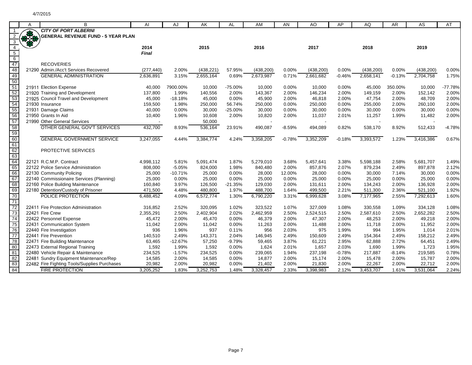|                 | Α      | В                                                                             | Al                 | AJ             | AK                 | AL                 | AM                | AN             | AO                 | AP             | AQ                 | <b>AR</b>      | AS                 | AT             |
|-----------------|--------|-------------------------------------------------------------------------------|--------------------|----------------|--------------------|--------------------|-------------------|----------------|--------------------|----------------|--------------------|----------------|--------------------|----------------|
|                 |        | <b>CITY OF PORT ALBERNI</b>                                                   |                    |                |                    |                    |                   |                |                    |                |                    |                |                    |                |
|                 |        | <b>GENERAL REVENUE FUND - 5 YEAR PLAN</b>                                     |                    |                |                    |                    |                   |                |                    |                |                    |                |                    |                |
|                 | 337.69 |                                                                               |                    |                |                    |                    |                   |                |                    |                |                    |                |                    |                |
| $\overline{4}$  |        |                                                                               | 2014               |                | 2015               |                    | 2016              |                | 2017               |                | 2018               |                | 2019               |                |
| $5\overline{)}$ |        |                                                                               | <b>Final</b>       |                |                    |                    |                   |                |                    |                |                    |                |                    |                |
| $6\overline{6}$ |        |                                                                               |                    |                |                    |                    |                   |                |                    |                |                    |                |                    |                |
| $\frac{47}{48}$ |        | <b>RECOVERIES</b>                                                             |                    |                |                    |                    |                   |                |                    |                |                    |                |                    |                |
|                 |        | 21290 Admin./Acc't Services Recovered                                         | (277, 440)         | 2.00%          | (438, 221)         | 57.95%             | (438, 200)        | 0.00%          | (438, 200)         | 0.00%          | (438, 200)         | 0.00%          | (438, 200)         | 0.00%          |
| 49              |        | <b>GENERAL ADMINISTRATION</b>                                                 | 2,636,891          | 3.15%          | 2,655,164          | 0.69%              | 2,673,987         | 0.71%          | 2,661,682          | $-0.46%$       | 2,658,141          | $-0.13%$       | 2,704,758          | 1.75%          |
| 50              |        |                                                                               |                    |                |                    |                    |                   |                |                    |                |                    |                |                    |                |
| 51              |        | 21911 Election Expense                                                        | 40,000             | 7900.00%       | 10,000             | -75.00%            | 10,000            | 0.00%          | 10,000             | 0.00%          | 45,000             | 350.00%        | 10,000             | -77.78%        |
| 52<br>53        |        | 21920 Training and Development                                                | 137,800            | 1.99%          | 140,556            | 2.00%              | 143,367           | 2.00%          | 146,234            | 2.00%          | 149,159            | 2.00%          | 152,142            | 2.00%          |
|                 |        | 21925 Council Travel and Development                                          | 45,000             | $-18.18%$      | 45,000             | 0.00%              | 45,900            | 2.00%          | 46,818             | 2.00%          | 47,754             | 2.00%          | 48,709             | 2.00%          |
| 54              |        | 21930 Insurance                                                               | 159,500            | 1.98%          | 250,000            | 56.74%             | 250,000           | 0.00%          | 250,000            | 0.00%          | 255,000            | 2.00%          | 260,100            | 2.00%          |
| 55<br>56        |        | 21931 Damage Claims                                                           | 40,000             | 0.00%          | 30,000             | $-25.00%$          | 30,000            | 0.00%          | 30,000             | 0.00%          | 30,000             | 0.00%          | 30,000             | 0.00%          |
|                 |        | 21950 Grants In Aid                                                           | 10,400             | 1.96%          | 10,608             | 2.00%              | 10,820            | 2.00%          | 11,037             | 2.01%          | 11,257             | 1.99%          | 11,482             | 2.00%          |
| 57              |        | 21990 Other General Services                                                  |                    |                | 50,000             |                    |                   |                |                    |                |                    |                |                    |                |
| 58              |        | OTHER GENERAL GOV'T SERVICES                                                  | 432,700            | 8.93%          | 536,164            | 23.91%             | 490,087           | $-8.59%$       | 494,089            | 0.82%          | 538,170            | 8.92%          | 512,433            | $-4.78%$       |
| 59              |        |                                                                               |                    |                |                    |                    |                   |                |                    |                |                    |                |                    |                |
|                 |        | <b>GENERAL GOVERNMENT SERVICE</b>                                             | 3,247,055          | 4.44%          | 3,384,774          | 4.24%              | 3,358,205         | $-0.78%$       | 3,352,209          | $-0.18%$       | 3,393,572          | 1.23%          | 3,416,386          | 0.67%          |
| $\frac{60}{61}$ |        |                                                                               |                    |                |                    |                    |                   |                |                    |                |                    |                |                    |                |
|                 |        | PROTECTIVE SERVICES                                                           |                    |                |                    |                    |                   |                |                    |                |                    |                |                    |                |
| 63<br>64<br>65  |        |                                                                               |                    |                |                    |                    |                   |                |                    |                |                    |                |                    |                |
|                 |        | 22121 R.C.M.P. Contract                                                       | 4,998,112          | 5.81%          | 5,091,474          | 1.87%              | 5,279,010         | 3.68%          | 5,457,641          | 3.38%          | 5,598,188          | 2.58%          | 5,681,707          | 1.49%          |
|                 |        | 22122 Police Service Administration                                           | 808,000            | $-5.05%$       | 824,000            | 1.98%              | 840,480           | 2.00%          | 857,876            | 2.07%          | 879,234            | 2.49%          | 897,878            | 2.12%          |
| 66<br>67        |        | 22130 Community Policing                                                      | 25,000             | $-10.71%$      | 25,000             | 0.00%              | 28,000            | 12.00%         | 28,000             | 0.00%          | 30,000             | 7.14%          | 30,000             | 0.00%          |
| 68              |        | 22140 Commissionaire Services (Planning)<br>22160 Police Building Maintenance | 25,000             | 0.00%<br>3.97% | 25,000             | 0.00%              | 25,000<br>129,030 | 0.00%<br>2.00% | 25,000             | 0.00%<br>2.00% | 25,000             | 0.00%<br>2.00% | 25,000             | 0.00%<br>2.00% |
| 69              |        | 22180 Detention/Custody of Prisoner                                           | 160,840<br>471,500 | 4.48%          | 126,500<br>480,800 | $-21.35%$<br>1.97% | 488,700           | 1.64%          | 131,611<br>499,500 | 2.21%          | 134,243<br>511,300 | 2.36%          | 136,928<br>521,100 | 1.92%          |
| 70              |        | POLICE PROTECTION                                                             | 6,488,452          | 4.09%          | 6,572,774          | 1.30%              | 6,790,220         | 3.31%          | 6,999,628          | 3.08%          | 7,177,965          | 2.55%          | 7,292,613          | 1.60%          |
| 71              |        |                                                                               |                    |                |                    |                    |                   |                |                    |                |                    |                |                    |                |
| $\overline{72}$ |        | 22411 Fire Protection Administration                                          | 316,852            | 2.52%          | 320.095            | 1.02%              | 323.522           | 1.07%          | 327,009            | 1.08%          | 330,558            | 1.09%          | 334,128            | 1.08%          |
| 73              |        | 22421 Fire Crew                                                               | 2,355,291          | 2.50%          | 2,402,904          | 2.02%              | 2,462,959         | 2.50%          | 2,524,515          | 2.50%          | 2,587,610          | 2.50%          | 2,652,282          | 2.50%          |
| 74              |        | 22422 Personnel Expense                                                       | 45,472             | 2.00%          | 45,470             | 0.00%              | 46,379            | 2.00%          | 47,307             | 2.00%          | 48,253             | 2.00%          | 49,218             | 2.00%          |
| 75              |        | 22431 Communication System                                                    | 11,042             | 2.00%          | 11,042             | 0.00%              | 11,263            | 2.00%          | 11,488             | 2.00%          | 11,718             | 2.00%          | 11,952             | 2.00%          |
| 76              |        | 22440 Fire Investigation                                                      | 936                | 1.96%          | 937                | 0.11%              | 956               | 2.03%          | 975                | 1.99%          | 994                | 1.95%          | 1,014              | 2.01%          |
| 77              |        | 22441 Fire Prevention                                                         | 140,510            | 2.49%          | 143,371            | 2.04%              | 146,945           | 2.49%          | 150,609            | 2.49%          | 154,364            | 2.49%          | 158,212            | 2.49%          |
| 78              |        | 22471 Fire Building Maintenance                                               | 63,465             | $-12.67%$      | 57,250             | $-9.79%$           | 59,465            | 3.87%          | 61,221             | 2.95%          | 62,888             | 2.72%          | 64,451             | 2.49%          |
| 80              |        | 22473 External Regional Training                                              | 1,592              | 1.99%          | 1,592              | 0.00%              | 1,624             | 2.01%          | 1,657              | 2.03%          | 1,690              | 1.99%          | 1,723              | 1.95%          |
| 81              |        | 22480 Vehicle Repair & Maintenance                                            | 234,525            | $-1.57%$       | 234,525            | 0.00%              | 239,065           | 1.94%          | 237,198            | $-0.78%$       | 217,887            | $-8.14%$       | 219,585            | 0.78%          |
| $\overline{82}$ |        | 22481 Sundry Equipment Maintenance/Rep                                        | 14,585             | 2.00%          | 14,585             | 0.00%              | 14,877            | 2.00%          | 15,174             | 2.00%          | 15,478             | 2.00%          | 15,787             | 2.00%          |
| 83              |        | 22482 Fire Fighting Tools/Supplies Purchases                                  | 20,982             | 2.00%          | 20,982             | 0.00%              | 21,402            | 2.00%          | 21,830             | 2.00%          | 22,267             | 2.00%          | 22,712             | 2.00%          |
| 84              |        | <b>FIRE PROTECTION</b>                                                        | 3,205,252          | 1.83%          | 3,252,753          | 1.48%              | 3,328,457         | 2.33%          | 3,398,983          | 2.12%          | 3,453,707          | 1.61%          | 3,531,064          | 2.24%          |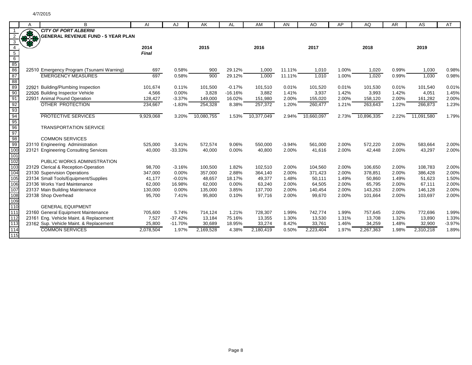|                                    | A | B                                         | AI        | AJ        | AK         | AL        | AM         | AN       | AO         | AP    | AQ         | AR    | AS         | AT       |
|------------------------------------|---|-------------------------------------------|-----------|-----------|------------|-----------|------------|----------|------------|-------|------------|-------|------------|----------|
|                                    |   | <b>CITY OF PORT ALBERNI</b>               |           |           |            |           |            |          |            |       |            |       |            |          |
|                                    | R | <b>GENERAL REVENUE FUND - 5 YEAR PLAN</b> |           |           |            |           |            |          |            |       |            |       |            |          |
| 3                                  |   |                                           |           |           |            |           |            |          |            |       |            |       |            |          |
|                                    |   |                                           | 2014      |           | 2015       |           | 2016       |          | 2017       |       | 2018       |       | 2019       |          |
| $\overline{5}$                     |   |                                           | Final     |           |            |           |            |          |            |       |            |       |            |          |
| $6\,$                              |   |                                           |           |           |            |           |            |          |            |       |            |       |            |          |
| $\frac{85}{86}$                    |   |                                           |           |           |            |           |            |          |            |       |            |       |            |          |
|                                    |   | 22510 Emergency Program (Tsunami Warning) | 697       | 0.58%     | 900        | 29.12%    | 1,000      | 11.11%   | 1,010      | 1.00% | 1,020      | 0.99% | 1,030      | 0.98%    |
| 87                                 |   | <b>EMERGENCY MEASURES</b>                 | 697       | 0.58%     | 900        | 29.12%    | 1,000      | 11.11%   | 1,010      | 1.00% | 1,020      | 0.99% | 1,030      | 0.98%    |
| 88                                 |   |                                           |           |           |            |           |            |          |            |       |            |       |            |          |
| 89                                 |   | 22921 Building/Plumbing Inspection        | 101,674   | 0.11%     | 101,500    | $-0.17%$  | 101,510    | 0.01%    | 101,520    | 0.01% | 101,530    | 0.01% | 101,540    | 0.01%    |
| 90                                 |   | 22926 Building Inspector Vehicle          | 4,566     | 0.00%     | 3,828      | $-16.16%$ | 3,882      | 1.41%    | 3,937      | 1.42% | 3,993      | 1.42% | 4,051      | 1.45%    |
| 91                                 |   | 22931 Animal Pound Operation              | 128,427   | $-3.37%$  | 149,000    | 16.02%    | 151,980    | 2.00%    | 155,020    | 2.00% | 158,120    | 2.00% | 161,282    | 2.00%    |
|                                    |   | OTHER PROTECTION                          | 234,667   | $-1.83%$  | 254,328    | 8.38%     | 257,372    | 1.20%    | 260,477    | 1.21% | 263,643    | 1.22% | 266,873    | 1.23%    |
| $\frac{92}{93}$<br>$\frac{93}{94}$ |   |                                           |           |           |            |           |            |          |            |       |            |       |            |          |
|                                    |   | <b>PROTECTIVE SERVICES</b>                | 9,929,068 | 3.20%     | 10,080,755 | 1.53%     | 10,377,049 | 2.94%    | 10,660,097 | 2.73% | 10,896,335 | 2.22% | 11,091,580 | 1.79%    |
| $\frac{95}{95}$<br>$\frac{96}{97}$ |   |                                           |           |           |            |           |            |          |            |       |            |       |            |          |
|                                    |   | <b>TRANSPORTATION SERVICE</b>             |           |           |            |           |            |          |            |       |            |       |            |          |
|                                    |   |                                           |           |           |            |           |            |          |            |       |            |       |            |          |
| 98<br>99                           |   | <b>COMMON SERVICES</b>                    |           |           |            |           |            |          |            |       |            |       |            |          |
|                                    |   | 23110 Engineering Administration          | 525,000   | 3.41%     | 572,574    | 9.06%     | 550,000    | $-3.94%$ | 561,000    | 2.00% | 572,220    | 2.00% | 583,664    | 2.00%    |
| 100<br>101                         |   | 23121 Engineering Consulting Services     | 40,000    | $-33.33%$ | 40,000     | 0.00%     | 40,800     | 2.00%    | 41,616     | 2.00% | 42,448     | 2.00% | 43,297     | 2.00%    |
| 102                                |   | PUBLIC WORKS ADMINISTRATION               |           |           |            |           |            |          |            |       |            |       |            |          |
| 103                                |   | 23129 Clerical & Reception-Operation      | 98,700    | $-3.16%$  | 100,500    | 1.82%     | 102,510    | 2.00%    | 104,560    | 2.00% | 106,650    | 2.00% | 108,783    | 2.00%    |
| 104                                |   | 23130 Supervision Operations              | 347,000   | 0.00%     | 357,000    | 2.88%     | 364,140    | 2.00%    | 371,423    | 2.00% | 378,851    | 2.00% | 386,428    | 2.00%    |
| 105                                |   | 23134 Small Tools/Equipment/Supplies      | 41,177    | $-0.01%$  | 48,657     | 18.17%    | 49,377     | 1.48%    | 50,111     | 1.49% | 50,860     | 1.49% | 51,623     | 1.50%    |
| 106                                |   | 23136 Works Yard Maintenance              | 62,000    | 16.98%    | 62,000     | 0.00%     | 63,240     | 2.00%    | 64,505     | 2.00% | 65,795     | 2.00% | 67,111     | 2.00%    |
| 107                                |   | 23137 Main Building Maintenance           | 130,000   | 0.00%     | 135,000    | 3.85%     | 137,700    | 2.00%    | 140,454    | 2.00% | 143,263    | 2.00% | 146,128    | 2.00%    |
| 108                                |   | 23138 Shop Overhead                       | 95,700    | 7.41%     | 95,800     | 0.10%     | 97,716     | 2.00%    | 99,670     | 2.00% | 101,664    | 2.00% | 103,697    | 2.00%    |
| 109                                |   |                                           |           |           |            |           |            |          |            |       |            |       |            |          |
| 110                                |   | <b>GENERAL EQUIPMENT</b>                  |           |           |            |           |            |          |            |       |            |       |            |          |
| 111                                |   | 23160 General Equipment Maintenance       | 705,600   | 5.74%     | 714,124    | 1.21%     | 728,307    | 1.99%    | 742,774    | 1.99% | 757,645    | 2.00% | 772,696    | 1.99%    |
| 112                                |   | 23161 Eng. Vehicle Maint. & Replacement   | 7,527     | $-37.42%$ | 13,184     | 75.16%    | 13,355     | 1.30%    | 13,530     | 1.31% | 13,708     | 1.32% | 13,890     | 1.33%    |
| 113                                |   | 23162 Sup. Vehicle Maint. & Replacement   | 25,800    | $-11.70%$ | 30,689     | 18.95%    | 33,274     | 8.42%    | 33,761     | 1.46% | 34,259     | 1.48% | 32,900     | $-3.97%$ |
| 114                                |   | <b>COMMON SERVICES</b>                    | 2,078,504 | 1.97%     | 2,169,528  | 4.38%     | 2,180,419  | 0.50%    | 2,223,404  | 1.97% | 2,267,363  | 1.98% | 2,310,218  | 1.89%    |
| 115                                |   |                                           |           |           |            |           |            |          |            |       |            |       |            |          |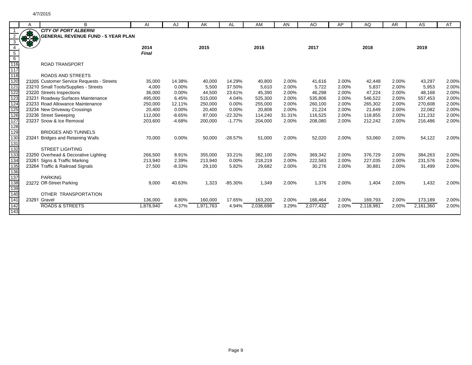|            |    | B                                         | AI           | AJ       | AK        | AL        | AM        | AN     | AO        | AP    | AQ        | <b>AR</b> | AS        | AT    |
|------------|----|-------------------------------------------|--------------|----------|-----------|-----------|-----------|--------|-----------|-------|-----------|-----------|-----------|-------|
|            |    | <b>CITY OF PORT ALBERNI</b>               |              |          |           |           |           |        |           |       |           |           |           |       |
|            | Fo | <b>GENERAL REVENUE FUND - 5 YEAR PLAN</b> |              |          |           |           |           |        |           |       |           |           |           |       |
|            |    |                                           |              |          |           |           |           |        |           |       |           |           |           |       |
|            |    |                                           | 2014         |          | 2015      |           | 2016      |        | 2017      |       | 2018      |           | 2019      |       |
| 5          |    |                                           | <b>Final</b> |          |           |           |           |        |           |       |           |           |           |       |
| 6          |    |                                           |              |          |           |           |           |        |           |       |           |           |           |       |
| 116        |    | <b>ROAD TRANSPORT</b>                     |              |          |           |           |           |        |           |       |           |           |           |       |
| 117        |    |                                           |              |          |           |           |           |        |           |       |           |           |           |       |
| 118        |    | <b>ROADS AND STREETS</b>                  |              |          |           |           |           |        |           |       |           |           |           |       |
| 120        |    | 23205 Customer Service Requests - Streets | 35,000       | 14.38%   | 40,000    | 14.29%    | 40,800    | 2.00%  | 41,616    | 2.00% | 42,448    | 2.00%     | 43,297    | 2.00% |
| 121        |    | 23210 Small Tools/Supplies - Streets      | 4,000        | 0.00%    | 5,500     | 37.50%    | 5,610     | 2.00%  | 5,722     | 2.00% | 5,837     | 2.00%     | 5,953     | 2.00% |
| 122        |    | 23220 Streets Inspections                 | 36,000       | 0.00%    | 44,500    | 23.61%    | 45,390    | 2.00%  | 46,298    | 2.00% | 47.224    | 2.00%     | 48,168    | 2.00% |
| 123        |    | 23231 Roadway Surfaces Maintenance        | 495,000      | 6.45%    | 515,000   | 4.04%     | 525,300   | 2.00%  | 535,806   | 2.00% | 546,522   | 2.00%     | 557,453   | 2.00% |
| 124        |    | 23233 Road Allowance Maintenance          | 250,000      | 12.11%   | 250,000   | 0.00%     | 255,000   | 2.00%  | 260,100   | 2.00% | 265,302   | 2.00%     | 270,608   | 2.00% |
| 125        |    | 23234 New Driveway Crossings              | 20,400       | 0.00%    | 20,400    | 0.00%     | 20,808    | 2.00%  | 21,224    | 2.00% | 21,649    | 2.00%     | 22,082    | 2.00% |
| 126        |    | 23236 Street Sweeping                     | 112,000      | $-8.65%$ | 87,000    | $-22.32%$ | 114,240   | 31.31% | 116,525   | 2.00% | 118,855   | 2.00%     | 121,232   | 2.00% |
| 127        |    | 23237 Snow & Ice Removal                  | 203,600      | $-4.68%$ | 200,000   | $-1.77%$  | 204,000   | 2.00%  | 208,080   | 2.00% | 212,242   | 2.00%     | 216,486   | 2.00% |
| 128<br>129 |    |                                           |              |          |           |           |           |        |           |       |           |           |           |       |
|            |    | <b>BRIDGES AND TUNNELS</b>                |              |          |           |           |           |        |           |       |           |           |           |       |
| 130        |    | 23241 Bridges and Retaining Walls         | 70,000       | 0.00%    | 50,000    | $-28.57%$ | 51,000    | 2.00%  | 52,020    | 2.00% | 53,060    | 2.00%     | 54,122    | 2.00% |
| 131        |    |                                           |              |          |           |           |           |        |           |       |           |           |           |       |
| 132        |    | <b>STREET LIGHTING</b>                    |              |          |           |           |           |        |           |       |           |           |           |       |
| 133        |    | 23250 Overhead & Decorative Lighting      | 266,500      | 8.91%    | 355,000   | 33.21%    | 362,100   | 2.00%  | 369,342   | 2.00% | 376,729   | 2.00%     | 384,263   | 2.00% |
| 134        |    | 23261 Signs & Traffic Marking             | 213,940      | 2.39%    | 213,940   | 0.00%     | 218,219   | 2.00%  | 222,583   | 2.00% | 227,035   | 2.00%     | 231,576   | 2.00% |
| 135        |    | 23264 Traffic & Railroad Signals          | 27,500       | $-8.33%$ | 29,100    | 5.82%     | 29,682    | 2.00%  | 30,276    | 2.00% | 30,881    | 2.00%     | 31,499    | 2.00% |
| 136        |    |                                           |              |          |           |           |           |        |           |       |           |           |           |       |
| 137        |    | <b>PARKING</b>                            |              |          |           |           |           |        |           |       |           |           |           |       |
| 138        |    | 23272 Off-Street Parking                  | 9,000        | 40.63%   | 1,323     | $-85.30%$ | 1,349     | 2.00%  | 1,376     | 2.00% | 1,404     | 2.00%     | 1,432     | 2.00% |
| 139<br>140 |    |                                           |              |          |           |           |           |        |           |       |           |           |           |       |
| 141        |    | OTHER TRANSPORTATION                      |              |          |           |           |           |        |           |       |           |           |           |       |
|            |    | 23291 Gravel                              | 136,000      | 8.80%    | 160,000   | 17.65%    | 163,200   | 2.00%  | 166,464   | 2.00% | 169,793   | 2.00%     | 173,189   | 2.00% |
| 142<br>143 |    | <b>ROADS &amp; STREETS</b>                | 1,878,940    | 4.37%    | 1,971,763 | 4.94%     | 2,036,698 | 3.29%  | 2,077,432 | 2.00% | 2,118,981 | 2.00%     | 2,161,360 | 2.00% |
|            |    |                                           |              |          |           |           |           |        |           |       |           |           |           |       |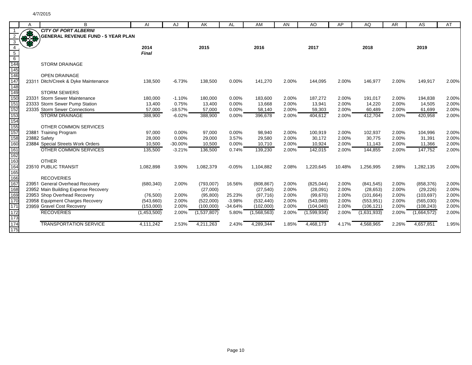|                   | A  | В                                                 | AI               | AJ             | AK               | AL             | AM               | <b>AN</b>      | AO.               | AP             | AQ                | <b>AR</b>      | AS                | AT             |
|-------------------|----|---------------------------------------------------|------------------|----------------|------------------|----------------|------------------|----------------|-------------------|----------------|-------------------|----------------|-------------------|----------------|
|                   |    | <b>CITY OF PORT ALBERNI</b>                       |                  |                |                  |                |                  |                |                   |                |                   |                |                   |                |
|                   | RE | <b>GENERAL REVENUE FUND - 5 YEAR PLAN</b>         |                  |                |                  |                |                  |                |                   |                |                   |                |                   |                |
|                   |    |                                                   |                  |                |                  |                |                  |                |                   |                |                   |                |                   |                |
|                   |    |                                                   | 2014             |                | 2015             |                | 2016             |                | 2017              |                | 2018              |                | 2019              |                |
| $\overline{5}$    |    |                                                   | <b>Final</b>     |                |                  |                |                  |                |                   |                |                   |                |                   |                |
| $6\overline{6}$   |    |                                                   |                  |                |                  |                |                  |                |                   |                |                   |                |                   |                |
|                   |    | <b>STORM DRAINAGE</b>                             |                  |                |                  |                |                  |                |                   |                |                   |                |                   |                |
| 144<br>145<br>146 |    |                                                   |                  |                |                  |                |                  |                |                   |                |                   |                |                   |                |
|                   |    | <b>OPEN DRAINAGE</b>                              |                  |                |                  |                |                  |                |                   |                |                   |                |                   |                |
| 147               |    | 23311 Ditch/Creek & Dyke Maintenance              | 138,500          | $-6.73%$       | 138,500          | 0.00%          | 141,270          | 2.00%          | 144,095           | 2.00%          | 146,977           | 2.00%          | 149,917           | 2.00%          |
| 148               |    |                                                   |                  |                |                  |                |                  |                |                   |                |                   |                |                   |                |
| 149               |    | <b>STORM SEWERS</b>                               |                  |                |                  |                |                  |                |                   |                |                   |                |                   |                |
| 150               |    | 23331 Storm Sewer Maintenance                     | 180,000          | $-1.10%$       | 180,000          | 0.00%          | 183,600          | 2.00%          | 187,272           | 2.00%          | 191,017           | 2.00%          | 194,838           | 2.00%          |
| 151               |    | 23333 Storm Sewer Pump Station                    | 13,400           | 0.75%          | 13,400           | 0.00%          | 13,668           | 2.00%          | 13,941            | 2.00%          | 14,220            | 2.00%          | 14,505            | 2.00%          |
| 152               |    | 23335 Storm Sewer Connections                     | 57,000           | $-18.57%$      | 57,000           | 0.00%          | 58,140           | 2.00%          | 59,303            | 2.00%          | 60,489            | 2.00%          | 61,699            | 2.00%          |
| 153               |    | <b>STORM DRAINAGE</b>                             | 388,900          | $-6.02%$       | 388,900          | 0.00%          | 396,678          | 2.00%          | 404,612           | 2.00%          | 412,704           | 2.00%          | 420,958           | 2.00%          |
| 154               |    |                                                   |                  |                |                  |                |                  |                |                   |                |                   |                |                   |                |
| 155<br>157        |    | OTHER COMMON SERVICES                             |                  |                |                  |                |                  |                |                   |                |                   |                |                   |                |
| 158               |    | 23881 Training Program                            | 97,000<br>28,000 | 0.00%<br>0.00% | 97,000<br>29,000 | 0.00%<br>3.57% | 98,940<br>29,580 | 2.00%<br>2.00% | 100,919<br>30,172 | 2.00%<br>2.00% | 102,937<br>30,775 | 2.00%<br>2.00% | 104,996<br>31,391 | 2.00%<br>2.00% |
| 160               |    | 23882 Safety<br>23884 Special Streets Work Orders | 10,500           | $-30.00%$      | 10,500           | 0.00%          | 10,710           | 2.00%          | 10,924            | 2.00%          | 11,143            | 2.00%          | 11,366            | 2.00%          |
| 161               |    | OTHER COMMON SERVICES                             | 135,500          | $-3.21%$       | 136,500          | 0.74%          | 139,230          | 2.00%          | 142,015           | 2.00%          | 144,855           | 2.00%          | 147,752           | 2.00%          |
| 162               |    |                                                   |                  |                |                  |                |                  |                |                   |                |                   |                |                   |                |
| 163               |    | <b>OTHER</b>                                      |                  |                |                  |                |                  |                |                   |                |                   |                |                   |                |
| 164               |    | 23510 PUBLIC TRANSIT                              | 1,082,898        | 3.90%          | 1,082,379        | $-0.05%$       | 1,104,882        | 2.08%          | 1,220,645         | 10.48%         | 1,256,995         | 2.98%          | 1,282,135         | 2.00%          |
| 165               |    |                                                   |                  |                |                  |                |                  |                |                   |                |                   |                |                   |                |
| 166               |    | <b>RECOVERIES</b>                                 |                  |                |                  |                |                  |                |                   |                |                   |                |                   |                |
| 167               |    | 23951 General Overhead Recovery                   | (680, 340)       | 2.00%          | (793,007)        | 16.56%         | (808, 867)       | 2.00%          | (825, 044)        | 2.00%          | (841, 545)        | 2.00%          | (858, 376)        | 2.00%          |
| 168               |    | 23952 Main Building Expense Recovery              |                  |                | (27,000)         |                | (27, 540)        | 2.00%          | (28,091)          | 2.00%          | (28, 653)         | 2.00%          | (29, 226)         | 2.00%          |
| 169               |    | 23953 Shop Overhead Recovery                      | (76, 500)        | 2.00%          | (95, 800)        | 25.23%         | (97, 716)        | 2.00%          | (99, 670)         | 2.00%          | (101, 664)        | 2.00%          | (103, 697)        | 2.00%          |
| 170               |    | 23958 Equipment Charges Recovery                  | (543,660)        | 2.00%          | (522,000)        | $-3.98%$       | (532, 440)       | 2.00%          | (543,089)         | 2.00%          | (553, 951)        | 2.00%          | (565,030)         | 2.00%          |
| 171               |    | 23959 Gravel Cost Recovery                        | (153,000)        | 2.00%          | (100,000)        | $-34.64%$      | (102,000)        | 2.00%          | (104, 040)        | 2.00%          | (106, 121)        | 2.00%          | (108, 243)        | 2.00%          |
| 172               |    | <b>RECOVERIES</b>                                 | (1,453,500)      | 2.00%          | (1,537,807)      | 5.80%          | (1,568,563)      | 2.00%          | (1,599,934)       | 2.00%          | (1,631,933)       | 2.00%          | (1,664,572)       | 2.00%          |
| 173               |    |                                                   |                  |                |                  |                |                  |                |                   |                |                   |                |                   |                |
| 174               |    | <b>TRANSPORTATION SERVICE</b>                     | 4,111,242        | 2.53%          | 4,211,263        | 2.43%          | 4,289,344        | 1.85%          | 4,468,173         | 4.17%          | 4,568,965         | 2.26%          | 4,657,851         | 1.95%          |
| 175               |    |                                                   |                  |                |                  |                |                  |                |                   |                |                   |                |                   |                |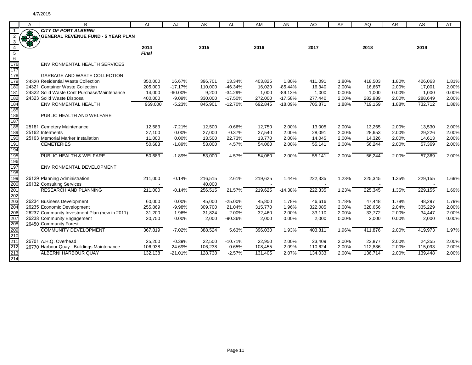|                 | A          | B                                             | AI           | AJ        | AK      | <b>AL</b> | AM      | AN             | AO      | AP    | AQ      | <b>AR</b>      | AS      | AT             |
|-----------------|------------|-----------------------------------------------|--------------|-----------|---------|-----------|---------|----------------|---------|-------|---------|----------------|---------|----------------|
|                 |            | <b>CITY OF PORT ALBERNI</b>                   |              |           |         |           |         |                |         |       |         |                |         |                |
| 2               | <b>RAS</b> | <b>GENERAL REVENUE FUND - 5 YEAR PLAN</b>     |              |           |         |           |         |                |         |       |         |                |         |                |
| 3               |            |                                               |              |           |         |           |         |                |         |       |         |                |         |                |
| $\overline{4}$  |            |                                               | 2014         |           | 2015    |           | 2016    |                | 2017    |       | 2018    |                | 2019    |                |
| $5\overline{)}$ |            |                                               | <b>Final</b> |           |         |           |         |                |         |       |         |                |         |                |
| $6\overline{6}$ |            |                                               |              |           |         |           |         |                |         |       |         |                |         |                |
| 176             |            | ENVIRONMENTAL HEALTH SERVICES                 |              |           |         |           |         |                |         |       |         |                |         |                |
| 177             |            |                                               |              |           |         |           |         |                |         |       |         |                |         |                |
| 178             |            | <b>GARBAGE AND WASTE COLLECTION</b>           |              |           |         |           |         |                |         |       |         |                |         |                |
| 179             |            | 24320 Residential Waste Collection            | 350,000      | 16.67%    | 396,701 | 13.34%    | 403,825 | 1.80%          | 411,091 | 1.80% | 418,503 | 1.80%          | 426,063 | 1.81%          |
| 180             |            | 24321 Container Waste Collection              | 205,000      | $-17.17%$ | 110,000 | $-46.34%$ | 16,020  | $-85.44%$      | 16,340  | 2.00% | 16,667  | 2.00%          | 17,001  | 2.00%          |
| 181             |            | 24322 Solid Waste Cont Purchase/Maintenance   | 14,000       | $-60.00%$ | 9,200   | $-34.29%$ | 1,000   | $-89.13%$      | 1,000   | 0.00% | 1,000   | 0.00%          | 1,000   | 0.00%          |
| 182             |            | 24323 Solid Waste Disposal                    | 400,000      | $-9.09%$  | 330,000 | $-17.50%$ | 272,000 | $-17.58%$      | 277,440 | 2.00% | 282,989 | 2.00%          | 288,649 | 2.00%          |
| 184             |            | ENVIRONMENTAL HEALTH                          | 969,000      | $-5.23%$  | 845,901 | $-12.70%$ | 692,845 | $-18.09%$      | 705,871 | 1.88% | 719,159 | 1.88%          | 732,712 | 1.88%          |
| 185             |            |                                               |              |           |         |           |         |                |         |       |         |                |         |                |
| 186             |            | PUBLIC HEALTH AND WELFARE                     |              |           |         |           |         |                |         |       |         |                |         |                |
| 187             |            |                                               |              |           |         |           |         |                |         |       |         |                |         |                |
| 188             |            | 25161 Cemetery Maintenance                    | 12,583       | $-7.21%$  | 12,500  | $-0.66%$  | 12,750  | 2.00%          | 13,005  | 2.00% | 13,265  | 2.00%          | 13,530  | 2.00%          |
| 189             |            | 25162 Interments                              | 27,100       | 0.00%     | 27,000  | $-0.37%$  | 27,540  | 2.00%          | 28,091  | 2.00% | 28,653  | 2.00%          | 29,226  | 2.00%          |
| 190             |            | 25163 Memorial Marker Installation            | 11,000       | 0.00%     | 13,500  | 22.73%    | 13,770  | 2.00%          | 14,045  | 2.00% | 14,326  | 2.00%          | 14,613  | 2.00%          |
| 191             |            | <b>CEMETERIES</b>                             | 50,683       | $-1.89%$  | 53,000  | 4.57%     | 54,060  | 2.00%          | 55,141  | 2.00% | 56,244  | 2.00%          | 57,369  | 2.00%          |
| 194             |            |                                               |              |           |         |           |         |                |         |       |         |                |         |                |
| 195             |            | PUBLIC HEALTH & WELFARE                       | 50,683       | $-1.89%$  | 53,000  | 4.57%     | 54,060  | 2.00%          | 55,141  | 2.00% | 56,244  | 2.00%          | 57,369  | 2.00%          |
| 196             |            |                                               |              |           |         |           |         |                |         |       |         |                |         |                |
| 197             |            | ENVIRONMENTAL DEVELOPMENT                     |              |           |         |           |         |                |         |       |         |                |         |                |
| 198             |            |                                               |              |           |         |           |         |                |         |       |         |                |         |                |
| 199             |            | 26129 Planning Administration                 | 211,000      | $-0.14%$  | 216,515 | 2.61%     | 219,625 | 1.44%          | 222,335 | 1.23% | 225,345 | 1.35%          | 229,155 | 1.69%          |
| 200             |            | 26132 Consulting Services                     |              |           | 40,000  |           |         |                |         |       |         |                |         |                |
| 201             |            | <b>RESEARCH AND PLANNING</b>                  | 211,000      | $-0.14%$  | 256,515 | 21.57%    | 219,625 | $-14.38%$      | 222,335 | 1.23% | 225,345 | 1.35%          | 229,155 | 1.69%          |
| 202<br>203      |            |                                               |              |           |         |           |         |                |         |       |         |                |         |                |
|                 |            | 26234 Business Development                    | 60,000       | 0.00%     | 45,000  | $-25.00%$ | 45,800  | 1.78%          | 46,616  | 1.78% | 47,448  | 1.78%          | 48,297  | 1.79%          |
| 204<br>206      |            | 26235 Economic Development                    | 255,869      | $-9.98%$  | 309,700 | 21.04%    | 315,770 | 1.96%          | 322,085 | 2.00% | 328,656 | 2.04%          | 335,229 | 2.00%          |
|                 |            | 26237 Community Investment Plan (new in 2011) | 31,200       | 1.96%     | 31,824  | 2.00%     | 32,460  | 2.00%          | 33,110  | 2.00% | 33,772  | 2.00%          | 34,447  | 2.00%          |
| 207<br>208      |            | 26238 Community Engagement                    | 20,750       | 0.00%     | 2,000   | $-90.36%$ | 2,000   | 0.00%          | 2,000   | 0.00% | 2,000   | 0.00%          | 2,000   | 0.00%          |
|                 |            | 26450 Community Forest                        |              |           |         |           |         |                |         |       |         |                |         |                |
| 209             |            | <b>COMMUNITY DEVELOPMENT</b>                  | 367,819      | $-7.02%$  | 388,524 | 5.63%     | 396,030 | 1.93%          | 403,811 | 1.96% | 411,876 | 2.00%          | 419,973 | 1.97%          |
| 210             |            |                                               |              |           |         |           |         |                |         |       |         |                |         |                |
| 211<br>212      |            | 26701 A.H.Q. Overhead                         | 25,200       | $-0.39%$  | 22,500  | $-10.71%$ | 22,950  | 2.00%<br>2.09% | 23,409  | 2.00% | 23,877  | 2.00%<br>2.00% | 24,355  | 2.00%<br>2.00% |
|                 |            | 26770 Harbour Quay - Buildings Maintenance    | 106,938      | $-24.69%$ | 106,238 | $-0.65%$  | 108,455 |                | 110,624 | 2.00% | 112,836 |                | 115,093 |                |
| 213<br>214      |            | <b>ALBERNI HARBOUR QUAY</b>                   | 132,138      | $-21.01%$ | 128.738 | $-2.57%$  | 131,405 | 2.07%          | 134,033 | 2.00% | 136.714 | 2.00%          | 139,448 | 2.00%          |
|                 |            |                                               |              |           |         |           |         |                |         |       |         |                |         |                |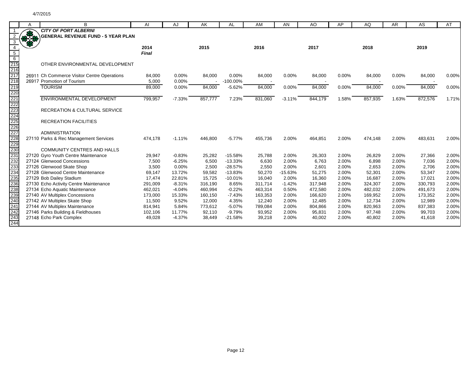| <b>CITY OF PORT ALBERNI</b><br><b>RASH</b><br><b>GENERAL REVENUE FUND - 5 YEAR PLAN</b><br>3<br>2015<br>2017<br>2018<br>2019<br>$\overline{4}$<br>2014<br>2016<br>$\overline{5}$<br>Final<br>$\frac{1}{6}$<br>215<br>216<br>217<br>218<br>OTHER ENVIRONMENTAL DEVELOPMENT<br>0.00%<br>26911 Ch Commerce Visitor Centre Operations<br>84,000<br>0.00%<br>84,000<br>0.00%<br>84,000<br>0.00%<br>84,000<br>84,000<br>0.00%<br>84,000<br>26917 Promotion of Tourism<br>0.00%<br>$-100.00\%$<br>5,000<br>$\overline{\phantom{a}}$<br><b>TOURISM</b><br>89,000<br>0.00%<br>84,000<br>$-5.62%$<br>84,000<br>0.00%<br>84,000<br>0.00%<br>84,000<br>0.00%<br>84,000<br><b>ENVIRONMENTAL DEVELOPMENT</b><br>799,957<br>831,060<br>872,576<br>$-7.33%$<br>857,777<br>7.23%<br>844,179<br>1.58%<br>857,935<br>1.63%<br>$-3.11%$<br>RECREATION & CULTURAL SERVICE<br><b>RECREATION FACILITIES</b><br><b>ADMINISTRATION</b><br>27110 Parks & Rec Management Services<br>474,178<br>$-1.11%$<br>446,800<br>$-5.77%$<br>455,736<br>2.00%<br>464,851<br>2.00%<br>474,148<br>2.00%<br>483,631<br><b>COMMUNITY CENTRES AND HALLS</b><br>27120 Gyro Youth Centre Maintenance<br>$-0.83%$<br>25,788<br>2.00%<br>2.00%<br>27,366<br>29,947<br>25,282<br>$-15.58%$<br>26,303<br>26,829<br>2.00%<br>27124 Glenwood Concessions<br>6,500<br>$-13.33%$<br>6,630<br>2.00%<br>6,763<br>2.00%<br>7,036<br>7,500<br>$-6.25%$<br>6,898<br>2.00%<br>27126 Glenwood Skate Shop<br>2,500<br>$-28.57%$<br>2.00%<br>2.00%<br>3,500<br>0.00%<br>2,550<br>2,601<br>2,653<br>2.00%<br>2,706<br>27128 Glenwood Centre Maintenance<br>13.72%<br>50,270<br>2.00%<br>69,147<br>59,582<br>$-13.83%$<br>$-15.63%$<br>51,275<br>52,301<br>2.00%<br>53,347<br>27129 Bob Dailey Stadium<br>17,474<br>22.81%<br>15,725<br>$-10.01%$<br>16,040<br>2.00%<br>16,360<br>2.00%<br>16,687<br>2.00%<br>17,021<br>27130 Echo Activity Centre Maintenance<br>$-8.31%$<br>8.65%<br>311,714<br>$-1.42%$<br>317,948<br>2.00%<br>324,307<br>2.00%<br>330,793<br>291,009<br>316,190<br>27134 Echo Aquatic Maintenance<br>462,021<br>$-4.04%$<br>$-0.22%$<br>463,314<br>472,580<br>2.00%<br>482,032<br>491,673<br>460,994<br>0.50%<br>2.00% | Α | B | AI | AJ | AK | AL | AM | AN | AO | AP | AQ | <b>AR</b> | AS | AT             |
|-----------------------------------------------------------------------------------------------------------------------------------------------------------------------------------------------------------------------------------------------------------------------------------------------------------------------------------------------------------------------------------------------------------------------------------------------------------------------------------------------------------------------------------------------------------------------------------------------------------------------------------------------------------------------------------------------------------------------------------------------------------------------------------------------------------------------------------------------------------------------------------------------------------------------------------------------------------------------------------------------------------------------------------------------------------------------------------------------------------------------------------------------------------------------------------------------------------------------------------------------------------------------------------------------------------------------------------------------------------------------------------------------------------------------------------------------------------------------------------------------------------------------------------------------------------------------------------------------------------------------------------------------------------------------------------------------------------------------------------------------------------------------------------------------------------------------------------------------------------------------------------------------------------------------------------------------------------------------------------------------------------------------------------------------------------------------------------------------------------------------------------------------------------------------------|---|---|----|----|----|----|----|----|----|----|----|-----------|----|----------------|
|                                                                                                                                                                                                                                                                                                                                                                                                                                                                                                                                                                                                                                                                                                                                                                                                                                                                                                                                                                                                                                                                                                                                                                                                                                                                                                                                                                                                                                                                                                                                                                                                                                                                                                                                                                                                                                                                                                                                                                                                                                                                                                                                                                             |   |   |    |    |    |    |    |    |    |    |    |           |    |                |
|                                                                                                                                                                                                                                                                                                                                                                                                                                                                                                                                                                                                                                                                                                                                                                                                                                                                                                                                                                                                                                                                                                                                                                                                                                                                                                                                                                                                                                                                                                                                                                                                                                                                                                                                                                                                                                                                                                                                                                                                                                                                                                                                                                             |   |   |    |    |    |    |    |    |    |    |    |           |    |                |
|                                                                                                                                                                                                                                                                                                                                                                                                                                                                                                                                                                                                                                                                                                                                                                                                                                                                                                                                                                                                                                                                                                                                                                                                                                                                                                                                                                                                                                                                                                                                                                                                                                                                                                                                                                                                                                                                                                                                                                                                                                                                                                                                                                             |   |   |    |    |    |    |    |    |    |    |    |           |    |                |
|                                                                                                                                                                                                                                                                                                                                                                                                                                                                                                                                                                                                                                                                                                                                                                                                                                                                                                                                                                                                                                                                                                                                                                                                                                                                                                                                                                                                                                                                                                                                                                                                                                                                                                                                                                                                                                                                                                                                                                                                                                                                                                                                                                             |   |   |    |    |    |    |    |    |    |    |    |           |    |                |
|                                                                                                                                                                                                                                                                                                                                                                                                                                                                                                                                                                                                                                                                                                                                                                                                                                                                                                                                                                                                                                                                                                                                                                                                                                                                                                                                                                                                                                                                                                                                                                                                                                                                                                                                                                                                                                                                                                                                                                                                                                                                                                                                                                             |   |   |    |    |    |    |    |    |    |    |    |           |    |                |
|                                                                                                                                                                                                                                                                                                                                                                                                                                                                                                                                                                                                                                                                                                                                                                                                                                                                                                                                                                                                                                                                                                                                                                                                                                                                                                                                                                                                                                                                                                                                                                                                                                                                                                                                                                                                                                                                                                                                                                                                                                                                                                                                                                             |   |   |    |    |    |    |    |    |    |    |    |           |    |                |
|                                                                                                                                                                                                                                                                                                                                                                                                                                                                                                                                                                                                                                                                                                                                                                                                                                                                                                                                                                                                                                                                                                                                                                                                                                                                                                                                                                                                                                                                                                                                                                                                                                                                                                                                                                                                                                                                                                                                                                                                                                                                                                                                                                             |   |   |    |    |    |    |    |    |    |    |    |           |    |                |
|                                                                                                                                                                                                                                                                                                                                                                                                                                                                                                                                                                                                                                                                                                                                                                                                                                                                                                                                                                                                                                                                                                                                                                                                                                                                                                                                                                                                                                                                                                                                                                                                                                                                                                                                                                                                                                                                                                                                                                                                                                                                                                                                                                             |   |   |    |    |    |    |    |    |    |    |    |           |    |                |
|                                                                                                                                                                                                                                                                                                                                                                                                                                                                                                                                                                                                                                                                                                                                                                                                                                                                                                                                                                                                                                                                                                                                                                                                                                                                                                                                                                                                                                                                                                                                                                                                                                                                                                                                                                                                                                                                                                                                                                                                                                                                                                                                                                             |   |   |    |    |    |    |    |    |    |    |    |           |    | 0.00%          |
|                                                                                                                                                                                                                                                                                                                                                                                                                                                                                                                                                                                                                                                                                                                                                                                                                                                                                                                                                                                                                                                                                                                                                                                                                                                                                                                                                                                                                                                                                                                                                                                                                                                                                                                                                                                                                                                                                                                                                                                                                                                                                                                                                                             |   |   |    |    |    |    |    |    |    |    |    |           |    |                |
|                                                                                                                                                                                                                                                                                                                                                                                                                                                                                                                                                                                                                                                                                                                                                                                                                                                                                                                                                                                                                                                                                                                                                                                                                                                                                                                                                                                                                                                                                                                                                                                                                                                                                                                                                                                                                                                                                                                                                                                                                                                                                                                                                                             |   |   |    |    |    |    |    |    |    |    |    |           |    | 0.00%          |
|                                                                                                                                                                                                                                                                                                                                                                                                                                                                                                                                                                                                                                                                                                                                                                                                                                                                                                                                                                                                                                                                                                                                                                                                                                                                                                                                                                                                                                                                                                                                                                                                                                                                                                                                                                                                                                                                                                                                                                                                                                                                                                                                                                             |   |   |    |    |    |    |    |    |    |    |    |           |    |                |
|                                                                                                                                                                                                                                                                                                                                                                                                                                                                                                                                                                                                                                                                                                                                                                                                                                                                                                                                                                                                                                                                                                                                                                                                                                                                                                                                                                                                                                                                                                                                                                                                                                                                                                                                                                                                                                                                                                                                                                                                                                                                                                                                                                             |   |   |    |    |    |    |    |    |    |    |    |           |    | 1.71%          |
|                                                                                                                                                                                                                                                                                                                                                                                                                                                                                                                                                                                                                                                                                                                                                                                                                                                                                                                                                                                                                                                                                                                                                                                                                                                                                                                                                                                                                                                                                                                                                                                                                                                                                                                                                                                                                                                                                                                                                                                                                                                                                                                                                                             |   |   |    |    |    |    |    |    |    |    |    |           |    |                |
|                                                                                                                                                                                                                                                                                                                                                                                                                                                                                                                                                                                                                                                                                                                                                                                                                                                                                                                                                                                                                                                                                                                                                                                                                                                                                                                                                                                                                                                                                                                                                                                                                                                                                                                                                                                                                                                                                                                                                                                                                                                                                                                                                                             |   |   |    |    |    |    |    |    |    |    |    |           |    |                |
|                                                                                                                                                                                                                                                                                                                                                                                                                                                                                                                                                                                                                                                                                                                                                                                                                                                                                                                                                                                                                                                                                                                                                                                                                                                                                                                                                                                                                                                                                                                                                                                                                                                                                                                                                                                                                                                                                                                                                                                                                                                                                                                                                                             |   |   |    |    |    |    |    |    |    |    |    |           |    |                |
|                                                                                                                                                                                                                                                                                                                                                                                                                                                                                                                                                                                                                                                                                                                                                                                                                                                                                                                                                                                                                                                                                                                                                                                                                                                                                                                                                                                                                                                                                                                                                                                                                                                                                                                                                                                                                                                                                                                                                                                                                                                                                                                                                                             |   |   |    |    |    |    |    |    |    |    |    |           |    |                |
|                                                                                                                                                                                                                                                                                                                                                                                                                                                                                                                                                                                                                                                                                                                                                                                                                                                                                                                                                                                                                                                                                                                                                                                                                                                                                                                                                                                                                                                                                                                                                                                                                                                                                                                                                                                                                                                                                                                                                                                                                                                                                                                                                                             |   |   |    |    |    |    |    |    |    |    |    |           |    |                |
|                                                                                                                                                                                                                                                                                                                                                                                                                                                                                                                                                                                                                                                                                                                                                                                                                                                                                                                                                                                                                                                                                                                                                                                                                                                                                                                                                                                                                                                                                                                                                                                                                                                                                                                                                                                                                                                                                                                                                                                                                                                                                                                                                                             |   |   |    |    |    |    |    |    |    |    |    |           |    |                |
|                                                                                                                                                                                                                                                                                                                                                                                                                                                                                                                                                                                                                                                                                                                                                                                                                                                                                                                                                                                                                                                                                                                                                                                                                                                                                                                                                                                                                                                                                                                                                                                                                                                                                                                                                                                                                                                                                                                                                                                                                                                                                                                                                                             |   |   |    |    |    |    |    |    |    |    |    |           |    | 2.00%          |
|                                                                                                                                                                                                                                                                                                                                                                                                                                                                                                                                                                                                                                                                                                                                                                                                                                                                                                                                                                                                                                                                                                                                                                                                                                                                                                                                                                                                                                                                                                                                                                                                                                                                                                                                                                                                                                                                                                                                                                                                                                                                                                                                                                             |   |   |    |    |    |    |    |    |    |    |    |           |    |                |
|                                                                                                                                                                                                                                                                                                                                                                                                                                                                                                                                                                                                                                                                                                                                                                                                                                                                                                                                                                                                                                                                                                                                                                                                                                                                                                                                                                                                                                                                                                                                                                                                                                                                                                                                                                                                                                                                                                                                                                                                                                                                                                                                                                             |   |   |    |    |    |    |    |    |    |    |    |           |    |                |
|                                                                                                                                                                                                                                                                                                                                                                                                                                                                                                                                                                                                                                                                                                                                                                                                                                                                                                                                                                                                                                                                                                                                                                                                                                                                                                                                                                                                                                                                                                                                                                                                                                                                                                                                                                                                                                                                                                                                                                                                                                                                                                                                                                             |   |   |    |    |    |    |    |    |    |    |    |           |    | 2.00%          |
|                                                                                                                                                                                                                                                                                                                                                                                                                                                                                                                                                                                                                                                                                                                                                                                                                                                                                                                                                                                                                                                                                                                                                                                                                                                                                                                                                                                                                                                                                                                                                                                                                                                                                                                                                                                                                                                                                                                                                                                                                                                                                                                                                                             |   |   |    |    |    |    |    |    |    |    |    |           |    | 2.00%          |
|                                                                                                                                                                                                                                                                                                                                                                                                                                                                                                                                                                                                                                                                                                                                                                                                                                                                                                                                                                                                                                                                                                                                                                                                                                                                                                                                                                                                                                                                                                                                                                                                                                                                                                                                                                                                                                                                                                                                                                                                                                                                                                                                                                             |   |   |    |    |    |    |    |    |    |    |    |           |    | 2.00%          |
|                                                                                                                                                                                                                                                                                                                                                                                                                                                                                                                                                                                                                                                                                                                                                                                                                                                                                                                                                                                                                                                                                                                                                                                                                                                                                                                                                                                                                                                                                                                                                                                                                                                                                                                                                                                                                                                                                                                                                                                                                                                                                                                                                                             |   |   |    |    |    |    |    |    |    |    |    |           |    | 2.00%<br>2.00% |
|                                                                                                                                                                                                                                                                                                                                                                                                                                                                                                                                                                                                                                                                                                                                                                                                                                                                                                                                                                                                                                                                                                                                                                                                                                                                                                                                                                                                                                                                                                                                                                                                                                                                                                                                                                                                                                                                                                                                                                                                                                                                                                                                                                             |   |   |    |    |    |    |    |    |    |    |    |           |    | 2.00%          |
|                                                                                                                                                                                                                                                                                                                                                                                                                                                                                                                                                                                                                                                                                                                                                                                                                                                                                                                                                                                                                                                                                                                                                                                                                                                                                                                                                                                                                                                                                                                                                                                                                                                                                                                                                                                                                                                                                                                                                                                                                                                                                                                                                                             |   |   |    |    |    |    |    |    |    |    |    |           |    | 2.00%          |
| 27140 AV Multiplex Concessions<br>$-7.43%$<br>2.00%<br>166,620<br>2.00%<br>173,000<br>15.33%<br>160,150<br>163,353<br>169,952<br>2.00%<br>173,352                                                                                                                                                                                                                                                                                                                                                                                                                                                                                                                                                                                                                                                                                                                                                                                                                                                                                                                                                                                                                                                                                                                                                                                                                                                                                                                                                                                                                                                                                                                                                                                                                                                                                                                                                                                                                                                                                                                                                                                                                           |   |   |    |    |    |    |    |    |    |    |    |           |    | 2.00%          |
| 27142 AV Multiplex Skate Shop<br>9.52%<br>11,500<br>12,000<br>4.35%<br>12,240<br>2.00%<br>12,485<br>2.00%<br>12,734<br>2.00%<br>12,989                                                                                                                                                                                                                                                                                                                                                                                                                                                                                                                                                                                                                                                                                                                                                                                                                                                                                                                                                                                                                                                                                                                                                                                                                                                                                                                                                                                                                                                                                                                                                                                                                                                                                                                                                                                                                                                                                                                                                                                                                                      |   |   |    |    |    |    |    |    |    |    |    |           |    | 2.00%          |
| 27144 AV Multiplex Maintenance<br>5.84%<br>814,941<br>$-5.07%$<br>2.00%<br>2.00%<br>820,963<br>837,383<br>773,612<br>789,084<br>804,866<br>2.00%                                                                                                                                                                                                                                                                                                                                                                                                                                                                                                                                                                                                                                                                                                                                                                                                                                                                                                                                                                                                                                                                                                                                                                                                                                                                                                                                                                                                                                                                                                                                                                                                                                                                                                                                                                                                                                                                                                                                                                                                                            |   |   |    |    |    |    |    |    |    |    |    |           |    | 2.00%          |
| 27146 Parks Building & Fieldhouses<br>11.77%<br>92,110<br>$-9.79%$<br>93,952<br>95,831<br>2.00%<br>97,748<br>99,703<br>102,106<br>2.00%<br>2.00%                                                                                                                                                                                                                                                                                                                                                                                                                                                                                                                                                                                                                                                                                                                                                                                                                                                                                                                                                                                                                                                                                                                                                                                                                                                                                                                                                                                                                                                                                                                                                                                                                                                                                                                                                                                                                                                                                                                                                                                                                            |   |   |    |    |    |    |    |    |    |    |    |           |    | 2.00%          |
| 27148 Echo Park Complex<br>$-4.37%$<br>49,028<br>38,449<br>$-21.58%$<br>39,218<br>2.00%<br>40,002<br>2.00%<br>40,802<br>2.00%<br>41,618                                                                                                                                                                                                                                                                                                                                                                                                                                                                                                                                                                                                                                                                                                                                                                                                                                                                                                                                                                                                                                                                                                                                                                                                                                                                                                                                                                                                                                                                                                                                                                                                                                                                                                                                                                                                                                                                                                                                                                                                                                     |   |   |    |    |    |    |    |    |    |    |    |           |    | 2.00%          |
| 244                                                                                                                                                                                                                                                                                                                                                                                                                                                                                                                                                                                                                                                                                                                                                                                                                                                                                                                                                                                                                                                                                                                                                                                                                                                                                                                                                                                                                                                                                                                                                                                                                                                                                                                                                                                                                                                                                                                                                                                                                                                                                                                                                                         |   |   |    |    |    |    |    |    |    |    |    |           |    |                |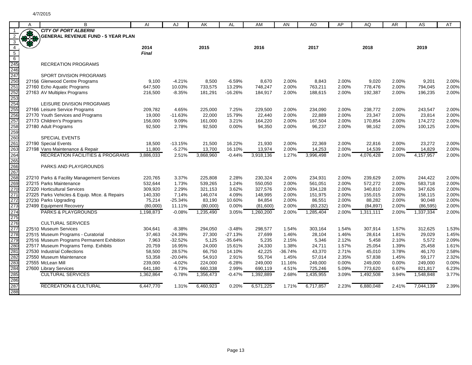|                                        | A           | в                                                           | AI           | AJ        | AK        | <b>AL</b> | AM        | AN        | AO        | AP    | AQ        | AR    | AS        | AT    |
|----------------------------------------|-------------|-------------------------------------------------------------|--------------|-----------|-----------|-----------|-----------|-----------|-----------|-------|-----------|-------|-----------|-------|
|                                        |             | <b>CITY OF PORT ALBERNI</b>                                 |              |           |           |           |           |           |           |       |           |       |           |       |
|                                        | <b>RASH</b> | <b>GENERAL REVENUE FUND - 5 YEAR PLAN</b>                   |              |           |           |           |           |           |           |       |           |       |           |       |
| 3                                      |             |                                                             |              |           |           |           |           |           |           |       |           |       |           |       |
| $\overline{4}$                         |             |                                                             | 2014         |           | 2015      |           | 2016      |           | 2017      |       | 2018      |       | 2019      |       |
| $5\overline{)}$                        |             |                                                             | <b>Final</b> |           |           |           |           |           |           |       |           |       |           |       |
| $6\overline{6}$                        |             |                                                             |              |           |           |           |           |           |           |       |           |       |           |       |
|                                        |             | <b>RECREATION PROGRAMS</b>                                  |              |           |           |           |           |           |           |       |           |       |           |       |
|                                        |             |                                                             |              |           |           |           |           |           |           |       |           |       |           |       |
|                                        |             | <b>SPORT DIVISION PROGRAMS</b>                              |              |           |           |           |           |           |           |       |           |       |           |       |
|                                        |             | 27156 Glenwood Centre Programs                              | 9,100        | $-4.21%$  | 8,500     | $-6.59%$  | 8.670     | 2.00%     | 8,843     | 2.00% | 9,020     | 2.00% | 9,201     | 2.00% |
|                                        |             | 27160 Echo Aquatic Programs                                 | 647,500      | 10.03%    | 733,575   | 13.29%    | 748,247   | 2.00%     | 763,211   | 2.00% | 778,476   | 2.00% | 794,045   | 2.00% |
|                                        |             | 27163 AV Multiplex Programs                                 | 216,500      | $-8.35%$  | 181,291   | $-16.26%$ | 184,917   | 2.00%     | 188,615   | 2.00% | 192,387   | 2.00% | 196,235   | 2.00% |
|                                        |             |                                                             |              |           |           |           |           |           |           |       |           |       |           |       |
|                                        |             | LEISURE DIVISION PROGRAMS<br>27166 Leisure Service Programs | 209,782      | 4.65%     | 225,000   | 7.25%     | 229,500   | 2.00%     | 234,090   | 2.00% | 238.772   | 2.00% | 243,547   | 2.00% |
|                                        |             | 27170 Youth Services and Programs                           | 19,000       | $-11.63%$ | 22,000    | 15.79%    | 22,440    | 2.00%     | 22,889    | 2.00% | 23,347    | 2.00% | 23,814    | 2.00% |
|                                        |             | 27173 Children's Programs                                   | 156,000      | 9.09%     | 161,000   | 3.21%     | 164,220   | 2.00%     | 167,504   | 2.00% | 170,854   | 2.00% | 174,272   | 2.00% |
|                                        |             | 27180 Adult Programs                                        | 92,500       | 2.78%     | 92,500    | 0.00%     | 94,350    | 2.00%     | 96,237    | 2.00% | 98,162    | 2.00% | 100,125   | 2.00% |
| 259                                    |             |                                                             |              |           |           |           |           |           |           |       |           |       |           |       |
| 260                                    |             | <b>SPECIAL EVENTS</b>                                       |              |           |           |           |           |           |           |       |           |       |           |       |
|                                        |             | 27190 Special Events                                        | 18,500       | $-13.15%$ | 21,500    | 16.22%    | 21,930    | 2.00%     | 22,369    | 2.00% | 22,816    | 2.00% | 23,272    | 2.00% |
|                                        |             | 27198 Vans Maintenance & Repair                             | 11,800       | $-5.27%$  | 13,700    | 16.10%    | 13,974    | 2.00%     | 14,253    | 2.00% | 14,539    | 2.00% | 14,829    | 2.00% |
| 261<br>263<br>264                      |             | <b>RECREATION FACILITIES &amp; PROGRAMS</b>                 | 3,886,033    | 2.51%     | 3,868,960 | $-0.44%$  | 3,918,136 | 1.27%     | 3,996,498 | 2.00% | 4,076,428 | 2.00% | 4,157,957 | 2.00% |
| 265                                    |             |                                                             |              |           |           |           |           |           |           |       |           |       |           |       |
| 266                                    |             | PARKS AND PLAYGROUNDS                                       |              |           |           |           |           |           |           |       |           |       |           |       |
|                                        |             |                                                             |              |           |           |           |           |           |           |       |           |       |           |       |
| 267<br>268<br>269<br>270<br>271        |             | 27210 Parks & Facility Management Services                  | 220,765      | 3.37%     | 225,808   | 2.28%     | 230,324   | 2.00%     | 234,931   | 2.00% | 239,629   | 2.00% | 244,422   | 2.00% |
|                                        |             | 27215 Parks Maintenance                                     | 532,644      | 1.73%     | 539,265   | 1.24%     | 550.050   | 2.00%     | 561.051   | 2.00% | 572,272   | 2.00% | 583,718   | 2.00% |
|                                        |             | 27220 Horticultural Services                                | 309,920      | 2.29%     | 321,153   | 3.62%     | 327,576   | 2.00%     | 334,128   | 2.00% | 340,810   | 2.00% | 347,626   | 2.00% |
|                                        |             | 27225 Parks Vehicles & Equip. Mtce. & Repairs               | 140,330      | 7.14%     | 146,074   | 4.09%     | 148,995   | 2.00%     | 151,975   | 2.00% | 155,015   | 2.00% | 158,115   | 2.00% |
|                                        |             | 27230 Parks Upgrading                                       | 75,214       | $-25.34%$ | 83,190    | 10.60%    | 84,854    | 2.00%     | 86,551    | 2.00% | 88,282    | 2.00% | 90,048    | 2.00% |
| 272<br>273<br>274                      |             | 27499 Equipment Recovery                                    | (80,000)     | 11.11%    | (80,000)  | 0.00%     | (81,600)  | 2.00%     | (83, 232) | 2.00% | (84, 897) | 2.00% | (86, 595) | 2.00% |
|                                        |             | <b>PARKS &amp; PLAYGROUNDS</b>                              | 1.198.873    | $-0.08%$  | 1.235.490 | 3.05%     | 1.260.200 | 2.00%     | 1,285,404 | 2.00% | 1.311.111 | 2.00% | 1.337.334 | 2.00% |
| 275                                    |             |                                                             |              |           |           |           |           |           |           |       |           |       |           |       |
| 276<br>277                             |             | <b>CULTURAL SERVICES</b>                                    |              |           |           |           |           |           |           |       |           |       |           |       |
|                                        |             | 27510 Museum Services                                       | 304,641      | $-8.38%$  | 294,050   | $-3.48%$  | 298,577   | 1.54%     | 303,164   | 1.54% | 307,914   | 1.57% | 312,625   | 1.53% |
| 278                                    |             | 27515 Museum Programs - Curatorial                          | 37,463       | $-24.39%$ | 27,300    | $-27.13%$ | 27,699    | 1.46%     | 28,104    | 1.46% | 28,614    | 1.81% | 29,029    | 1.45% |
| 279                                    |             | 27516 Museum Programs Permanent Exhibition                  | 7,963        | $-32.52%$ | 5,125     | $-35.64%$ | 5,235     | 2.15%     | 5,346     | 2.12% | 5,458     | 2.10% | 5,572     | 2.09% |
|                                        |             | 27517 Museum Programs Temp. Exhibits                        | 20,759       | 16.95%    | 24,000    | 15.61%    | 24,330    | 1.38%     | 24,711    | 1.57% | 25,054    | 1.39% | 25,458    | 1.61% |
|                                        |             | 27530 Industrial Collections                                | 58,500       | 28.57%    | 66,750    | 14.10%    | 42,225    | $-36.74%$ | 43,370    | 2.71% | 45,010    | 3.78% | 46,170    | 2.58% |
|                                        |             | 27550 Museum Maintenance                                    | 53,358       | $-20.04%$ | 54,910    | 2.91%     | 55,704    | 1.45%     | 57,014    | 2.35% | 57,838    | 1.45% | 59,177    | 2.32% |
|                                        |             | 27555 McLean Mill                                           | 239,000      | $-4.02%$  | 224,000   | $-6.28%$  | 249,000   | 11.16%    | 249,000   | 0.00% | 249,000   | 0.00% | 249,000   | 0.00% |
| 280<br>281<br>282<br>283<br>284<br>285 |             | 27600 Library Services                                      | 641,180      | 6.73%     | 660,338   | 2.99%     | 690,119   | 4.51%     | 725,246   | 5.09% | 773,620   | 6.67% | 821,817   | 6.23% |
|                                        |             | <b>CULTURAL SERVICES</b>                                    | 1,362,864    | $-0.78%$  | 1,356,473 | $-0.47%$  | 1,392,889 | 2.68%     | 1,435,955 | 3.09% | 1,492,508 | 3.94% | 1,548,848 | 3.77% |
| 286                                    |             |                                                             |              |           |           |           |           |           |           |       |           |       |           |       |
| 287<br>288                             |             | <b>RECREATION &amp; CULTURAL</b>                            | 6,447,770    | 1.31%     | 6,460,923 | 0.20%     | 6,571,225 | 1.71%     | 6,717,857 | 2.23% | 6,880,048 | 2.41% | 7.044.139 | 2.39% |
|                                        |             |                                                             |              |           |           |           |           |           |           |       |           |       |           |       |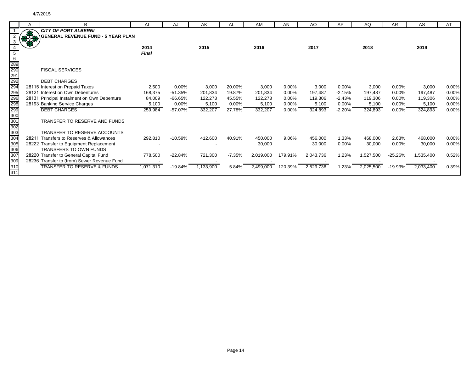|                                                                           | B                                           | AI        | AJ        | AK        | <b>AL</b> | AM        | AN       | AO        | AP       | AQ        | AR.       | AS        | AT    |
|---------------------------------------------------------------------------|---------------------------------------------|-----------|-----------|-----------|-----------|-----------|----------|-----------|----------|-----------|-----------|-----------|-------|
|                                                                           | <b>CITY OF PORT ALBERNI</b>                 |           |           |           |           |           |          |           |          |           |           |           |       |
|                                                                           | <b>GENERAL REVENUE FUND - 5 YEAR PLAN</b>   |           |           |           |           |           |          |           |          |           |           |           |       |
|                                                                           |                                             |           |           |           |           |           |          |           |          |           |           |           |       |
|                                                                           |                                             | 2014      |           | 2015      |           | 2016      |          | 2017      |          | 2018      |           | 2019      |       |
|                                                                           |                                             | Final     |           |           |           |           |          |           |          |           |           |           |       |
| $6\overline{6}$                                                           |                                             |           |           |           |           |           |          |           |          |           |           |           |       |
|                                                                           |                                             |           |           |           |           |           |          |           |          |           |           |           |       |
|                                                                           | <b>FISCAL SERVICES</b>                      |           |           |           |           |           |          |           |          |           |           |           |       |
|                                                                           |                                             |           |           |           |           |           |          |           |          |           |           |           |       |
| 289<br>290<br>291<br>292<br>295<br>296<br>298<br>298<br>299<br>299<br>299 | <b>DEBT CHARGES</b>                         |           |           |           |           |           |          |           |          |           |           |           |       |
|                                                                           | 28115 Interest on Prepaid Taxes             | 2,500     | $0.00\%$  | 3,000     | 20.00%    | 3,000     | $0.00\%$ | 3,000     | 0.00%    | 3,000     | 0.00%     | 3,000     | 0.00% |
|                                                                           | 28121 Interest on Own Debentures            | 168,375   | $-51.35%$ | 201,834   | 19.87%    | 201,834   | $0.00\%$ | 197,487   | $-2.15%$ | 197,487   | 0.00%     | 197,487   | 0.00% |
|                                                                           | 28131 Principal Instalment on Own Debenture | 84,009    | $-66.65%$ | 122,273   | 45.55%    | 122,273   | 0.00%    | 119,306   | $-2.43%$ | 119,306   | 0.00%     | 119,306   | 0.00% |
|                                                                           | 28193 Banking Service Charges               | 5,100     | 0.00%     | 5,100     | 0.00%     | 5,100     | $0.00\%$ | 5,100     | 0.00%    | 5,100     | 0.00%     | 5,100     | 0.00% |
|                                                                           | <b>DEBT CHARGES</b>                         | 259,984   | $-57.07%$ | 332,207   | 27.78%    | 332,207   | 0.00%    | 324,893   | $-2.20%$ | 324,893   | 0.00%     | 324,893   | 0.00% |
|                                                                           |                                             |           |           |           |           |           |          |           |          |           |           |           |       |
|                                                                           | TRANSFER TO RESERVE AND FUNDS               |           |           |           |           |           |          |           |          |           |           |           |       |
| $\frac{302}{302}$<br>$\frac{303}{304}$                                    |                                             |           |           |           |           |           |          |           |          |           |           |           |       |
|                                                                           | TRANSFER TO RESERVE ACCOUNTS                |           |           |           |           |           |          |           |          |           |           |           |       |
|                                                                           | 28211 Transfers to Reserves & Allowances    | 292,810   | $-10.59%$ | 412,600   | 40.91%    | 450,000   | 9.06%    | 456,000   | 1.33%    | 468,000   | 2.63%     | 468,000   | 0.00% |
|                                                                           | 28222 Transfer to Equipment Replacement     |           |           |           |           | 30,000    |          | 30,000    | 0.00%    | 30,000    | 0.00%     | 30,000    | 0.00% |
| 306                                                                       | <b>TRANSFERS TO OWN FUNDS</b>               |           |           |           |           |           |          |           |          |           |           |           |       |
| 307                                                                       | 28220 Transfer to General Capital Fund      | 778,500   | $-22.84%$ | 721,300   | $-7.35%$  | 2,019,000 | 179.91%  | 2,043,736 | 1.23%    | 1,527,500 | $-25.26%$ | 1,535,400 | 0.52% |
| 309                                                                       | 28236 Transfer to (from) Sewer Revenue Fund |           |           |           |           |           |          |           |          |           |           |           |       |
| 310                                                                       | <b>TRANSFER TO RESERVE &amp; FUNDS</b>      | 1,071,310 | $-19.84%$ | 1,133,900 | 5.84%     | 2,499,000 | 120.39%  | 2,529,736 | 1.23%    | 2,025,500 | $-19.93%$ | 2,033,400 | 0.39% |
| 311                                                                       |                                             |           |           |           |           |           |          |           |          |           |           |           |       |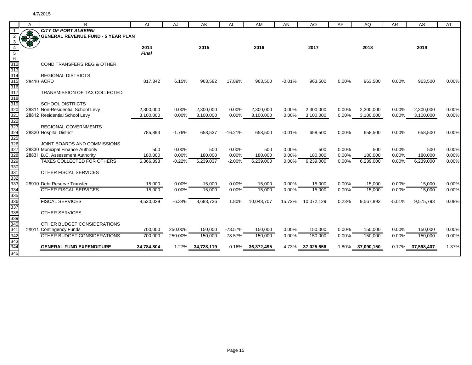| 保安                              | в                                         | AI           |          | AK         | AL        | AM         | AN       | AO         | AP    | AQ         | AR.      | AS         | AT    |
|---------------------------------|-------------------------------------------|--------------|----------|------------|-----------|------------|----------|------------|-------|------------|----------|------------|-------|
|                                 | <b>CITY OF PORT ALBERNI</b>               |              | AJ       |            |           |            |          |            |       |            |          |            |       |
|                                 | <b>GENERAL REVENUE FUND - 5 YEAR PLAN</b> |              |          |            |           |            |          |            |       |            |          |            |       |
|                                 |                                           |              |          |            |           |            |          |            |       |            |          |            |       |
|                                 |                                           | 2014         |          | 2015       |           | 2016       |          | 2017       |       | 2018       |          | 2019       |       |
| $\overline{5}$                  |                                           | <b>Final</b> |          |            |           |            |          |            |       |            |          |            |       |
| $6\overline{6}$                 |                                           |              |          |            |           |            |          |            |       |            |          |            |       |
|                                 | COND TRANSFERS REG & OTHER                |              |          |            |           |            |          |            |       |            |          |            |       |
| 312<br>313<br>314               |                                           |              |          |            |           |            |          |            |       |            |          |            |       |
|                                 | <b>REGIONAL DISTRICTS</b>                 |              |          |            |           |            |          |            |       |            |          |            |       |
| 315                             | 28410 ACRD                                | 817,342      | 6.15%    | 963,582    | 17.89%    | 963,500    | $-0.01%$ | 963,500    | 0.00% | 963,500    | 0.00%    | 963,500    | 0.00% |
| 316                             |                                           |              |          |            |           |            |          |            |       |            |          |            |       |
| $\overline{317}$                | TRANSMISSION OF TAX COLLECTED             |              |          |            |           |            |          |            |       |            |          |            |       |
| 318<br>319                      | <b>SCHOOL DISTRICTS</b>                   |              |          |            |           |            |          |            |       |            |          |            |       |
| 320                             | 28811 Non-Residential School Levy         | 2,300,000    | 0.00%    | 2,300,000  | 0.00%     | 2,300,000  | 0.00%    | 2,300,000  | 0.00% | 2,300,000  | 0.00%    | 2,300,000  | 0.00% |
| $32^{\prime}$                   | 28812 Residential School Levy             | 3,100,000    | $0.00\%$ | 3,100,000  | 0.00%     | 3,100,000  | 0.00%    | 3,100,000  | 0.00% | 3,100,000  | 0.00%    | 3,100,000  | 0.00% |
|                                 |                                           |              |          |            |           |            |          |            |       |            |          |            |       |
| 322<br>323                      | <b>REGIONAL GOVERNMENTS</b>               |              |          |            |           |            |          |            |       |            |          |            |       |
| 324                             | 28820 Hospital District                   | 785,893      | $-1.76%$ | 658,537    | $-16.21%$ | 658,500    | $-0.01%$ | 658,500    | 0.00% | 658,500    | 0.00%    | 658,500    | 0.00% |
|                                 |                                           |              |          |            |           |            |          |            |       |            |          |            |       |
| 325<br>326                      | JOINT BOARDS AND COMMISSIONS              |              |          |            |           |            |          |            |       |            |          |            |       |
| 327                             | 28830 Municipal Finance Authority         | 500          | 0.00%    | 500        | 0.00%     | 500        | 0.00%    | 500        | 0.00% | 500        | 0.00%    | 500        | 0.00% |
| 328                             | 28831 B.C. Assessment Authority           | 180,000      | 0.00%    | 180.000    | 0.00%     | 180,000    | 0.00%    | 180,000    | 0.00% | 180,000    | 0.00%    | 180,000    | 0.00% |
| 329                             | <b>TAXES COLLECTED FOR OTHERS</b>         | 6,366,393    | $-0.22%$ | 6,239,037  | $-2.00%$  | 6,239,000  | 0.00%    | 6,239,000  | 0.00% | 6,239,000  | 0.00%    | 6,239,000  | 0.00% |
|                                 |                                           |              |          |            |           |            |          |            |       |            |          |            |       |
|                                 | OTHER FISCAL SERVICES                     |              |          |            |           |            |          |            |       |            |          |            |       |
|                                 |                                           |              |          |            |           |            |          |            |       |            |          |            |       |
| 330<br>331<br>332<br>333<br>333 | 28910 Debt Reserve Transfer               | 15,000       | 0.00%    | 15,000     | 0.00%     | 15,000     | 0.00%    | 15,000     | 0.00% | 15,000     | 0.00%    | 15,000     | 0.00% |
|                                 | <b>OTHER FISCAL SERVICES</b>              | 15,000       | 0.00%    | 15,000     | 0.00%     | 15,000     | 0.00%    | 15,000     | 0.00% | 15,000     | 0.00%    | 15,000     | 0.00% |
| 335                             |                                           |              |          |            |           |            |          |            |       |            |          |            |       |
| 336                             | <b>FISCAL SERVICES</b>                    | 8,530,029    | $-6.34%$ | 8,683,726  | 1.80%     | 10,048,707 | 15.72%   | 10,072,129 | 0.23% | 9,567,893  | $-5.01%$ | 9,575,793  | 0.08% |
| 337<br>338                      |                                           |              |          |            |           |            |          |            |       |            |          |            |       |
| 339                             | <b>OTHER SERVICES</b>                     |              |          |            |           |            |          |            |       |            |          |            |       |
|                                 | OTHER BUDGET CONSIDERATIONS               |              |          |            |           |            |          |            |       |            |          |            |       |
| 340<br>341                      | 29911 Contingency Funds                   | 700,000      | 250.00%  | 150,000    | $-78.57%$ | 150,000    | 0.00%    | 150,000    | 0.00% | 150,000    | 0.00%    | 150,000    | 0.00% |
| 342                             | OTHER BUDGET CONSIDERATIONS               | 700,000      | 250.00%  | 150,000    | -78.57%   | 150,000    | 0.00%    | 150,000    | 0.00% | 150,000    | 0.00%    | 150,000    | 0.00% |
| 343                             |                                           |              |          |            |           |            |          |            |       |            |          |            |       |
| 344                             | <b>GENERAL FUND EXPENDITURE</b>           | 34,784,804   | 1.27%    | 34,728,119 | $-0.16%$  | 36,372,495 | 4.73%    | 37,025,656 | 1.80% | 37,090,150 | 0.17%    | 37,598,407 | 1.37% |
| 345                             |                                           |              |          |            |           |            |          |            |       |            |          |            |       |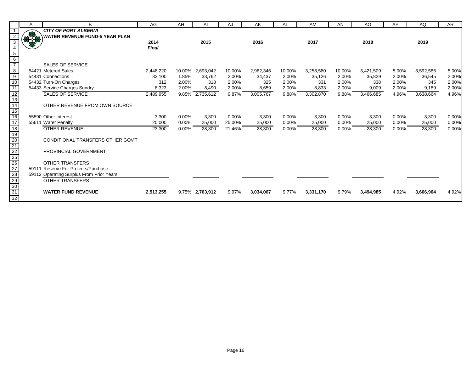|                                                                                                               | A    | В                                        | AG            | AH    | AI                 | AJ     | AK        | AL     | AM        | AN     | AO        | AP    | AQ        | <b>AR</b> |
|---------------------------------------------------------------------------------------------------------------|------|------------------------------------------|---------------|-------|--------------------|--------|-----------|--------|-----------|--------|-----------|-------|-----------|-----------|
|                                                                                                               |      | <b>CITY OF PORT ALBERNI</b>              |               |       |                    |        |           |        |           |        |           |       |           |           |
|                                                                                                               | 87.8 | <b>WATER REVENUE FUND-5 YEAR PLAN</b>    |               |       |                    |        |           |        |           |        |           |       |           |           |
|                                                                                                               |      |                                          | 2014<br>Final |       | 2015               |        | 2016      |        | 2017      |        | 2018      |       | 2019      |           |
| $5\phantom{.0}$                                                                                               |      |                                          |               |       |                    |        |           |        |           |        |           |       |           |           |
| $6\overline{6}$                                                                                               |      |                                          |               |       |                    |        |           |        |           |        |           |       |           |           |
|                                                                                                               |      | <b>SALES OF SERVICE</b>                  |               |       |                    |        |           |        |           |        |           |       |           |           |
| $\overline{8}$                                                                                                |      | 54421 Metered Sales                      | 2,448,220     |       | 10.00% 2,693,042   | 10.00% | 2,962,346 | 10.00% | 3,258,580 | 10.00% | 3,421,509 | 5.00% | 3,592,585 | 5.00%     |
| $\frac{1}{9}$                                                                                                 |      | 54431 Connections                        | 33,100        | 1.85% | 33,762             | 2.00%  | 34,437    | 2.00%  | 35,126    | 2.00%  | 35,829    | 2.00% | 36,545    | 2.00%     |
| 10                                                                                                            |      | 54432 Turn-On Charges                    | 312           | 2.00% | 318                | 2.00%  | 325       | 2.00%  | 331       | 2.00%  | 338       | 2.00% | 345       | 2.00%     |
| $\overline{11}$                                                                                               |      | 54433 Service Charges Sundry             | 8,323         | 2.00% | 8,490              | 2.00%  | 8,659     | 2.00%  | 8,833     | 2.00%  | 9,009     | 2.00% | 9,189     | 2.00%     |
| 12                                                                                                            |      | <b>SALES OF SERVICE</b>                  | 2,489,955     |       | $9.85\%$ 2,735,612 | 9.87%  | 3,005,767 | 9.88%  | 3,302,870 | 9.88%  | 3,466,685 | 4.96% | 3,638,664 | 4.96%     |
| $\frac{13}{14}$                                                                                               |      |                                          |               |       |                    |        |           |        |           |        |           |       |           |           |
|                                                                                                               |      | OTHER REVENUE FROM OWN SOURCE            |               |       |                    |        |           |        |           |        |           |       |           |           |
| $\frac{15}{16}$                                                                                               |      |                                          |               |       |                    |        |           |        |           |        |           |       |           |           |
|                                                                                                               |      | 55590 Other Interest                     | 3,300         | 0.00% | 3,300              | 0.00%  | 3,300     | 0.00%  | 3,300     | 0.00%  | 3,300     | 0.00% | 3,300     | 0.00%     |
| 17                                                                                                            |      | 55611 Water Penalty                      | 20,000        | 0.00% | 25,000             | 25.00% | 25,000    | 0.00%  | 25,000    | 0.00%  | 25,000    | 0.00% | 25,000    | 0.00%     |
| 18                                                                                                            |      | <b>OTHER REVENUE</b>                     | 23,300        | 0.00% | 28,300             | 21.46% | 28,300    | 0.00%  | 28,300    | 0.00%  | 28,300    | 0.00% | 28,300    | 0.00%     |
|                                                                                                               |      | CONDITIONAL TRANSFERS OTHER GOV'T        |               |       |                    |        |           |        |           |        |           |       |           |           |
|                                                                                                               |      |                                          |               |       |                    |        |           |        |           |        |           |       |           |           |
|                                                                                                               |      | PROVINCIAL GOVERNMENT                    |               |       |                    |        |           |        |           |        |           |       |           |           |
|                                                                                                               |      |                                          |               |       |                    |        |           |        |           |        |           |       |           |           |
|                                                                                                               |      | <b>OTHER TRANSFERS</b>                   |               |       |                    |        |           |        |           |        |           |       |           |           |
|                                                                                                               |      | 59111 Reserve For Projects/Purchase      |               |       |                    |        |           |        |           |        |           |       |           |           |
|                                                                                                               |      | 59112 Operating Surplus From Prior Years |               |       |                    |        |           |        |           |        |           |       |           |           |
|                                                                                                               |      | <b>OTHER TRANSFERS</b>                   |               |       |                    |        |           |        |           |        |           |       |           |           |
|                                                                                                               |      |                                          |               |       |                    |        |           |        |           |        |           |       |           |           |
| $\frac{19}{20} \frac{21}{22} \frac{25}{26} \frac{6}{27} \frac{7}{28} \frac{8}{29} \frac{9}{30} \frac{31}{32}$ |      | <b>WATER FUND REVENUE</b>                | 2,513,255     |       | 9.75% 2,763,912    | 9.97%  | 3,034,067 | 9.77%  | 3,331,170 | 9.79%  | 3,494,985 | 4.92% | 3,666,964 | 4.92%     |
|                                                                                                               |      |                                          |               |       |                    |        |           |        |           |        |           |       |           |           |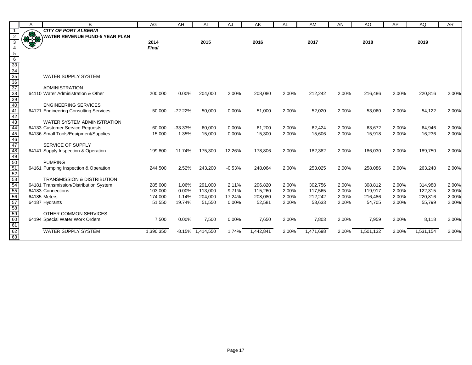| <b>CITY OF PORT ALBERNI</b><br>好好 !<br><b>WATER REVENUE FUND-5 YEAR PLAN</b><br>$\overline{3}$<br>2014<br>2015<br>2016<br>2017<br>2018<br>2019<br>$\overline{4}$<br>Final<br>5 6 33 34 35 36 37 38 39 40 41 42 43 44<br><b>WATER SUPPLY SYSTEM</b><br><b>ADMINISTRATION</b><br>64110 Water Administration & Other<br>0.00%<br>2.00%<br>2.00%<br>2.00%<br>2.00%<br>220,816<br>2.00%<br>200,000<br>204,000<br>208,080<br>212,242<br>216,486<br><b>ENGINEERING SERVICES</b><br>$-72.22%$<br>2.00%<br>2.00%<br>64121 Engineering Consulting Services<br>50,000<br>50,000<br>0.00%<br>51,000<br>52,020<br>2.00%<br>53,060<br>2.00%<br>54,122<br>WATER SYSTEM ADMINISTRATION<br>64133 Customer Service Requests<br>$-33.33%$<br>0.00%<br>61,200<br>2.00%<br>62,424<br>63,672<br>2.00%<br>64,946<br>2.00%<br>60,000<br>60,000<br>2.00%<br>45<br>64136 Small Tools/Equipment/Supplies<br>15,000<br>1.35%<br>15,000<br>0.00%<br>15,300<br>2.00%<br>15,606<br>2.00%<br>15,918<br>2.00%<br>16,236<br>2.00%<br>46<br>47<br>48<br>49<br>50<br>51<br>52<br>53<br>54<br>55<br>SERVICE OF SUPPLY<br>64141 Supply Inspection & Operation<br>11.74%<br>2.00%<br>186,030<br>2.00%<br>189,750<br>199,800<br>175,300<br>$-12.26%$<br>178,806<br>182,382<br>2.00%<br><b>PUMPING</b><br>2.00%<br>64161 Pumping Inspection & Operation<br>244,500<br>2.52%<br>243,200<br>$-0.53%$<br>248,064<br>253,025<br>2.00%<br>258,086<br>2.00%<br>263,248<br><b>TRANSMISSION &amp; DISTRIBUTION</b><br>2.00%<br>2.00%<br>64181 Transmission/Distribution System<br>285,000<br>1.06%<br>291.000<br>2.11%<br>296,820<br>302,756<br>2.00%<br>308,812<br>2.00%<br>314,988<br>2.00%<br>103,000<br>$0.00\%$<br>113,000<br>9.71%<br>115,260<br>2.00%<br>117,565<br>2.00%<br>119,917<br>2.00%<br>122,315<br>64183 Connections<br>56<br>57<br>174,000<br>2.00%<br>2.00%<br>2.00%<br>220,816<br>2.00%<br>64185 Meters<br>$-1.14%$<br>204,000<br>17.24%<br>208,080<br>212,242<br>216,486<br>19.74%<br>2.00%<br>2.00%<br>55,799<br>2.00%<br>64187 Hydrants<br>51,550<br>51,550<br>0.00%<br>52,581<br>53,633<br>54,705<br>2.00%<br>58<br>59<br>60<br>OTHER COMMON SERVICES<br>2.00%<br>64194 Special Water Work Orders<br>7,500<br>0.00%<br>0.00%<br>7,650<br>7,803<br>2.00%<br>7,959<br>2.00%<br>2.00%<br>7,500<br>8,118<br>$\frac{1}{61}$<br>$\frac{62}{63}$<br><b>WATER SUPPLY SYSTEM</b><br>1,442,841<br>1,390,350<br>$-8.15\%$ $1,414,550$<br>1.74%<br>2.00%<br>1,471,698<br>2.00%<br>1,501,132<br>2.00%<br>1,531,154<br>2.00% |                | A | B | AG | AH | AI | AJ | AK | AL | AM | AN | AO | AP | AQ | AR    |
|--------------------------------------------------------------------------------------------------------------------------------------------------------------------------------------------------------------------------------------------------------------------------------------------------------------------------------------------------------------------------------------------------------------------------------------------------------------------------------------------------------------------------------------------------------------------------------------------------------------------------------------------------------------------------------------------------------------------------------------------------------------------------------------------------------------------------------------------------------------------------------------------------------------------------------------------------------------------------------------------------------------------------------------------------------------------------------------------------------------------------------------------------------------------------------------------------------------------------------------------------------------------------------------------------------------------------------------------------------------------------------------------------------------------------------------------------------------------------------------------------------------------------------------------------------------------------------------------------------------------------------------------------------------------------------------------------------------------------------------------------------------------------------------------------------------------------------------------------------------------------------------------------------------------------------------------------------------------------------------------------------------------------------------------------------------------------------------------------------------------------------------------------------------------------------------------------------------------------------------------------------------------------------------------------------------------------------------------------------------------------------------------------------------------------------------------------------------------------------------|----------------|---|---|----|----|----|----|----|----|----|----|----|----|----|-------|
|                                                                                                                                                                                                                                                                                                                                                                                                                                                                                                                                                                                                                                                                                                                                                                                                                                                                                                                                                                                                                                                                                                                                                                                                                                                                                                                                                                                                                                                                                                                                                                                                                                                                                                                                                                                                                                                                                                                                                                                                                                                                                                                                                                                                                                                                                                                                                                                                                                                                                      |                |   |   |    |    |    |    |    |    |    |    |    |    |    |       |
|                                                                                                                                                                                                                                                                                                                                                                                                                                                                                                                                                                                                                                                                                                                                                                                                                                                                                                                                                                                                                                                                                                                                                                                                                                                                                                                                                                                                                                                                                                                                                                                                                                                                                                                                                                                                                                                                                                                                                                                                                                                                                                                                                                                                                                                                                                                                                                                                                                                                                      | $\overline{2}$ |   |   |    |    |    |    |    |    |    |    |    |    |    |       |
|                                                                                                                                                                                                                                                                                                                                                                                                                                                                                                                                                                                                                                                                                                                                                                                                                                                                                                                                                                                                                                                                                                                                                                                                                                                                                                                                                                                                                                                                                                                                                                                                                                                                                                                                                                                                                                                                                                                                                                                                                                                                                                                                                                                                                                                                                                                                                                                                                                                                                      |                |   |   |    |    |    |    |    |    |    |    |    |    |    |       |
|                                                                                                                                                                                                                                                                                                                                                                                                                                                                                                                                                                                                                                                                                                                                                                                                                                                                                                                                                                                                                                                                                                                                                                                                                                                                                                                                                                                                                                                                                                                                                                                                                                                                                                                                                                                                                                                                                                                                                                                                                                                                                                                                                                                                                                                                                                                                                                                                                                                                                      |                |   |   |    |    |    |    |    |    |    |    |    |    |    |       |
|                                                                                                                                                                                                                                                                                                                                                                                                                                                                                                                                                                                                                                                                                                                                                                                                                                                                                                                                                                                                                                                                                                                                                                                                                                                                                                                                                                                                                                                                                                                                                                                                                                                                                                                                                                                                                                                                                                                                                                                                                                                                                                                                                                                                                                                                                                                                                                                                                                                                                      |                |   |   |    |    |    |    |    |    |    |    |    |    |    |       |
|                                                                                                                                                                                                                                                                                                                                                                                                                                                                                                                                                                                                                                                                                                                                                                                                                                                                                                                                                                                                                                                                                                                                                                                                                                                                                                                                                                                                                                                                                                                                                                                                                                                                                                                                                                                                                                                                                                                                                                                                                                                                                                                                                                                                                                                                                                                                                                                                                                                                                      |                |   |   |    |    |    |    |    |    |    |    |    |    |    |       |
|                                                                                                                                                                                                                                                                                                                                                                                                                                                                                                                                                                                                                                                                                                                                                                                                                                                                                                                                                                                                                                                                                                                                                                                                                                                                                                                                                                                                                                                                                                                                                                                                                                                                                                                                                                                                                                                                                                                                                                                                                                                                                                                                                                                                                                                                                                                                                                                                                                                                                      |                |   |   |    |    |    |    |    |    |    |    |    |    |    |       |
|                                                                                                                                                                                                                                                                                                                                                                                                                                                                                                                                                                                                                                                                                                                                                                                                                                                                                                                                                                                                                                                                                                                                                                                                                                                                                                                                                                                                                                                                                                                                                                                                                                                                                                                                                                                                                                                                                                                                                                                                                                                                                                                                                                                                                                                                                                                                                                                                                                                                                      |                |   |   |    |    |    |    |    |    |    |    |    |    |    |       |
|                                                                                                                                                                                                                                                                                                                                                                                                                                                                                                                                                                                                                                                                                                                                                                                                                                                                                                                                                                                                                                                                                                                                                                                                                                                                                                                                                                                                                                                                                                                                                                                                                                                                                                                                                                                                                                                                                                                                                                                                                                                                                                                                                                                                                                                                                                                                                                                                                                                                                      |                |   |   |    |    |    |    |    |    |    |    |    |    |    |       |
|                                                                                                                                                                                                                                                                                                                                                                                                                                                                                                                                                                                                                                                                                                                                                                                                                                                                                                                                                                                                                                                                                                                                                                                                                                                                                                                                                                                                                                                                                                                                                                                                                                                                                                                                                                                                                                                                                                                                                                                                                                                                                                                                                                                                                                                                                                                                                                                                                                                                                      |                |   |   |    |    |    |    |    |    |    |    |    |    |    |       |
|                                                                                                                                                                                                                                                                                                                                                                                                                                                                                                                                                                                                                                                                                                                                                                                                                                                                                                                                                                                                                                                                                                                                                                                                                                                                                                                                                                                                                                                                                                                                                                                                                                                                                                                                                                                                                                                                                                                                                                                                                                                                                                                                                                                                                                                                                                                                                                                                                                                                                      |                |   |   |    |    |    |    |    |    |    |    |    |    |    |       |
|                                                                                                                                                                                                                                                                                                                                                                                                                                                                                                                                                                                                                                                                                                                                                                                                                                                                                                                                                                                                                                                                                                                                                                                                                                                                                                                                                                                                                                                                                                                                                                                                                                                                                                                                                                                                                                                                                                                                                                                                                                                                                                                                                                                                                                                                                                                                                                                                                                                                                      |                |   |   |    |    |    |    |    |    |    |    |    |    |    |       |
|                                                                                                                                                                                                                                                                                                                                                                                                                                                                                                                                                                                                                                                                                                                                                                                                                                                                                                                                                                                                                                                                                                                                                                                                                                                                                                                                                                                                                                                                                                                                                                                                                                                                                                                                                                                                                                                                                                                                                                                                                                                                                                                                                                                                                                                                                                                                                                                                                                                                                      |                |   |   |    |    |    |    |    |    |    |    |    |    |    |       |
|                                                                                                                                                                                                                                                                                                                                                                                                                                                                                                                                                                                                                                                                                                                                                                                                                                                                                                                                                                                                                                                                                                                                                                                                                                                                                                                                                                                                                                                                                                                                                                                                                                                                                                                                                                                                                                                                                                                                                                                                                                                                                                                                                                                                                                                                                                                                                                                                                                                                                      |                |   |   |    |    |    |    |    |    |    |    |    |    |    |       |
|                                                                                                                                                                                                                                                                                                                                                                                                                                                                                                                                                                                                                                                                                                                                                                                                                                                                                                                                                                                                                                                                                                                                                                                                                                                                                                                                                                                                                                                                                                                                                                                                                                                                                                                                                                                                                                                                                                                                                                                                                                                                                                                                                                                                                                                                                                                                                                                                                                                                                      |                |   |   |    |    |    |    |    |    |    |    |    |    |    |       |
|                                                                                                                                                                                                                                                                                                                                                                                                                                                                                                                                                                                                                                                                                                                                                                                                                                                                                                                                                                                                                                                                                                                                                                                                                                                                                                                                                                                                                                                                                                                                                                                                                                                                                                                                                                                                                                                                                                                                                                                                                                                                                                                                                                                                                                                                                                                                                                                                                                                                                      |                |   |   |    |    |    |    |    |    |    |    |    |    |    |       |
|                                                                                                                                                                                                                                                                                                                                                                                                                                                                                                                                                                                                                                                                                                                                                                                                                                                                                                                                                                                                                                                                                                                                                                                                                                                                                                                                                                                                                                                                                                                                                                                                                                                                                                                                                                                                                                                                                                                                                                                                                                                                                                                                                                                                                                                                                                                                                                                                                                                                                      |                |   |   |    |    |    |    |    |    |    |    |    |    |    |       |
|                                                                                                                                                                                                                                                                                                                                                                                                                                                                                                                                                                                                                                                                                                                                                                                                                                                                                                                                                                                                                                                                                                                                                                                                                                                                                                                                                                                                                                                                                                                                                                                                                                                                                                                                                                                                                                                                                                                                                                                                                                                                                                                                                                                                                                                                                                                                                                                                                                                                                      |                |   |   |    |    |    |    |    |    |    |    |    |    |    |       |
|                                                                                                                                                                                                                                                                                                                                                                                                                                                                                                                                                                                                                                                                                                                                                                                                                                                                                                                                                                                                                                                                                                                                                                                                                                                                                                                                                                                                                                                                                                                                                                                                                                                                                                                                                                                                                                                                                                                                                                                                                                                                                                                                                                                                                                                                                                                                                                                                                                                                                      |                |   |   |    |    |    |    |    |    |    |    |    |    |    |       |
|                                                                                                                                                                                                                                                                                                                                                                                                                                                                                                                                                                                                                                                                                                                                                                                                                                                                                                                                                                                                                                                                                                                                                                                                                                                                                                                                                                                                                                                                                                                                                                                                                                                                                                                                                                                                                                                                                                                                                                                                                                                                                                                                                                                                                                                                                                                                                                                                                                                                                      |                |   |   |    |    |    |    |    |    |    |    |    |    |    |       |
|                                                                                                                                                                                                                                                                                                                                                                                                                                                                                                                                                                                                                                                                                                                                                                                                                                                                                                                                                                                                                                                                                                                                                                                                                                                                                                                                                                                                                                                                                                                                                                                                                                                                                                                                                                                                                                                                                                                                                                                                                                                                                                                                                                                                                                                                                                                                                                                                                                                                                      |                |   |   |    |    |    |    |    |    |    |    |    |    |    | 2.00% |
|                                                                                                                                                                                                                                                                                                                                                                                                                                                                                                                                                                                                                                                                                                                                                                                                                                                                                                                                                                                                                                                                                                                                                                                                                                                                                                                                                                                                                                                                                                                                                                                                                                                                                                                                                                                                                                                                                                                                                                                                                                                                                                                                                                                                                                                                                                                                                                                                                                                                                      |                |   |   |    |    |    |    |    |    |    |    |    |    |    |       |
|                                                                                                                                                                                                                                                                                                                                                                                                                                                                                                                                                                                                                                                                                                                                                                                                                                                                                                                                                                                                                                                                                                                                                                                                                                                                                                                                                                                                                                                                                                                                                                                                                                                                                                                                                                                                                                                                                                                                                                                                                                                                                                                                                                                                                                                                                                                                                                                                                                                                                      |                |   |   |    |    |    |    |    |    |    |    |    |    |    |       |
|                                                                                                                                                                                                                                                                                                                                                                                                                                                                                                                                                                                                                                                                                                                                                                                                                                                                                                                                                                                                                                                                                                                                                                                                                                                                                                                                                                                                                                                                                                                                                                                                                                                                                                                                                                                                                                                                                                                                                                                                                                                                                                                                                                                                                                                                                                                                                                                                                                                                                      |                |   |   |    |    |    |    |    |    |    |    |    |    |    | 2.00% |
|                                                                                                                                                                                                                                                                                                                                                                                                                                                                                                                                                                                                                                                                                                                                                                                                                                                                                                                                                                                                                                                                                                                                                                                                                                                                                                                                                                                                                                                                                                                                                                                                                                                                                                                                                                                                                                                                                                                                                                                                                                                                                                                                                                                                                                                                                                                                                                                                                                                                                      |                |   |   |    |    |    |    |    |    |    |    |    |    |    |       |
|                                                                                                                                                                                                                                                                                                                                                                                                                                                                                                                                                                                                                                                                                                                                                                                                                                                                                                                                                                                                                                                                                                                                                                                                                                                                                                                                                                                                                                                                                                                                                                                                                                                                                                                                                                                                                                                                                                                                                                                                                                                                                                                                                                                                                                                                                                                                                                                                                                                                                      |                |   |   |    |    |    |    |    |    |    |    |    |    |    |       |
|                                                                                                                                                                                                                                                                                                                                                                                                                                                                                                                                                                                                                                                                                                                                                                                                                                                                                                                                                                                                                                                                                                                                                                                                                                                                                                                                                                                                                                                                                                                                                                                                                                                                                                                                                                                                                                                                                                                                                                                                                                                                                                                                                                                                                                                                                                                                                                                                                                                                                      |                |   |   |    |    |    |    |    |    |    |    |    |    |    |       |
|                                                                                                                                                                                                                                                                                                                                                                                                                                                                                                                                                                                                                                                                                                                                                                                                                                                                                                                                                                                                                                                                                                                                                                                                                                                                                                                                                                                                                                                                                                                                                                                                                                                                                                                                                                                                                                                                                                                                                                                                                                                                                                                                                                                                                                                                                                                                                                                                                                                                                      |                |   |   |    |    |    |    |    |    |    |    |    |    |    |       |
|                                                                                                                                                                                                                                                                                                                                                                                                                                                                                                                                                                                                                                                                                                                                                                                                                                                                                                                                                                                                                                                                                                                                                                                                                                                                                                                                                                                                                                                                                                                                                                                                                                                                                                                                                                                                                                                                                                                                                                                                                                                                                                                                                                                                                                                                                                                                                                                                                                                                                      |                |   |   |    |    |    |    |    |    |    |    |    |    |    |       |
|                                                                                                                                                                                                                                                                                                                                                                                                                                                                                                                                                                                                                                                                                                                                                                                                                                                                                                                                                                                                                                                                                                                                                                                                                                                                                                                                                                                                                                                                                                                                                                                                                                                                                                                                                                                                                                                                                                                                                                                                                                                                                                                                                                                                                                                                                                                                                                                                                                                                                      |                |   |   |    |    |    |    |    |    |    |    |    |    |    |       |
|                                                                                                                                                                                                                                                                                                                                                                                                                                                                                                                                                                                                                                                                                                                                                                                                                                                                                                                                                                                                                                                                                                                                                                                                                                                                                                                                                                                                                                                                                                                                                                                                                                                                                                                                                                                                                                                                                                                                                                                                                                                                                                                                                                                                                                                                                                                                                                                                                                                                                      |                |   |   |    |    |    |    |    |    |    |    |    |    |    |       |
|                                                                                                                                                                                                                                                                                                                                                                                                                                                                                                                                                                                                                                                                                                                                                                                                                                                                                                                                                                                                                                                                                                                                                                                                                                                                                                                                                                                                                                                                                                                                                                                                                                                                                                                                                                                                                                                                                                                                                                                                                                                                                                                                                                                                                                                                                                                                                                                                                                                                                      |                |   |   |    |    |    |    |    |    |    |    |    |    |    |       |
|                                                                                                                                                                                                                                                                                                                                                                                                                                                                                                                                                                                                                                                                                                                                                                                                                                                                                                                                                                                                                                                                                                                                                                                                                                                                                                                                                                                                                                                                                                                                                                                                                                                                                                                                                                                                                                                                                                                                                                                                                                                                                                                                                                                                                                                                                                                                                                                                                                                                                      |                |   |   |    |    |    |    |    |    |    |    |    |    |    |       |
|                                                                                                                                                                                                                                                                                                                                                                                                                                                                                                                                                                                                                                                                                                                                                                                                                                                                                                                                                                                                                                                                                                                                                                                                                                                                                                                                                                                                                                                                                                                                                                                                                                                                                                                                                                                                                                                                                                                                                                                                                                                                                                                                                                                                                                                                                                                                                                                                                                                                                      |                |   |   |    |    |    |    |    |    |    |    |    |    |    |       |
|                                                                                                                                                                                                                                                                                                                                                                                                                                                                                                                                                                                                                                                                                                                                                                                                                                                                                                                                                                                                                                                                                                                                                                                                                                                                                                                                                                                                                                                                                                                                                                                                                                                                                                                                                                                                                                                                                                                                                                                                                                                                                                                                                                                                                                                                                                                                                                                                                                                                                      |                |   |   |    |    |    |    |    |    |    |    |    |    |    |       |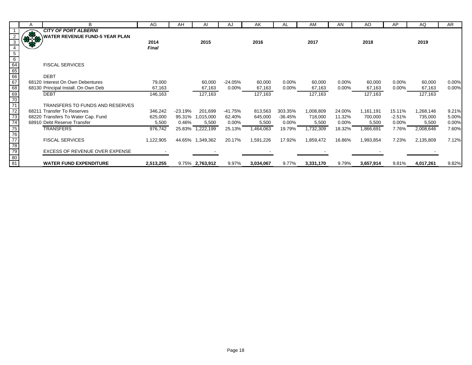|                                    | А      | B                                     | AG           | AH        | Al               | AJ        | AK        | AL        | AM        | AN       | AO        | AP       | AQ        | AR    |
|------------------------------------|--------|---------------------------------------|--------------|-----------|------------------|-----------|-----------|-----------|-----------|----------|-----------|----------|-----------|-------|
|                                    |        | <b>CITY OF PORT ALBERNI</b>           |              |           |                  |           |           |           |           |          |           |          |           |       |
|                                    | 33.150 | <b>WATER REVENUE FUND-5 YEAR PLAN</b> |              |           |                  |           |           |           |           |          |           |          |           |       |
|                                    |        |                                       | 2014         |           | 2015             |           | 2016      |           | 2017      |          | 2018      |          | 2019      |       |
|                                    |        |                                       | <b>Final</b> |           |                  |           |           |           |           |          |           |          |           |       |
| $\overline{5}$                     |        |                                       |              |           |                  |           |           |           |           |          |           |          |           |       |
| $6\overline{6}$                    |        |                                       |              |           |                  |           |           |           |           |          |           |          |           |       |
| $\frac{64}{65}$<br>$\frac{66}{67}$ |        | <b>FISCAL SERVICES</b>                |              |           |                  |           |           |           |           |          |           |          |           |       |
|                                    |        |                                       |              |           |                  |           |           |           |           |          |           |          |           |       |
|                                    |        | <b>DEBT</b>                           |              |           |                  |           |           |           |           |          |           |          |           |       |
|                                    |        | 68120 Interest On Own Debentures      | 79,000       |           | 60,000           | $-24.05%$ | 60,000    | $0.00\%$  | 60,000    | $0.00\%$ | 60,000    | $0.00\%$ | 60,000    | 0.00% |
| 68                                 |        | 68130 Principal Install. On Own Deb   | 67,163       |           | 67,163           | 0.00%     | 67,163    | $0.00\%$  | 67,163    | 0.00%    | 67,163    | 0.00%    | 67,163    | 0.00% |
| $\frac{69}{70}$<br>$\frac{70}{71}$ |        | <b>DEBT</b>                           | 146,163      |           | 127,163          |           | 127,163   |           | 127,163   |          | 127,163   |          | 127,163   |       |
|                                    |        |                                       |              |           |                  |           |           |           |           |          |           |          |           |       |
|                                    |        | TRANSFERS TO FUNDS AND RESERVES       |              |           |                  |           |           |           |           |          |           |          |           |       |
| $\frac{72}{73}$                    |        | 68211 Transfer To Reserves            | 346,242      | $-23.19%$ | 201,699          | -41.75%   | 813,563   | 303.35%   | 1,008,809 | 24.00%   | 1,161,191 | 15.11%   | 1,268,146 | 9.21% |
|                                    |        | 68220 Transfers To Water Cap. Fund    | 625,000      | 95.31%    | 1,015,000        | 62.40%    | 645,000   | $-36.45%$ | 718,000   | 11.32%   | 700,000   | $-2.51%$ | 735,000   | 5.00% |
| 74                                 |        | 68910 Debt Reserve Transfer           | 5,500        | 0.46%     | 5,500            | $0.00\%$  | 5,500     | $0.00\%$  | 5,500     | $0.00\%$ | 5,500     | $0.00\%$ | 5,500     | 0.00% |
| 75<br>76<br>77<br>78<br>79         |        | <b>TRANSFERS</b>                      | 976,742      |           | 25.83% 1,222,199 | 25.13%    | 1,464,063 | 19.79%    | 1,732,309 | 18.32%   | 1,866,691 | 7.76%    | 2,008,646 | 7.60% |
|                                    |        |                                       |              |           |                  |           |           |           |           |          |           |          |           |       |
|                                    |        | <b>FISCAL SERVICES</b>                | 1,122,905    |           | 44.65% 1,349,362 | 20.17%    | 1,591,226 | 17.92%    | 1,859,472 | 16.86%   | 1,993,854 | 7.23%    | 2,135,809 | 7.12% |
|                                    |        |                                       |              |           |                  |           |           |           |           |          |           |          |           |       |
|                                    |        | <b>EXCESS OF REVENUE OVER EXPENSE</b> |              |           |                  |           |           |           |           |          |           |          |           |       |
| $\frac{80}{81}$                    |        |                                       |              |           |                  |           |           |           |           |          |           |          |           |       |
|                                    |        | <b>WATER FUND EXPENDITURE</b>         | 2,513,255    |           | 9.75% 2,763,912  | 9.97%     | 3,034,067 | 9.77%     | 3,331,170 | 9.79%    | 3,657,914 | 9.81%    | 4,017,261 | 9.82% |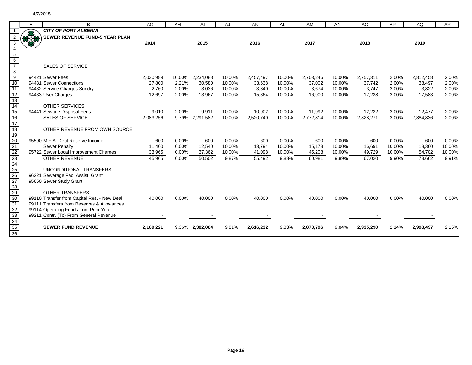|                                                                                                                  | A           | B                                           | AG        | AH    | AI               | AJ     | AK        | AL     | AM        | AN     | AO        | AP     | AQ        | <b>AR</b> |
|------------------------------------------------------------------------------------------------------------------|-------------|---------------------------------------------|-----------|-------|------------------|--------|-----------|--------|-----------|--------|-----------|--------|-----------|-----------|
|                                                                                                                  |             | <b>CITY OF PORT ALBERNI</b>                 |           |       |                  |        |           |        |           |        |           |        |           |           |
|                                                                                                                  | <b>RACK</b> | <b>SEWER REVENUE FUND-5 YEAR PLAN</b>       |           |       |                  |        |           |        |           |        |           |        |           |           |
| 3                                                                                                                |             |                                             | 2014      |       | 2015             |        | 2016      |        | 2017      |        | 2018      |        | 2019      |           |
| $\overline{4}$                                                                                                   |             |                                             |           |       |                  |        |           |        |           |        |           |        |           |           |
|                                                                                                                  |             |                                             |           |       |                  |        |           |        |           |        |           |        |           |           |
|                                                                                                                  |             |                                             |           |       |                  |        |           |        |           |        |           |        |           |           |
| $\begin{array}{c} 5 \\ 6 \\ 7 \end{array}$                                                                       |             | <b>SALES OF SERVICE</b>                     |           |       |                  |        |           |        |           |        |           |        |           |           |
| $\frac{8}{9}$                                                                                                    |             |                                             |           |       |                  |        |           |        |           |        |           |        |           |           |
|                                                                                                                  |             | 94421 Sewer Fees                            | 2,030,989 |       | 10.00% 2,234,088 | 10.00% | 2,457,497 | 10.00% | 2,703,246 | 10.00% | 2,757,311 | 2.00%  | 2,812,458 | 2.00%     |
| 10                                                                                                               |             | 94431 Sewer Connections                     | 27,800    | 2.21% | 30,580           | 10.00% | 33,638    | 10.00% | 37,002    | 10.00% | 37,742    | 2.00%  | 38,497    | 2.00%     |
| 11                                                                                                               |             | 94432 Service Charges Sundry                | 2,760     | 2.00% | 3,036            | 10.00% | 3,340     | 10.00% | 3,674     | 10.00% | 3,747     | 2.00%  | 3,822     | 2.00%     |
|                                                                                                                  |             | 94433 User Charges                          | 12,697    | 2.00% | 13,967           | 10.00% | 15,364    | 10.00% | 16,900    | 10.00% | 17,238    | 2.00%  | 17,583    | 2.00%     |
|                                                                                                                  |             |                                             |           |       |                  |        |           |        |           |        |           |        |           |           |
|                                                                                                                  |             | <b>OTHER SERVICES</b>                       |           |       |                  |        |           |        |           |        |           |        |           |           |
| $\frac{12}{13}$<br>$\frac{14}{15}$<br>$\frac{15}{16}$                                                            |             | 94441 Sewage Disposal Fees                  | 9,010     | 2.00% | 9,911            | 10.00% | 10,902    | 10.00% | 11,992    | 10.00% | 12,232    | 2.00%  | 12,477    | 2.00%     |
|                                                                                                                  |             | <b>SALES OF SERVICE</b>                     | 2,083,256 |       | 9.79% 2,291,582  | 10.00% | 2,520,740 | 10.00% | 2,772,814 | 10.00% | 2,828,271 | 2.00%  | 2,884,836 | 2.00%     |
| $\frac{1}{17}$                                                                                                   |             |                                             |           |       |                  |        |           |        |           |        |           |        |           |           |
| $\frac{1}{18}$                                                                                                   |             | OTHER REVENUE FROM OWN SOURCE               |           |       |                  |        |           |        |           |        |           |        |           |           |
|                                                                                                                  |             |                                             |           |       |                  |        |           |        |           |        |           |        |           |           |
|                                                                                                                  |             | 95590 M.F.A. Debt Reserve Income            | 600       | 0.00% | 600              | 0.00%  | 600       | 0.00%  | 600       | 0.00%  | 600       | 0.00%  | 600       | 0.00%     |
|                                                                                                                  |             | <b>Sewer Penalty</b>                        | 11,400    | 0.00% | 12,540           | 10.00% | 13,794    | 10.00% | 15,173    | 10.00% | 16,691    | 10.00% | 18,360    | 10.00%    |
| $\frac{19}{20} \frac{21}{21} \frac{22}{23} \frac{23}{24} \frac{4}{25} \frac{26}{27} \frac{28}{29} \frac{29}{30}$ |             | 95722 Sewer Local Improvement Charges       | 33,965    | 0.00% | 37,362           | 10.00% | 41,098    | 10.00% | 45,208    | 10.00% | 49,729    | 10.00% | 54,702    | 10.00%    |
|                                                                                                                  |             | <b>OTHER REVENUE</b>                        | 45,965    | 0.00% | 50,502           | 9.87%  | 55,492    | 9.88%  | 60,981    | 9.89%  | 67,020    | 9.90%  | 73,662    | 9.91%     |
|                                                                                                                  |             |                                             |           |       |                  |        |           |        |           |        |           |        |           |           |
|                                                                                                                  |             | UNCONDITIONAL TRANSFERS                     |           |       |                  |        |           |        |           |        |           |        |           |           |
|                                                                                                                  |             | 96221 Sewerage Fac. Assist. Grant           |           |       |                  |        |           |        |           |        |           |        |           |           |
|                                                                                                                  |             | 95650 Sewer Study Grant                     |           |       |                  |        |           |        |           |        |           |        |           |           |
|                                                                                                                  |             |                                             |           |       |                  |        |           |        |           |        |           |        |           |           |
|                                                                                                                  |             | <b>OTHER TRANSFERS</b>                      |           |       |                  |        |           |        |           |        |           |        |           |           |
|                                                                                                                  |             | 99110 Transfer from Capital Res. - New Deal | 40,000    | 0.00% | 40,000           | 0.00%  | 40,000    | 0.00%  | 40,000    | 0.00%  | 40,000    | 0.00%  | 40,000    | 0.00%     |
| 31                                                                                                               |             | 99111 Transfers from Reserves & Allowances  |           |       |                  |        |           |        |           |        |           |        |           |           |
| 32<br>33                                                                                                         |             | 99114 Operating Funds from Prior Year       |           |       |                  |        |           |        |           |        |           |        |           |           |
|                                                                                                                  |             | 99211 Contr. (To) From General Revenue      |           |       |                  |        |           |        |           |        |           |        |           |           |
| 34<br>35                                                                                                         |             | <b>SEWER FUND REVENUE</b>                   |           |       |                  |        |           |        |           |        |           |        |           |           |
|                                                                                                                  |             |                                             | 2,169,221 |       | 9.36% 2,382,084  | 9.81%  | 2,616,232 | 9.83%  | 2,873,796 | 9.84%  | 2,935,290 | 2.14%  | 2,998,497 | 2.15%     |
| $\overline{36}$                                                                                                  |             |                                             |           |       |                  |        |           |        |           |        |           |        |           |           |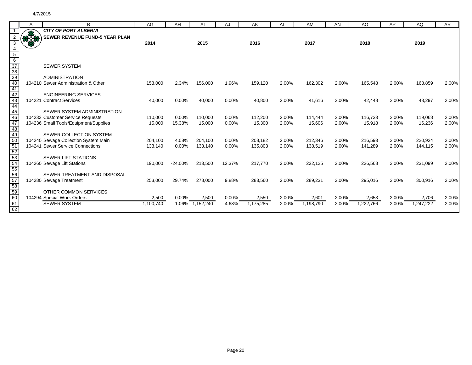|                                                                                              | A           | B                                     | AG        | AH        | AI        | AJ       | AK        | AL    | AM        | AN    | AO        | AP    | AQ        | <b>AR</b> |
|----------------------------------------------------------------------------------------------|-------------|---------------------------------------|-----------|-----------|-----------|----------|-----------|-------|-----------|-------|-----------|-------|-----------|-----------|
|                                                                                              |             | <b>CITY OF PORT ALBERNI</b>           |           |           |           |          |           |       |           |       |           |       |           |           |
|                                                                                              | <b>RACK</b> | <b>SEWER REVENUE FUND-5 YEAR PLAN</b> |           |           |           |          |           |       |           |       |           |       |           |           |
| 3                                                                                            |             |                                       | 2014      |           | 2015      |          | 2016      |       | 2017      |       | 2018      |       | 2019      |           |
|                                                                                              |             |                                       |           |           |           |          |           |       |           |       |           |       |           |           |
| $\frac{5}{6}$ $\frac{6}{37}$ $\frac{38}{39}$ $\frac{39}{40}$ $\frac{40}{41}$ $\frac{42}{43}$ |             |                                       |           |           |           |          |           |       |           |       |           |       |           |           |
|                                                                                              |             |                                       |           |           |           |          |           |       |           |       |           |       |           |           |
|                                                                                              |             | <b>SEWER SYSTEM</b>                   |           |           |           |          |           |       |           |       |           |       |           |           |
|                                                                                              |             |                                       |           |           |           |          |           |       |           |       |           |       |           |           |
|                                                                                              |             | <b>ADMINISTRATION</b>                 |           |           |           |          |           |       |           |       |           |       |           |           |
|                                                                                              |             | 104210 Sewer Administration & Other   | 153,000   | 2.34%     | 156,000   | 1.96%    | 159,120   | 2.00% | 162,302   | 2.00% | 165,548   | 2.00% | 168,859   | 2.00%     |
|                                                                                              |             |                                       |           |           |           |          |           |       |           |       |           |       |           |           |
|                                                                                              |             | <b>ENGINEERING SERVICES</b>           |           |           |           |          |           |       |           |       |           |       |           |           |
|                                                                                              |             | 104221 Contract Services              | 40,000    | 0.00%     | 40,000    | 0.00%    | 40,800    | 2.00% | 41,616    | 2.00% | 42,448    | 2.00% | 43,297    | 2.00%     |
|                                                                                              |             |                                       |           |           |           |          |           |       |           |       |           |       |           |           |
| 45<br>46                                                                                     |             | SEWER SYSTEM ADMINISTRATION           |           |           |           |          |           |       |           |       |           |       |           |           |
|                                                                                              |             | 104233 Customer Service Requests      | 110,000   | 0.00%     | 110.000   | $0.00\%$ | 112,200   | 2.00% | 114,444   | 2.00% | 116.733   | 2.00% | 119,068   | 2.00%     |
| 47                                                                                           |             | 104236 Small Tools/Equipment/Supplies | 15,000    | 15.38%    | 15,000    | 0.00%    | 15,300    | 2.00% | 15,606    | 2.00% | 15,918    | 2.00% | 16,236    | 2.00%     |
| 48                                                                                           |             |                                       |           |           |           |          |           |       |           |       |           |       |           |           |
| $\frac{1}{49}$<br>$\frac{49}{50}$                                                            |             | SEWER COLLECTION SYSTEM               |           |           |           |          |           |       |           |       |           |       |           |           |
|                                                                                              |             | 104240 Sewage Collection System Main  | 204,100   | 4.08%     | 204,100   | 0.00%    | 208,182   | 2.00% | 212,346   | 2.00% | 216,593   | 2.00% | 220,924   | 2.00%     |
|                                                                                              |             | 104241 Sewer Service Connections      | 133,140   | 0.00%     | 133,140   | 0.00%    | 135,803   | 2.00% | 138,519   | 2.00% | 141,289   | 2.00% | 144,115   | 2.00%     |
|                                                                                              |             |                                       |           |           |           |          |           |       |           |       |           |       |           |           |
|                                                                                              |             | <b>SEWER LIFT STATIONS</b>            |           |           |           |          |           |       |           |       |           |       |           |           |
| $\frac{51}{52}$<br>$\frac{53}{54}$<br>$\frac{54}{55}$<br>$\frac{55}{56}$                     |             | 104260 Sewage Lift Stations           | 190,000   | $-24.00%$ | 213,500   | 12.37%   | 217,770   | 2.00% | 222,125   | 2.00% | 226,568   | 2.00% | 231,099   | 2.00%     |
|                                                                                              |             |                                       |           |           |           |          |           |       |           |       |           |       |           |           |
|                                                                                              |             | SEWER TREATMENT AND DISPOSAL          |           |           |           |          |           |       |           |       |           |       |           |           |
|                                                                                              |             | 104280 Sewage Treatment               | 253,000   | 29.74%    | 278,000   | 9.88%    | 283,560   | 2.00% | 289,231   | 2.00% | 295,016   | 2.00% | 300,916   | 2.00%     |
| 57<br>58<br>59<br>60                                                                         |             | OTHER COMMON SERVICES                 |           |           |           |          |           |       |           |       |           |       |           |           |
|                                                                                              |             | 104294 Special Work Orders            | 2,500     | 0.00%     | 2,500     | 0.00%    | 2,550     | 2.00% | 2,601     | 2.00% | 2,653     | 2.00% | 2,706     | 2.00%     |
|                                                                                              |             | <b>SEWER SYSTEM</b>                   | 1,100,740 | 1.06%     | 1,152,240 | 4.68%    | 1,175,285 | 2.00% | 1,198,790 | 2.00% | 1,222,766 | 2.00% | 1,247,222 | 2.00%     |
| $\frac{61}{62}$                                                                              |             |                                       |           |           |           |          |           |       |           |       |           |       |           |           |
|                                                                                              |             |                                       |           |           |           |          |           |       |           |       |           |       |           |           |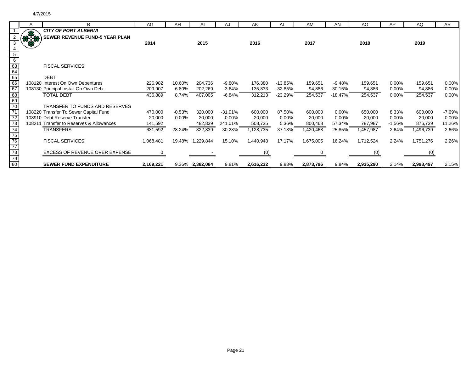╞

|                                                                      | A     | B                                        | AG        | AH       | Al               | AJ        | AK        | AL        | AM        | AN        | AO.       | AP       | AQ        | AR.      |
|----------------------------------------------------------------------|-------|------------------------------------------|-----------|----------|------------------|-----------|-----------|-----------|-----------|-----------|-----------|----------|-----------|----------|
|                                                                      | æ     | <b>CITY OF PORT ALBERNI</b>              |           |          |                  |           |           |           |           |           |           |          |           |          |
|                                                                      | 33.58 | <b>SEWER REVENUE FUND-5 YEAR PLAN</b>    |           |          |                  |           |           |           |           |           |           |          |           |          |
| 3                                                                    | 8     |                                          | 2014      |          | 2015             |           | 2016      |           | 2017      |           | 2018      |          | 2019      |          |
| $\overline{4}$                                                       |       |                                          |           |          |                  |           |           |           |           |           |           |          |           |          |
|                                                                      |       |                                          |           |          |                  |           |           |           |           |           |           |          |           |          |
|                                                                      |       |                                          |           |          |                  |           |           |           |           |           |           |          |           |          |
| $rac{5}{6}$<br>$rac{6}{63}$<br>$rac{64}{65}$<br>$rac{66}{67}$        |       | <b>FISCAL SERVICES</b>                   |           |          |                  |           |           |           |           |           |           |          |           |          |
|                                                                      |       |                                          |           |          |                  |           |           |           |           |           |           |          |           |          |
|                                                                      |       | <b>DEBT</b>                              |           |          |                  |           |           |           |           |           |           |          |           |          |
|                                                                      |       | 108120 Interest On Own Debentures        | 226,982   | 10.60%   | 204,736          | $-9.80%$  | 176,380   | $-13.85%$ | 159,651   | $-9.48%$  | 159,651   | $0.00\%$ | 159,651   | 0.00%    |
|                                                                      |       | 108130 Principal Install On Own Deb.     | 209,907   | 6.80%    | 202,269          | $-3.64%$  | 135,833   | $-32.85%$ | 94,886    | $-30.15%$ | 94,886    | 0.00%    | 94,886    | 0.00%    |
|                                                                      |       | <b>TOTAL DEBT</b>                        | 436,889   | 8.74%    | 407,005          | $-6.84%$  | 312,213   | $-23.29%$ | 254,537   | $-18.47%$ | 254,537   | 0.00%    | 254,537   | 0.00%    |
|                                                                      |       |                                          |           |          |                  |           |           |           |           |           |           |          |           |          |
|                                                                      |       | TRANSFER TO FUNDS AND RESERVES           |           |          |                  |           |           |           |           |           |           |          |           |          |
|                                                                      |       | 108220 Transfer To Sewer Capital Fund    | 470,000   | $-0.53%$ | 320,000          | $-31.91%$ | 600,000   | 87.50%    | 600,000   | $0.00\%$  | 650,000   | 8.33%    | 600,000   | $-7.69%$ |
|                                                                      |       | 108910 Debt Reserve Transfer             | 20,000    | 0.00%    | 20,000           | $0.00\%$  | 20,000    | 0.00%     | 20,000    | $0.00\%$  | 20,000    | 0.00%    | 20,000    | 0.00%    |
|                                                                      |       | 108211 Transfer to Reserves & Allowances | 141,592   |          | 482,839          | 241.01%   | 508,735   | 5.36%     | 800,468   | 57.34%    | 787,987   | $-1.56%$ | 876,739   | 11.26%   |
|                                                                      |       | <b>TRANSFERS</b>                         | 631,592   | 28.24%   | 822,839          | 30.28%    | 1,128,735 | 37.18%    | 1,420,468 | 25.85%    | 1,457,987 | 2.64%    | 1,496,739 | 2.66%    |
|                                                                      |       |                                          |           |          |                  |           |           |           |           |           |           |          |           |          |
|                                                                      |       | <b>FISCAL SERVICES</b>                   | 1,068,481 |          | 19.48% 1,229,844 | 15.10%    | 1,440,948 | 17.17%    | 1,675,005 | 16.24%    | 1,712,524 | 2.24%    | 1,751,276 | 2.26%    |
|                                                                      |       |                                          |           |          |                  |           |           |           |           |           |           |          |           |          |
|                                                                      |       | EXCESS OF REVENUE OVER EXPENSE           | 0         |          |                  |           | (0)       |           |           |           | (0)       |          | (0)       |          |
| 68<br>69<br>70<br>71<br>72<br>73<br>74<br>75<br>77<br>78<br>79<br>80 |       |                                          |           |          |                  |           |           |           |           |           |           |          |           |          |
|                                                                      |       | <b>SEWER FUND EXPENDITURE</b>            | 2,169,221 |          | 9.36% 2,382,084  | 9.81%     | 2,616,232 | 9.83%     | 2,873,796 | 9.84%     | 2,935,290 | 2.14%    | 2,998,497 | 2.15%    |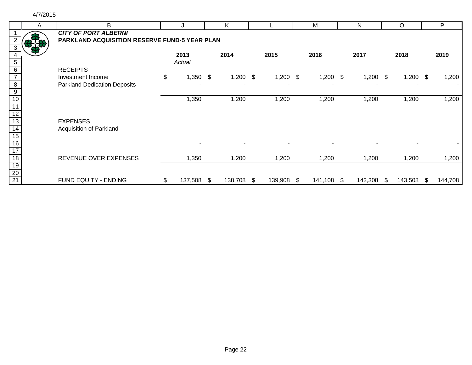|                 | A | B                                             |                  | K          |               |    | M          | N          |      | O          |      | P       |
|-----------------|---|-----------------------------------------------|------------------|------------|---------------|----|------------|------------|------|------------|------|---------|
|                 |   | <b>CITY OF PORT ALBERNI</b>                   |                  |            |               |    |            |            |      |            |      |         |
|                 |   | PARKLAND ACQUISITION RESERVE FUND-5 YEAR PLAN |                  |            |               |    |            |            |      |            |      |         |
|                 |   |                                               |                  |            |               |    |            |            |      |            |      |         |
|                 |   |                                               | 2013             | 2014       | 2015          |    | 2016       | 2017       |      | 2018       |      | 2019    |
| 5               |   |                                               | Actual           |            |               |    |            |            |      |            |      |         |
| 6               |   | <b>RECEIPTS</b>                               |                  |            |               |    |            |            |      |            |      |         |
|                 |   | Investment Income                             | \$<br>$1,350$ \$ | $1,200$ \$ | $1,200$ \$    |    | $1,200$ \$ | $1,200$ \$ |      | $1,200$ \$ |      | 1,200   |
| $\overline{8}$  |   | <b>Parkland Dedication Deposits</b>           |                  |            |               |    |            |            |      |            |      |         |
| $\overline{9}$  |   |                                               |                  |            |               |    |            |            |      |            |      |         |
| $\overline{10}$ |   |                                               | 1,350            | 1,200      | 1,200         |    | 1,200      | 1,200      |      | 1,200      |      | 1,200   |
|                 |   |                                               |                  |            |               |    |            |            |      |            |      |         |
|                 |   |                                               |                  |            |               |    |            |            |      |            |      |         |
| $\overline{13}$ |   | <b>EXPENSES</b>                               |                  |            |               |    |            |            |      |            |      |         |
| 14              |   | Acquisition of Parkland                       |                  |            |               |    |            |            |      |            |      |         |
| $\overline{15}$ |   |                                               |                  |            |               |    |            |            |      |            |      |         |
| $\overline{16}$ |   |                                               |                  |            |               |    |            |            |      |            |      |         |
| $\overline{17}$ |   |                                               |                  |            |               |    |            |            |      |            |      |         |
| $\overline{18}$ |   | REVENUE OVER EXPENSES                         | 1,350            | 1,200      | 1,200         |    | 1,200      | 1,200      |      | 1,200      |      | 1,200   |
| 19              |   |                                               |                  |            |               |    |            |            |      |            |      |         |
| $\frac{20}{21}$ |   |                                               |                  |            |               |    |            |            |      |            |      |         |
|                 |   | FUND EQUITY - ENDING                          | \$<br>137,508 \$ | 138,708    | \$<br>139,908 | S. | 141,108 \$ | 142,308    | - \$ | 143,508    | - \$ | 144,708 |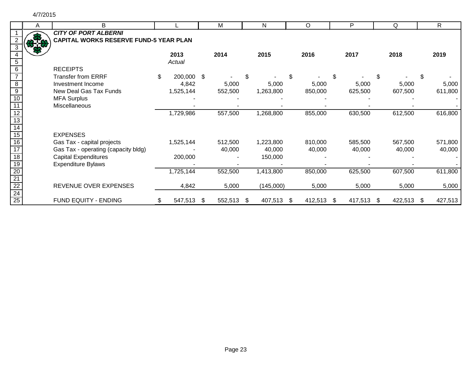| Α | B                                                                            |                  | Μ             |      | N         |    | O       | P             |    | Q       |     | $\mathsf{R}$ |
|---|------------------------------------------------------------------------------|------------------|---------------|------|-----------|----|---------|---------------|----|---------|-----|--------------|
|   | <b>CITY OF PORT ALBERNI</b><br><b>CAPITAL WORKS RESERVE FUND-5 YEAR PLAN</b> |                  |               |      |           |    |         |               |    |         |     |              |
|   |                                                                              | 2013<br>Actual   | 2014          |      | 2015      |    | 2016    | 2017          |    | 2018    |     | 2019         |
|   | <b>RECEIPTS</b>                                                              |                  |               |      |           |    |         |               |    |         |     |              |
|   | <b>Transfer from ERRF</b>                                                    | \$<br>200,000 \$ |               | \$   |           | \$ |         | \$            | \$ |         | S   |              |
|   | Investment Income                                                            | 4,842            | 5,000         |      | 5,000     |    | 5,000   | 5,000         |    | 5,000   |     | 5,000        |
|   | New Deal Gas Tax Funds                                                       | 1,525,144        | 552,500       |      | 1,263,800 |    | 850,000 | 625,500       |    | 607,500 |     | 611,800      |
|   | <b>MFA Surplus</b>                                                           |                  |               |      |           |    |         |               |    |         |     |              |
|   | Miscellaneous                                                                |                  |               |      |           |    |         |               |    |         |     |              |
|   |                                                                              | 1,729,986        | 557,500       |      | 1,268,800 |    | 855,000 | 630,500       |    | 612,500 |     | 616,800      |
|   | <b>EXPENSES</b>                                                              |                  |               |      |           |    |         |               |    |         |     |              |
|   | Gas Tax - capital projects                                                   | 1,525,144        | 512,500       |      | 1,223,800 |    | 810,000 | 585,500       |    | 567,500 |     | 571,800      |
|   | Gas Tax - operating (capacity bldg)                                          |                  | 40,000        |      | 40,000    |    | 40,000  | 40,000        |    | 40,000  |     | 40,000       |
|   | <b>Capital Expenditures</b>                                                  | 200,000          |               |      | 150,000   |    |         |               |    |         |     |              |
|   | <b>Expenditure Bylaws</b>                                                    |                  |               |      |           |    |         |               |    |         |     |              |
|   |                                                                              | 1,725,144        | 552,500       |      | 1,413,800 |    | 850,000 | 625,500       |    | 607,500 |     | 611,800      |
|   | REVENUE OVER EXPENSES                                                        | 4,842            | 5,000         |      | (145,000) |    | 5,000   | 5,000         |    | 5,000   |     | 5,000        |
|   | FUND EQUITY - ENDING                                                         | \$<br>547,513    | \$<br>552,513 | - \$ | 407,513   | -S | 412,513 | \$<br>417,513 | -S | 422,513 | \$. | 427,513      |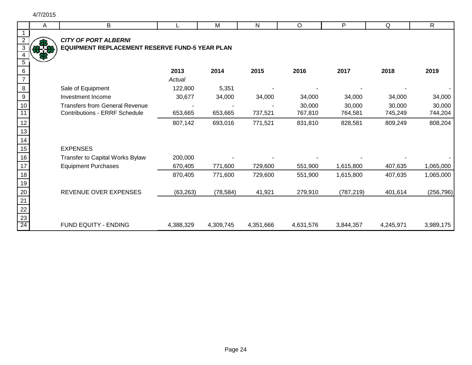|                                    | Α | B                                              |           | M         | $\mathsf{N}$ | $\circ$   | P          | Q         | $\overline{R}$ |
|------------------------------------|---|------------------------------------------------|-----------|-----------|--------------|-----------|------------|-----------|----------------|
|                                    |   |                                                |           |           |              |           |            |           |                |
|                                    |   | <b>CITY OF PORT ALBERNI</b>                    |           |           |              |           |            |           |                |
| 3                                  |   | EQUIPMENT REPLACEMENT RESERVE FUND-5 YEAR PLAN |           |           |              |           |            |           |                |
|                                    |   |                                                |           |           |              |           |            |           |                |
| $5\,$                              |   |                                                |           |           |              |           |            |           |                |
| 6                                  |   |                                                | 2013      | 2014      | 2015         | 2016      | 2017       | 2018      | 2019           |
| $\overline{7}$                     |   |                                                | Actual    |           |              |           |            |           |                |
| $\bf 8$                            |   | Sale of Equipment                              | 122,800   | 5,351     |              |           |            |           |                |
| $\boldsymbol{9}$                   |   | Investment Income                              | 30,677    | 34,000    | 34,000       | 34,000    | 34,000     | 34,000    | 34,000         |
| 10                                 |   | <b>Transfers from General Revenue</b>          |           |           |              | 30,000    | 30,000     | 30,000    | 30,000         |
| $\overline{11}$                    |   | <b>Contributions - ERRF Schedule</b>           | 653,665   | 653,665   | 737,521      | 767,810   | 764,581    | 745,249   | 744,204        |
| 12                                 |   |                                                | 807,142   | 693,016   | 771,521      | 831,810   | 828,581    | 809,249   | 808,204        |
| 13                                 |   |                                                |           |           |              |           |            |           |                |
| 14                                 |   |                                                |           |           |              |           |            |           |                |
| 15                                 |   | <b>EXPENSES</b>                                |           |           |              |           |            |           |                |
| 16                                 |   | Transfer to Capital Works Bylaw                | 200,000   |           |              |           |            |           |                |
| 17                                 |   | <b>Equipment Purchases</b>                     | 670,405   | 771,600   | 729,600      | 551,900   | 1,615,800  | 407,635   | 1,065,000      |
| 18                                 |   |                                                | 870,405   | 771,600   | 729,600      | 551,900   | 1,615,800  | 407,635   | 1,065,000      |
| 19                                 |   |                                                |           |           |              |           |            |           |                |
| 20                                 |   | REVENUE OVER EXPENSES                          | (63, 263) | (78, 584) | 41,921       | 279,910   | (787, 219) | 401,614   | (256, 796)     |
| $\overline{21}$                    |   |                                                |           |           |              |           |            |           |                |
|                                    |   |                                                |           |           |              |           |            |           |                |
| $\frac{22}{23}$<br>$\frac{23}{24}$ |   |                                                |           |           |              |           |            |           |                |
|                                    |   | FUND EQUITY - ENDING                           | 4,388,329 | 4,309,745 | 4,351,666    | 4,631,576 | 3,844,357  | 4,245,971 | 3,989,175      |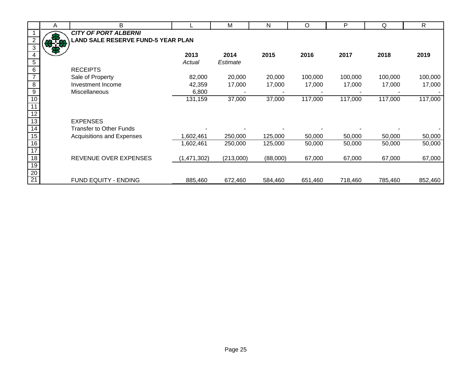|                 | A   | B                                         |               | М         | N        | O       | P       | Q       | $\mathsf{R}$ |
|-----------------|-----|-------------------------------------------|---------------|-----------|----------|---------|---------|---------|--------------|
|                 |     | <b>CITY OF PORT ALBERNI</b>               |               |           |          |         |         |         |              |
| $\overline{2}$  | 878 | <b>LAND SALE RESERVE FUND-5 YEAR PLAN</b> |               |           |          |         |         |         |              |
| $\overline{3}$  |     |                                           |               |           |          |         |         |         |              |
| $\overline{4}$  |     |                                           | 2013          | 2014      | 2015     | 2016    | 2017    | 2018    | 2019         |
| $\sqrt{5}$      |     |                                           | Actual        | Estimate  |          |         |         |         |              |
| $\overline{6}$  |     | <b>RECEIPTS</b>                           |               |           |          |         |         |         |              |
| $\overline{7}$  |     | Sale of Property                          | 82,000        | 20,000    | 20,000   | 100,000 | 100,000 | 100,000 | 100,000      |
| $\infty$        |     | Investment Income                         | 42,359        | 17,000    | 17,000   | 17,000  | 17,000  | 17,000  | 17,000       |
| $\overline{9}$  |     | Miscellaneous                             | 6,800         |           |          |         |         |         |              |
| 10              |     |                                           | 131,159       | 37,000    | 37,000   | 117,000 | 117,000 | 117,000 | 117,000      |
| $\overline{11}$ |     |                                           |               |           |          |         |         |         |              |
| $\overline{12}$ |     |                                           |               |           |          |         |         |         |              |
| 13              |     | <b>EXPENSES</b>                           |               |           |          |         |         |         |              |
| 14              |     | <b>Transfer to Other Funds</b>            |               |           |          |         |         |         |              |
| $15\,$          |     | <b>Acquisitions and Expenses</b>          | 1,602,461     | 250,000   | 125,000  | 50,000  | 50,000  | 50,000  | 50,000       |
| 16              |     |                                           | 1,602,461     | 250,000   | 125,000  | 50,000  | 50,000  | 50,000  | 50,000       |
| $\overline{17}$ |     |                                           |               |           |          |         |         |         |              |
| 18              |     | REVENUE OVER EXPENSES                     | (1, 471, 302) | (213,000) | (88,000) | 67,000  | 67,000  | 67,000  | 67,000       |
| $\frac{19}{20}$ |     |                                           |               |           |          |         |         |         |              |
|                 |     |                                           |               |           |          |         |         |         |              |
| 21              |     | FUND EQUITY - ENDING                      | 885,460       | 672,460   | 584,460  | 651,460 | 718,460 | 785,460 | 852,460      |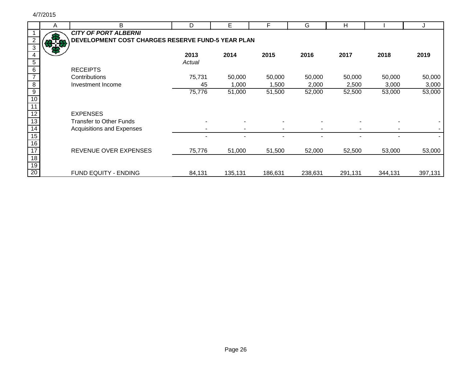|                                 | A  | B                                                 | D      | Е       | F       | G       | н       |         |         |
|---------------------------------|----|---------------------------------------------------|--------|---------|---------|---------|---------|---------|---------|
|                                 |    | <b>CITY OF PORT ALBERNI</b>                       |        |         |         |         |         |         |         |
| $\overline{2}$                  |    | DEVELOPMENT COST CHARGES RESERVE FUND-5 YEAR PLAN |        |         |         |         |         |         |         |
| $\overline{\omega}$             | mа |                                                   |        |         |         |         |         |         |         |
| 4                               |    |                                                   | 2013   | 2014    | 2015    | 2016    | 2017    | 2018    | 2019    |
| $\overline{5}$                  |    |                                                   | Actual |         |         |         |         |         |         |
| 6                               |    | <b>RECEIPTS</b>                                   |        |         |         |         |         |         |         |
| $\overline{7}$                  |    | Contributions                                     | 75,731 | 50,000  | 50,000  | 50,000  | 50,000  | 50,000  | 50,000  |
| $\overline{\mathbf{8}}$         |    | Investment Income                                 | 45     | 1,000   | 1,500   | 2,000   | 2,500   | 3,000   | 3,000   |
| $\overline{9}$                  |    |                                                   | 75,776 | 51,000  | 51,500  | 52,000  | 52,500  | 53,000  | 53,000  |
| 10                              |    |                                                   |        |         |         |         |         |         |         |
| $\frac{11}{12}$ $\frac{12}{13}$ |    |                                                   |        |         |         |         |         |         |         |
|                                 |    | <b>EXPENSES</b>                                   |        |         |         |         |         |         |         |
|                                 |    | <b>Transfer to Other Funds</b>                    |        |         |         |         |         |         |         |
| $\overline{14}$                 |    | Acquisitions and Expenses                         |        |         |         |         |         |         |         |
| 15                              |    |                                                   |        |         |         |         |         |         |         |
| 16                              |    |                                                   |        |         |         |         |         |         |         |
| 17                              |    | REVENUE OVER EXPENSES                             | 75,776 | 51,000  | 51,500  | 52,000  | 52,500  | 53,000  | 53,000  |
| $18$                            |    |                                                   |        |         |         |         |         |         |         |
| 19                              |    |                                                   |        |         |         |         |         |         |         |
| 20                              |    | FUND EQUITY - ENDING                              | 84,131 | 135,131 | 186,631 | 238,631 | 291,131 | 344,131 | 397,131 |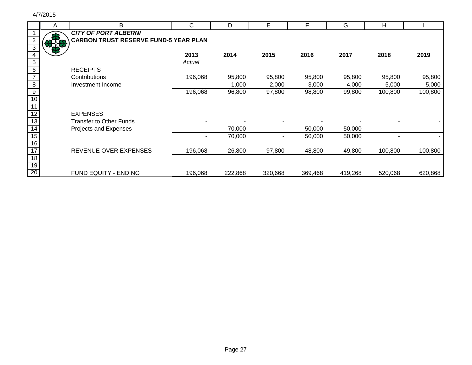|                 | A   | B                                            | C       | D       | Е       |         | G       | H       |         |
|-----------------|-----|----------------------------------------------|---------|---------|---------|---------|---------|---------|---------|
|                 |     | <b>CITY OF PORT ALBERNI</b>                  |         |         |         |         |         |         |         |
|                 | 876 | <b>CARBON TRUST RESERVE FUND-5 YEAR PLAN</b> |         |         |         |         |         |         |         |
| 3               |     |                                              |         |         |         |         |         |         |         |
|                 |     |                                              | 2013    | 2014    | 2015    | 2016    | 2017    | 2018    | 2019    |
| 5               |     |                                              | Actual  |         |         |         |         |         |         |
| $6\phantom{1}6$ |     | <b>RECEIPTS</b>                              |         |         |         |         |         |         |         |
| $\overline{7}$  |     | Contributions                                | 196,068 | 95,800  | 95,800  | 95,800  | 95,800  | 95,800  | 95,800  |
| 8               |     | Investment Income                            |         | 1,000   | 2,000   | 3,000   | 4,000   | 5,000   | 5,000   |
| 9               |     |                                              | 196,068 | 96,800  | 97,800  | 98,800  | 99,800  | 100,800 | 100,800 |
| 10              |     |                                              |         |         |         |         |         |         |         |
| 11              |     |                                              |         |         |         |         |         |         |         |
| 12              |     | <b>EXPENSES</b>                              |         |         |         |         |         |         |         |
| 13              |     | <b>Transfer to Other Funds</b>               |         |         |         |         |         |         |         |
| 14              |     | Projects and Expenses                        |         | 70,000  |         | 50,000  | 50,000  |         |         |
| 15              |     |                                              |         | 70,000  |         | 50,000  | 50,000  |         |         |
| 16              |     |                                              |         |         |         |         |         |         |         |
| $\overline{17}$ |     | REVENUE OVER EXPENSES                        | 196,068 | 26,800  | 97,800  | 48,800  | 49,800  | 100,800 | 100,800 |
| 18              |     |                                              |         |         |         |         |         |         |         |
| 19              |     |                                              |         |         |         |         |         |         |         |
| 20              |     | FUND EQUITY - ENDING                         | 196,068 | 222,868 | 320,668 | 369,468 | 419,268 | 520,068 | 620,868 |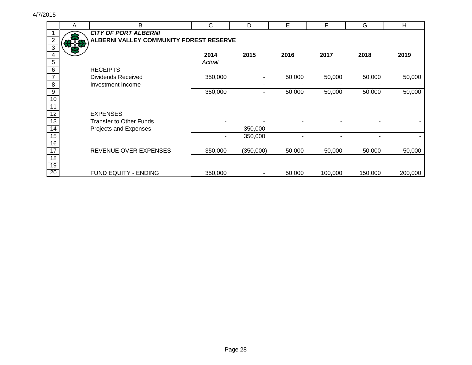|                         | Α | B                                       | C       | D         | E      | F       | G       | Н       |
|-------------------------|---|-----------------------------------------|---------|-----------|--------|---------|---------|---------|
|                         |   | <b>CITY OF PORT ALBERNI</b>             |         |           |        |         |         |         |
| $\overline{2}$          |   | ALBERNI VALLEY COMMUNITY FOREST RESERVE |         |           |        |         |         |         |
| $\mathbf{3}$            |   |                                         |         |           |        |         |         |         |
| 4                       |   |                                         | 2014    | 2015      | 2016   | 2017    | 2018    | 2019    |
| $\sqrt{5}$              |   |                                         | Actual  |           |        |         |         |         |
| $6\phantom{1}6$         |   | <b>RECEIPTS</b>                         |         |           |        |         |         |         |
| $\overline{7}$          |   | <b>Dividends Received</b>               | 350,000 |           | 50,000 | 50,000  | 50,000  | 50,000  |
| $\overline{\mathbf{8}}$ |   | Investment Income                       |         |           |        |         |         |         |
| $\overline{9}$          |   |                                         | 350,000 |           | 50,000 | 50,000  | 50,000  | 50,000  |
| 10                      |   |                                         |         |           |        |         |         |         |
| $\overline{11}$         |   |                                         |         |           |        |         |         |         |
| $\overline{12}$         |   | <b>EXPENSES</b>                         |         |           |        |         |         |         |
| 13                      |   | <b>Transfer to Other Funds</b>          |         |           |        |         |         |         |
| $\overline{14}$         |   | Projects and Expenses                   |         | 350,000   |        |         |         |         |
| 15                      |   |                                         |         | 350,000   |        |         |         |         |
| 16                      |   |                                         |         |           |        |         |         |         |
| 17                      |   | REVENUE OVER EXPENSES                   | 350,000 | (350,000) | 50,000 | 50,000  | 50,000  | 50,000  |
| 18                      |   |                                         |         |           |        |         |         |         |
| 19                      |   |                                         |         |           |        |         |         |         |
| 20                      |   | FUND EQUITY - ENDING                    | 350,000 |           | 50,000 | 100,000 | 150,000 | 200,000 |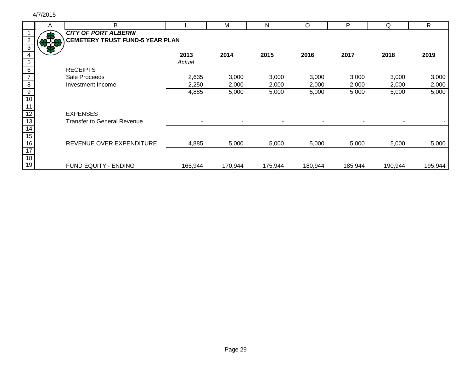|                 | A    | B                                      |         | M       | N       | O       | P       | Q       | R       |
|-----------------|------|----------------------------------------|---------|---------|---------|---------|---------|---------|---------|
|                 |      | <b>CITY OF PORT ALBERNI</b>            |         |         |         |         |         |         |         |
|                 | 37.8 | <b>CEMETERY TRUST FUND-5 YEAR PLAN</b> |         |         |         |         |         |         |         |
| 3               |      |                                        |         |         |         |         |         |         |         |
| 4               |      |                                        | 2013    | 2014    | 2015    | 2016    | 2017    | 2018    | 2019    |
| $5\phantom{.0}$ |      |                                        | Actual  |         |         |         |         |         |         |
| 6               |      | <b>RECEIPTS</b>                        |         |         |         |         |         |         |         |
|                 |      | Sale Proceeds                          | 2,635   | 3,000   | 3,000   | 3,000   | 3,000   | 3,000   | 3,000   |
| $\overline{8}$  |      | Investment Income                      | 2,250   | 2,000   | 2,000   | 2,000   | 2,000   | 2,000   | 2,000   |
| $\overline{9}$  |      |                                        | 4,885   | 5,000   | 5,000   | 5,000   | 5,000   | 5,000   | 5,000   |
| 10              |      |                                        |         |         |         |         |         |         |         |
|                 |      |                                        |         |         |         |         |         |         |         |
| 12              |      | <b>EXPENSES</b>                        |         |         |         |         |         |         |         |
| 13              |      | <b>Transfer to General Revenue</b>     |         |         |         |         |         |         |         |
| 14              |      |                                        |         |         |         |         |         |         |         |
| 15              |      |                                        |         |         |         |         |         |         |         |
| 16              |      | REVENUE OVER EXPENDITURE               | 4,885   | 5,000   | 5,000   | 5,000   | 5,000   | 5,000   | 5,000   |
| 17              |      |                                        |         |         |         |         |         |         |         |
| 18              |      |                                        |         |         |         |         |         |         |         |
| 19              |      | <b>FUND EQUITY - ENDING</b>            | 165,944 | 170,944 | 175,944 | 180,944 | 185,944 | 190,944 | 195,944 |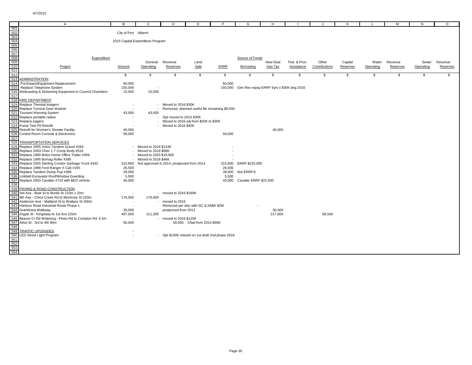|                                                                                                                                                                                                                                 | A                                                    | в                        | C                                                 | D                        | F                                             | F      | G                                                | н.       |              |               | к        |           | м        | N         | $\circ$  |
|---------------------------------------------------------------------------------------------------------------------------------------------------------------------------------------------------------------------------------|------------------------------------------------------|--------------------------|---------------------------------------------------|--------------------------|-----------------------------------------------|--------|--------------------------------------------------|----------|--------------|---------------|----------|-----------|----------|-----------|----------|
|                                                                                                                                                                                                                                 |                                                      |                          |                                                   |                          |                                               |        |                                                  |          |              |               |          |           |          |           |          |
|                                                                                                                                                                                                                                 |                                                      | City of Port Alberni     |                                                   |                          |                                               |        |                                                  |          |              |               |          |           |          |           |          |
|                                                                                                                                                                                                                                 |                                                      |                          |                                                   |                          |                                               |        |                                                  |          |              |               |          |           |          |           |          |
|                                                                                                                                                                                                                                 |                                                      |                          | 2015 Capital Expenditure Program                  |                          |                                               |        |                                                  |          |              |               |          |           |          |           |          |
|                                                                                                                                                                                                                                 |                                                      |                          |                                                   |                          |                                               |        |                                                  |          |              |               |          |           |          |           |          |
|                                                                                                                                                                                                                                 |                                                      |                          |                                                   |                          |                                               |        |                                                  |          |              |               |          |           |          |           |          |
|                                                                                                                                                                                                                                 |                                                      |                          |                                                   |                          |                                               |        |                                                  |          |              |               |          |           |          |           |          |
|                                                                                                                                                                                                                                 | Expenditure                                          |                          |                                                   |                          |                                               |        | Source of Funds                                  |          |              |               |          |           |          |           |          |
|                                                                                                                                                                                                                                 |                                                      |                          |                                                   | General Revenue          | Land                                          |        |                                                  | New Deal | Fed. & Prov. | Other         | Capital  | Water     | Revenue  | Sewer     | Revenue  |
|                                                                                                                                                                                                                                 | Project                                              | Amount                   | Operating                                         | Reserves                 | Sale                                          | ERRF   | Borrowing                                        | Gas Tax  | Assistance   | Contributions | Reserves | Operating | Reserves | Operating | Reserves |
|                                                                                                                                                                                                                                 |                                                      |                          |                                                   |                          |                                               |        |                                                  |          |              |               |          |           |          |           |          |
|                                                                                                                                                                                                                                 |                                                      | \$                       | \$                                                | \$                       | \$                                            | \$     | \$                                               | \$       | \$           | \$            | \$       | \$        | \$       | \$        | \$       |
|                                                                                                                                                                                                                                 | <b>ADMINISTRATION</b>                                |                          |                                                   |                          |                                               |        |                                                  |          |              |               |          |           |          |           |          |
|                                                                                                                                                                                                                                 | Purchases/Equipment Replacement                      | 60,000                   |                                                   |                          |                                               | 60,000 |                                                  |          |              |               |          |           |          |           |          |
|                                                                                                                                                                                                                                 | Replace Telephone System                             | 150,000                  |                                                   |                          |                                               |        | 150,000 Gen Rev repay ERRF 5yrs x \$30K beg 2016 |          |              |               |          |           |          |           |          |
|                                                                                                                                                                                                                                 | Webcasting & Streaming Equipment in Council Chambers | 15,000                   | 15,000                                            |                          |                                               |        |                                                  |          |              |               |          |           |          |           |          |
|                                                                                                                                                                                                                                 |                                                      |                          |                                                   |                          |                                               |        |                                                  |          |              |               |          |           |          |           |          |
|                                                                                                                                                                                                                                 | <b>FIRE DEPARTMENT</b>                               |                          |                                                   |                          |                                               |        |                                                  |          |              |               |          |           |          |           |          |
|                                                                                                                                                                                                                                 | Replace Thermal Imagers                              | $\overline{\phantom{a}}$ |                                                   | Moved to 2016 \$30K      |                                               |        |                                                  |          |              |               |          |           |          |           |          |
|                                                                                                                                                                                                                                 | Replace Turnout Gear Washer                          |                          |                                                   |                          | Removed, deemed useful life remaining \$9,000 |        |                                                  |          |              |               |          |           |          |           |          |
|                                                                                                                                                                                                                                 | <b>Tsunami Warning System</b>                        | 43,000                   | 43,000                                            |                          |                                               |        |                                                  |          |              |               |          |           |          |           |          |
|                                                                                                                                                                                                                                 | Replace portable radios                              |                          |                                                   | Opt moved to 2016 \$30K  |                                               |        |                                                  |          |              |               |          |           |          |           |          |
|                                                                                                                                                                                                                                 | Replace pagers                                       | $\overline{\phantom{a}}$ |                                                   |                          | - Moved to 2016 adj from \$20K to \$30K       |        |                                                  |          |              |               |          |           |          |           |          |
|                                                                                                                                                                                                                                 | Pump Test Pit Retrofit                               |                          |                                                   | Moved to 2016 \$40K      |                                               |        |                                                  |          |              |               |          |           |          |           |          |
|                                                                                                                                                                                                                                 | Retrofit for Women's Shower Facility                 | 40,000                   |                                                   |                          |                                               |        |                                                  | 40,000   |              |               |          |           |          |           |          |
|                                                                                                                                                                                                                                 | Control Room Console & Electronics                   | 58,000                   |                                                   |                          |                                               | 58,000 |                                                  |          |              |               |          |           |          |           |          |
|                                                                                                                                                                                                                                 |                                                      |                          |                                                   |                          |                                               |        |                                                  |          |              |               |          |           |          |           |          |
|                                                                                                                                                                                                                                 | <b>TRANSPORTATION SERVICES</b>                       |                          |                                                   |                          |                                               |        |                                                  |          |              |               |          |           |          |           |          |
|                                                                                                                                                                                                                                 | Replace 2005 Volvo Tandem Gravel #264                |                          | Moved to 2018 \$143K                              |                          |                                               |        |                                                  |          |              |               |          |           |          |           |          |
|                                                                                                                                                                                                                                 | Replace 2003 Chev 1 T Comp Body #518                 |                          | Moved to 2018 \$68K                               |                          |                                               |        |                                                  |          |              |               |          |           |          |           |          |
|                                                                                                                                                                                                                                 | Replace 1990 Britco Home Office Trailer #369         |                          | Moved to 2020 \$19,900                            |                          |                                               |        |                                                  |          |              |               |          |           |          |           |          |
|                                                                                                                                                                                                                                 | Replace 1995 Bomag Roller #395                       |                          | Moved to 2018 \$46K                               |                          |                                               |        |                                                  |          |              |               |          |           |          |           |          |
|                                                                                                                                                                                                                                 | Replace 2005 Sterling Condor Garbage Truck #432      |                          | 315,600 Not approved in 2014, postponed from 2014 |                          |                                               |        | 315,600 ERRF \$225,000                           |          |              |               |          |           |          |           |          |
|                                                                                                                                                                                                                                 | Replace 1998 Ford Ranger X Cab #165                  | 26,500                   |                                                   |                          |                                               | 26,500 |                                                  |          |              |               |          |           |          |           |          |
|                                                                                                                                                                                                                                 | Replace Tandem Dump Pup #386                         | 39,000                   |                                                   |                          |                                               |        | 39,000 Not ERRF'd                                |          |              |               |          |           |          |           |          |
|                                                                                                                                                                                                                                 | Linkbelt Excavator Roof/Window Guarding              | 5,500                    |                                                   |                          |                                               | 5,500  |                                                  |          |              |               |          |           |          |           |          |
| ದ ದಿ ಪ್ರತಿಧಿ ಪ್ರಶಾಸ ಪ್ರಶಾಸ ಪ್ರಶಾಸ ಪ್ರಶಾಸ ಪ್ರಶಾಸ ಮತ್ತು ಪ್ರಶಾಸ ಪ್ರಶಾಸ ಪ್ರಶಾಸ ಪ್ರಶಾಸ ಪ್ರಶಾಸ ಪ್ರಶಾಸ ಪ್ರಶಾಸ ಪ್ರಶಾಸ<br>ದಿ ದಿ ಪ್ರಶಾಸ ಪ್ರಶಾಸ ಪ್ರಶಾಸ ಪ್ರಶಾಸ ಪ್ರಶಾಸ ಪ್ರಶಾಸ ಪ್ರಶಾಸ ಪ್ರಶಾಸ ಪ್ರಶಾಸ ಪ್ರಶಾಸ ಪ್ರಶಾಸ ಪ್ರಶಾಸ ಪ್ರಶಾಸ ಪ್ರಶಾಸ ಪ್ರಶಾಸ | Replace 2003 Cavalier #719 with BEO vehicle          | 45,000                   |                                                   |                          |                                               |        | 45,000 Cavalier ERRF \$22,500                    |          |              |               |          |           |          |           |          |
|                                                                                                                                                                                                                                 |                                                      |                          |                                                   |                          |                                               |        |                                                  |          |              |               |          |           |          |           |          |
|                                                                                                                                                                                                                                 | <u>PAVING &amp; ROAD CONSTRUCTION</u>                |                          |                                                   |                          |                                               |        |                                                  |          |              |               |          |           |          |           |          |
|                                                                                                                                                                                                                                 | 3rd Ave - Bute St to Burde St 210m x 20m             |                          |                                                   | - moved to $2016$ \$190K |                                               |        |                                                  |          |              |               |          |           |          |           |          |
|                                                                                                                                                                                                                                 | 9th Ave - China Creek Rd to Montrose St 220m         | 176,000                  | 176,000                                           |                          |                                               |        |                                                  |          |              |               |          |           |          |           |          |
|                                                                                                                                                                                                                                 | Anderson Ave - Maitland St to Wallace St 200m        |                          |                                                   | moved to 2016            |                                               |        |                                                  |          |              |               |          |           |          |           |          |
|                                                                                                                                                                                                                                 | Harbour Road Industrial Route Phase 1                | $\sim$                   |                                                   |                          | Removed per disc with GC & KMW \$2M           |        |                                                  |          |              |               |          |           |          |           |          |
|                                                                                                                                                                                                                                 | Grandview Walkway                                    | 30,000                   |                                                   | postponed from 2013      |                                               |        |                                                  | 30,000   |              |               |          |           |          |           |          |
|                                                                                                                                                                                                                                 | Argyle St - Kingsway to 1st Ave 220m                 | 497,600                  | 211,300                                           |                          |                                               |        |                                                  | 217,800  |              | 68,500        |          |           |          |           |          |
|                                                                                                                                                                                                                                 | Beaver Cr Rd Widening - Pineo Rd to Compton Rd .6 km | ٠.                       |                                                   | moved to 2016 \$120K     |                                               |        |                                                  |          |              |               |          |           |          |           |          |
|                                                                                                                                                                                                                                 | Athol St - 3rd to 4th 90m                            | 50,000                   |                                                   |                          | 50,000 Cfwd from 2014 \$50K                   |        |                                                  |          |              |               |          |           |          |           |          |
|                                                                                                                                                                                                                                 |                                                      |                          |                                                   |                          |                                               |        |                                                  |          |              |               |          |           |          |           |          |
|                                                                                                                                                                                                                                 | <b>TRAFFIC UPGRADES</b>                              |                          |                                                   |                          |                                               |        |                                                  |          |              |               |          |           |          |           |          |
|                                                                                                                                                                                                                                 | LED Street Light Program                             | $\sim$                   |                                                   |                          | Opt \$100K missed on 1st draft 2nd phase 2016 |        |                                                  |          |              |               |          |           |          |           |          |
|                                                                                                                                                                                                                                 |                                                      |                          |                                                   |                          |                                               |        |                                                  |          |              |               |          |           |          |           |          |
|                                                                                                                                                                                                                                 |                                                      |                          |                                                   |                          |                                               |        |                                                  |          |              |               |          |           |          |           |          |
|                                                                                                                                                                                                                                 |                                                      |                          |                                                   |                          |                                               |        |                                                  |          |              |               |          |           |          |           |          |
|                                                                                                                                                                                                                                 |                                                      |                          |                                                   |                          |                                               |        |                                                  |          |              |               |          |           |          |           |          |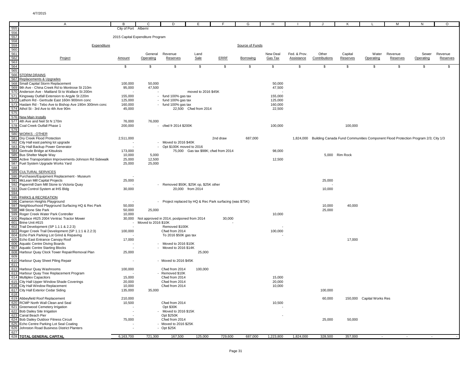|            | Α                                                                                                     | в                    | С                                | D                                                         | Е                     | F                                    | G               | н                   |                            |                                                                                             | K                   |                           | М                   | ${\sf N}$          | $\circ$             |
|------------|-------------------------------------------------------------------------------------------------------|----------------------|----------------------------------|-----------------------------------------------------------|-----------------------|--------------------------------------|-----------------|---------------------|----------------------------|---------------------------------------------------------------------------------------------|---------------------|---------------------------|---------------------|--------------------|---------------------|
| 555        |                                                                                                       | City of Port Alberni |                                  |                                                           |                       |                                      |                 |                     |                            |                                                                                             |                     |                           |                     |                    |                     |
|            |                                                                                                       |                      |                                  |                                                           |                       |                                      |                 |                     |                            |                                                                                             |                     |                           |                     |                    |                     |
|            |                                                                                                       |                      | 2015 Capital Expenditure Program |                                                           |                       |                                      |                 |                     |                            |                                                                                             |                     |                           |                     |                    |                     |
|            | Expenditure                                                                                           |                      |                                  |                                                           |                       |                                      | Source of Funds |                     |                            |                                                                                             |                     |                           |                     |                    |                     |
|            |                                                                                                       |                      |                                  |                                                           |                       |                                      |                 |                     |                            |                                                                                             |                     |                           |                     |                    |                     |
|            | Project                                                                                               | Amount               | General<br>Operating             | Revenue<br>Reserves                                       | Land<br>Sale          | ERRF                                 | Borrowing       | New Deal<br>Gas Tax | Fed. & Prov.<br>Assistance | Other<br>Contributions                                                                      | Capital<br>Reserves | Water<br>Operating        | Revenue<br>Reserves | Sewer<br>Operating | Revenue<br>Reserves |
|            |                                                                                                       |                      |                                  |                                                           |                       |                                      |                 |                     |                            |                                                                                             |                     |                           |                     |                    |                     |
|            |                                                                                                       | \$                   | \$                               | \$                                                        | \$                    | \$                                   | \$              | \$                  | \$                         | \$                                                                                          | \$                  | \$                        | \$                  | \$                 | \$                  |
|            |                                                                                                       |                      |                                  |                                                           |                       |                                      |                 |                     |                            |                                                                                             |                     |                           |                     |                    |                     |
|            | 567 Replacements & Upgrades                                                                           |                      |                                  |                                                           |                       |                                      |                 |                     |                            |                                                                                             |                     |                           |                     |                    |                     |
|            | 568 Small Capital Storm Replacement                                                                   | 100,000              | 50,000                           |                                                           |                       |                                      |                 | 50,000              |                            |                                                                                             |                     |                           |                     |                    |                     |
|            | 569 9th Ave - China Creek Rd to Montrose St 210m                                                      | 95,000               | 47,500                           |                                                           |                       |                                      |                 | 47,500              |                            |                                                                                             |                     |                           |                     |                    |                     |
|            | 570 Anderson Ave - Maitland St to Wallace St 200m<br>571 Kingsway Outfall Extension to Argyle St 220m | 155,000              |                                  | - fund 100% gas tax                                       | moved to 2016 \$45K   |                                      |                 | 155,000             |                            |                                                                                             |                     |                           |                     |                    |                     |
|            | 572 Lathom Rd - Gertrude East 160m 900mm conc                                                         | 125,000              |                                  | - fund 100% gas tax                                       |                       |                                      |                 | 125,000             |                            |                                                                                             |                     |                           |                     |                    |                     |
|            | 573 Haslam Rd - Tebo Ave to Bishop Ave 190m 300mm conc                                                | 160,000              |                                  | - fund 100% gas tax                                       |                       |                                      |                 | 160,000             |                            |                                                                                             |                     |                           |                     |                    |                     |
|            | 574 Athol St - 3rd Ave to 4th Ave 90m                                                                 | 45,000               |                                  |                                                           | 22,500 Cfwd from 2014 |                                      |                 | 22,500              |                            |                                                                                             |                     |                           |                     |                    |                     |
| 575        |                                                                                                       |                      |                                  |                                                           |                       |                                      |                 |                     |                            |                                                                                             |                     |                           |                     |                    |                     |
|            | 576 New Main Installs<br>577 4th Ave and Neil St N 170m                                               | 76,000               | 76,000                           |                                                           |                       |                                      |                 |                     |                            |                                                                                             |                     |                           |                     |                    |                     |
|            | 578 Coal Creek Outfall Phase 1                                                                        | 200,000              |                                  | - cfwd fr 2014 \$200K                                     |                       |                                      |                 | 100,000             |                            |                                                                                             | 100,000             |                           |                     |                    |                     |
| 579        |                                                                                                       |                      |                                  |                                                           |                       |                                      |                 |                     |                            |                                                                                             |                     |                           |                     |                    |                     |
|            | 580 WORKS - OTHER<br>581 Dry Creek Flood Protection                                                   | 2,511,000            |                                  |                                                           |                       | 2nd draw                             | 687,000         |                     |                            | 1,824,000 Building Canada Fund Communities Component Flood Protection Program 2/3; City 1/3 |                     |                           |                     |                    |                     |
|            | 582 City Hall east parking lot upgrade                                                                |                      |                                  | - Moved to 2016 \$40K                                     |                       |                                      |                 |                     |                            |                                                                                             |                     |                           |                     |                    |                     |
|            | 583 City Hall Backup Power Generator                                                                  |                      |                                  | Opt \$100K moved to 2016                                  |                       |                                      |                 |                     |                            |                                                                                             |                     |                           |                     |                    |                     |
|            | 584 Gertrude Bridge at Kitsuksis                                                                      | 173,000              |                                  |                                                           |                       | 75,000 Gas tax \$98K; cfwd from 2014 |                 | 98,000              |                            |                                                                                             |                     |                           |                     |                    |                     |
|            | 585 Bus Shelter Maple Way<br>586 Active Transportation Improvements-Johnson Rd Sidewalk               | 10,000<br>25,000     | 5,000<br>12,500                  |                                                           |                       |                                      |                 | 12,500              |                            |                                                                                             | 5,000 Rim Rock      |                           |                     |                    |                     |
|            |                                                                                                       | 25,000               | 25,000                           |                                                           |                       |                                      |                 |                     |                            |                                                                                             |                     |                           |                     |                    |                     |
|            | 587 Fuel System Upgrade Works Yard<br>588                                                             |                      |                                  |                                                           |                       |                                      |                 |                     |                            |                                                                                             |                     |                           |                     |                    |                     |
|            | 589 CULTURAL SERVICES<br>590 Purchases/Equipment Replacement - Museum                                 |                      |                                  |                                                           |                       |                                      |                 |                     |                            |                                                                                             |                     |                           |                     |                    |                     |
|            | 591 McLean Mill Capital Projects                                                                      | 25,000               |                                  |                                                           |                       |                                      |                 |                     |                            | 25,000                                                                                      |                     |                           |                     |                    |                     |
|            | 592 Papermill Dam Mill Stone to Victoria Quay                                                         |                      |                                  | - Removed \$50K; \$25K op, \$25K other                    |                       |                                      |                 |                     |                            |                                                                                             |                     |                           |                     |                    |                     |
|            | 593 Dust Control System at IHS Bldg                                                                   | 30,000               |                                  |                                                           | 20,000 from 2014      |                                      |                 |                     |                            | 10,000                                                                                      |                     |                           |                     |                    |                     |
| 594<br>595 | <b>PARKS &amp; RECREATION</b>                                                                         |                      |                                  |                                                           |                       |                                      |                 |                     |                            |                                                                                             |                     |                           |                     |                    |                     |
|            | 596 Cameron Heights Playground                                                                        |                      |                                  | - Project replaced by HQ & Rec Park surfacing (was \$75K) |                       |                                      |                 |                     |                            |                                                                                             |                     |                           |                     |                    |                     |
|            | 597 Neighbourhood Playground Surfacing HQ & Rec Park                                                  | 50,000               |                                  |                                                           |                       |                                      |                 |                     |                            | 10,000                                                                                      | 40,000              |                           |                     |                    |                     |
|            | 598 Mill Stone Site Park                                                                              | 50,000               | 25,000                           |                                                           |                       |                                      |                 |                     |                            | 25,000                                                                                      |                     |                           |                     |                    |                     |
|            | 599 Roger Creek Water Park Controller<br>600 Replace #625 2004 Ventrac Tractor Mower                  | 10,000<br>30,000     |                                  | Not approved in 2014, postponed from 2014                 |                       | 30,000                               |                 | 10,000              |                            |                                                                                             |                     |                           |                     |                    |                     |
|            | 601 Brine Unit #615                                                                                   |                      | Moved to 2016 \$10K              |                                                           |                       |                                      |                 |                     |                            |                                                                                             |                     |                           |                     |                    |                     |
|            | 602 Trail Development (SP 1.1:1 & 2.2:3)                                                              |                      |                                  | Removed \$100K                                            |                       |                                      |                 |                     |                            |                                                                                             |                     |                           |                     |                    |                     |
|            | 603 Roger Creek Trail Development (SP 1.1:1 & 2.2:3)<br>604 Echo Park Parking Lot Grind & Repaving    | 100,000              |                                  | Cfwd from 2014<br>To 2016 \$50K gas tax                   |                       |                                      |                 | 100,000             |                            |                                                                                             |                     |                           |                     |                    |                     |
|            | 605 Echo East Entrance Canopy Roof                                                                    | 17,000               |                                  |                                                           |                       |                                      |                 |                     |                            |                                                                                             | 17,000              |                           |                     |                    |                     |
|            | 606 Aquatic Centre Diving Boards                                                                      |                      |                                  | - Moved to 2016 \$10K                                     |                       |                                      |                 |                     |                            |                                                                                             |                     |                           |                     |                    |                     |
|            | 607 Aquatic Centre Starting Blocks                                                                    |                      |                                  | Moved to 2016 \$14K                                       |                       |                                      |                 |                     |                            |                                                                                             |                     |                           |                     |                    |                     |
| 609        | 608 Harbour Quay Clock Tower Repair/Removal Plan                                                      | 25,000               |                                  |                                                           | 25,000                |                                      |                 |                     |                            |                                                                                             |                     |                           |                     |                    |                     |
|            | 610 Harbour Quay Sheet Piling Repair                                                                  |                      |                                  | - Moved to 2016 \$45K                                     |                       |                                      |                 |                     |                            |                                                                                             |                     |                           |                     |                    |                     |
| 611        |                                                                                                       |                      |                                  |                                                           |                       |                                      |                 |                     |                            |                                                                                             |                     |                           |                     |                    |                     |
|            | 612 Harbour Quay Washrooms<br>613 Harbour Quay Tree Replacement Program                               | 100,000              |                                  | Cfwd from 2014<br>Removed \$10K                           | 100,000               |                                      |                 |                     |                            |                                                                                             |                     |                           |                     |                    |                     |
|            | 614 Multiplex Capacitors                                                                              | 15,000               |                                  | Cfwd from 2014                                            |                       |                                      |                 | 15,000              |                            |                                                                                             |                     |                           |                     |                    |                     |
|            | 615 City Hall Upper Window Shade Coverings                                                            | 20,000               |                                  | Cfwd from 2014                                            |                       |                                      |                 | 20,000              |                            |                                                                                             |                     |                           |                     |                    |                     |
|            | 616 City Hall Window Replacement                                                                      | 10,000               |                                  | Cfwd from 2014                                            |                       |                                      |                 | 10,000              |                            |                                                                                             |                     |                           |                     |                    |                     |
|            | 617 City Hall Exterior Cedar Siding<br>618                                                            | 135,000              | 35,000                           |                                                           |                       |                                      |                 |                     |                            | 100,000                                                                                     |                     |                           |                     |                    |                     |
|            | 619 Abbeyfield Roof Replacement                                                                       | 210,000              |                                  |                                                           |                       |                                      |                 |                     |                            | 60,000                                                                                      |                     | 150,000 Capital Works Res |                     |                    |                     |
|            | 620 RCMP North Wall Clean and Seal                                                                    | 10,500               |                                  | Cfwd from 2014                                            |                       |                                      |                 | 10,500              |                            |                                                                                             |                     |                           |                     |                    |                     |
|            | 621 Greenwood Cemetery Irrigation<br>622 Bob Dailey Site Irrigation                                   |                      |                                  | Opt \$30K<br>- Moved to 2016 \$15K                        |                       |                                      |                 |                     |                            |                                                                                             |                     |                           |                     |                    |                     |
|            | 623 Canal Beach Pier                                                                                  |                      |                                  | Opt \$250K                                                |                       |                                      |                 |                     |                            |                                                                                             |                     |                           |                     |                    |                     |
|            | 624 Bob Dailey Outdoor Fitness Circuit                                                                | 75,000               |                                  | Cfwd from 2014                                            |                       |                                      |                 |                     |                            | 25,000                                                                                      | 50,000              |                           |                     |                    |                     |
|            | 625 Echo Centre Parking Lot Seal Coating                                                              |                      |                                  | - Moved to 2016 \$25K                                     |                       |                                      |                 |                     |                            |                                                                                             |                     |                           |                     |                    |                     |
| 627        | 626 Johnston Road Business District Planters                                                          |                      |                                  | - Opt $$25K$                                              |                       |                                      |                 |                     |                            |                                                                                             |                     |                           |                     |                    |                     |
|            | 628 TOTAL GENERAL CAPITAL                                                                             | 6,163,700            | 721,300                          | 167,500                                                   | 125,000               | 729,600                              | 687,000         | 1,223,800           | 1,824,000                  | 328,500                                                                                     | 357,000             |                           |                     |                    |                     |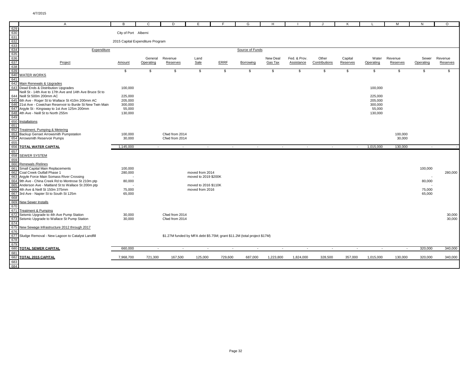|                   | $\mathsf{A}$                                                                                      | в                    |                                  | D              | Е                                       |         | G                                                                       | н         |              |               |                          |           | M                        | N         | $\circ$      |
|-------------------|---------------------------------------------------------------------------------------------------|----------------------|----------------------------------|----------------|-----------------------------------------|---------|-------------------------------------------------------------------------|-----------|--------------|---------------|--------------------------|-----------|--------------------------|-----------|--------------|
| 629               |                                                                                                   |                      |                                  |                |                                         |         |                                                                         |           |              |               |                          |           |                          |           |              |
| 630               |                                                                                                   | City of Port Alberni |                                  |                |                                         |         |                                                                         |           |              |               |                          |           |                          |           |              |
| 631               |                                                                                                   |                      |                                  |                |                                         |         |                                                                         |           |              |               |                          |           |                          |           |              |
| 632<br>633        |                                                                                                   |                      | 2015 Capital Expenditure Program |                |                                         |         |                                                                         |           |              |               |                          |           |                          |           |              |
|                   | Expenditure                                                                                       |                      |                                  |                |                                         |         | Source of Funds                                                         |           |              |               |                          |           |                          |           |              |
| $\frac{634}{635}$ |                                                                                                   |                      |                                  |                |                                         |         |                                                                         |           |              |               |                          |           |                          |           |              |
|                   |                                                                                                   |                      | General                          | Revenue        | Land                                    |         |                                                                         | New Deal  | Fed. & Prov. | Other         | Capital                  | Water     | Revenue                  | Sewer     | Revenue      |
| 637<br>638        | Project                                                                                           | Amount               | Operating                        | Reserves       | Sale                                    | ERRF    | Borrowing                                                               | Gas Tax   | Assistance   | Contributions | Reserves                 | Operating | Reserves                 | Operating | Reserves     |
| 639               |                                                                                                   | \$                   | \$                               | \$             | \$                                      | \$      | $\mathbb{S}$                                                            | \$        | \$           | \$            | \$                       | \$        | \$                       | \$        | $\mathbb{S}$ |
|                   | 640 WATER WORKS                                                                                   |                      |                                  |                |                                         |         |                                                                         |           |              |               |                          |           |                          |           |              |
| 641               |                                                                                                   |                      |                                  |                |                                         |         |                                                                         |           |              |               |                          |           |                          |           |              |
|                   | 642 Main Renewals & Upgrades                                                                      |                      |                                  |                |                                         |         |                                                                         |           |              |               |                          |           |                          |           |              |
|                   | 643 Dead Ends & Distribution Upgrades<br>Neill St - 14th Ave to 17th Ave and 14th Ave Bruce St to | 100,000              |                                  |                |                                         |         |                                                                         |           |              |               |                          | 100,000   |                          |           |              |
|                   | 644 Neill St 500m 200mm AC                                                                        | 225,000              |                                  |                |                                         |         |                                                                         |           |              |               |                          | 225,000   |                          |           |              |
|                   | 645 6th Ave - Roger St to Wallace St 410m 200mm AC                                                | 205,000              |                                  |                |                                         |         |                                                                         |           |              |               |                          | 205,000   |                          |           |              |
|                   | 646 21st Ave - Cowichan Reservoir to Burde St New Twin Main                                       | 300,000              |                                  |                |                                         |         |                                                                         |           |              |               |                          | 300,000   |                          |           |              |
|                   | 647 Argyle St - Kingsway to 1st Ave 125m 200mm                                                    | 55,000               |                                  |                |                                         |         |                                                                         |           |              |               |                          | 55,000    |                          |           |              |
| 648<br>649        | 4th Ave - Neill St to North 255m                                                                  | 130,000              |                                  |                |                                         |         |                                                                         |           |              |               |                          | 130,000   |                          |           |              |
| 650               | Installations                                                                                     |                      |                                  |                |                                         |         |                                                                         |           |              |               |                          |           |                          |           |              |
| 651               |                                                                                                   |                      |                                  |                |                                         |         |                                                                         |           |              |               |                          |           |                          |           |              |
| 652               | Treatment, Pumping & Metering                                                                     |                      |                                  |                |                                         |         |                                                                         |           |              |               |                          |           |                          |           |              |
| 653               | Backup Genset Arrowsmith Pumpstation                                                              | 100,000              |                                  | Cfwd from 2014 |                                         |         |                                                                         |           |              |               |                          |           | 100,000                  |           |              |
| 654<br>655        | Arrowsmith Reservoir Pumps                                                                        | 30,000               |                                  | Cfwd from 2014 |                                         |         |                                                                         |           |              |               |                          |           | 30,000                   |           |              |
| 656               | <b>TOTAL WATER CAPITAL</b>                                                                        | 1,145,000            | $\sim$                           | $\sim$         | $\sim$                                  | $\sim$  | $\sim$                                                                  | $\sim$    | $\sim$       | $\sim$        | $\sim$                   | 1,015,000 | 130,000                  | $\sim$    |              |
| 657               |                                                                                                   |                      |                                  |                |                                         |         |                                                                         |           |              |               |                          |           |                          |           |              |
| 658               | <b>SEWER SYSTEM</b>                                                                               |                      |                                  |                |                                         |         |                                                                         |           |              |               |                          |           |                          |           |              |
| 659               |                                                                                                   |                      |                                  |                |                                         |         |                                                                         |           |              |               |                          |           |                          |           |              |
|                   | 660 Renewals / Relines<br>661 Small Capital Main Replacements                                     | 100,000              |                                  |                |                                         |         |                                                                         |           |              |               |                          |           |                          | 100,000   |              |
|                   | 662 Coal Creek Outfall Phase 1                                                                    | 280,000              |                                  |                | moved from 2014                         |         |                                                                         |           |              |               |                          |           |                          |           | 280,000      |
|                   | 663 Argyle Force Main Somass River Crossing                                                       |                      |                                  |                | moved to 2019 \$200K                    |         |                                                                         |           |              |               |                          |           |                          |           |              |
|                   | 664 9th Ave - China Creek Rd to Montrose St 210m ptp                                              | 80,000               |                                  |                |                                         |         |                                                                         |           |              |               |                          |           |                          | 80,000    |              |
|                   | 665 Anderson Ave - Maitland St to Wallace St 200m ptp<br>666 4th Ave & Neill St 150m 375mm        | 75,000               |                                  |                | moved to 2016 \$110K<br>moved from 2016 |         |                                                                         |           |              |               |                          |           |                          | 75,000    |              |
| 667               | 3rd Ave - Napier St to South St 125m                                                              | 65,000               |                                  |                |                                         |         |                                                                         |           |              |               |                          |           |                          | 65,000    |              |
| 668               |                                                                                                   |                      |                                  |                |                                         |         |                                                                         |           |              |               |                          |           |                          |           |              |
| 669               | <b>New Sewer Installs</b>                                                                         |                      |                                  |                |                                         |         |                                                                         |           |              |               |                          |           |                          |           |              |
| 670               |                                                                                                   |                      |                                  |                |                                         |         |                                                                         |           |              |               |                          |           |                          |           |              |
| 671               | <b>Treatment &amp; Pumping</b><br>672 Seismic Upgrade to 4th Ave Pump Station                     | 30,000               |                                  | Cfwd from 2014 |                                         |         |                                                                         |           |              |               |                          |           |                          |           | 30,000       |
|                   | 673 Seismic Upgrade to Wallace St Pump Station                                                    | 30,000               |                                  | Cfwd from 2014 |                                         |         |                                                                         |           |              |               |                          |           |                          |           | 30,000       |
| 674               |                                                                                                   |                      |                                  |                |                                         |         |                                                                         |           |              |               |                          |           |                          |           |              |
| 675               | New Sewage Infrastructure 2012 through 2017                                                       |                      |                                  |                |                                         |         |                                                                         |           |              |               |                          |           |                          |           |              |
| 676<br>677        |                                                                                                   |                      |                                  |                |                                         |         |                                                                         |           |              |               |                          |           |                          |           |              |
| 678               | Sludge Removal - New Lagoon to Catalyst Landfill                                                  |                      |                                  |                |                                         |         | \$1.27M funded by MFA debt \$5.75M; grant \$11.2M (total project \$17M) |           |              |               |                          |           |                          |           |              |
| 679               |                                                                                                   |                      |                                  |                |                                         |         |                                                                         |           |              |               |                          |           |                          |           |              |
| 680               | <b>TOTAL SEWER CAPITAL</b>                                                                        | 660,000              | $\blacksquare$                   | $\sim$         | $\sim$                                  | $\sim$  |                                                                         |           | $\sim$       | $\sim$        | $\overline{\phantom{a}}$ |           | $\overline{\phantom{a}}$ | 320,000   | 340,000      |
| 681               |                                                                                                   |                      |                                  |                |                                         |         |                                                                         |           |              |               |                          |           |                          |           |              |
| 682               | <b>TOTAL 2015 CAPITAL</b>                                                                         | 7,968,700            | 721,300                          | 167,500        | 125,000                                 | 729,600 | 687,000                                                                 | 1,223,800 | 1,824,000    | 328,500       | 357,000                  | 1,015,000 | 130,000                  | 320,000   | 340,000      |
| 683<br>684        |                                                                                                   |                      |                                  |                |                                         |         |                                                                         |           |              |               |                          |           |                          |           |              |
|                   |                                                                                                   |                      |                                  |                |                                         |         |                                                                         |           |              |               |                          |           |                          |           |              |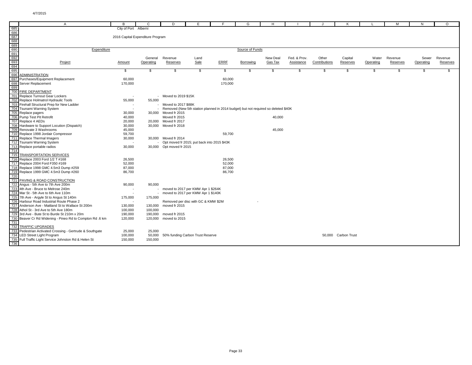|            | $\overline{A}$                                              | в                                | С         | D                                             | Е    |                                                                                    | G               | н        |              |               | К                   |           | M        | N         | $\circ$  |
|------------|-------------------------------------------------------------|----------------------------------|-----------|-----------------------------------------------|------|------------------------------------------------------------------------------------|-----------------|----------|--------------|---------------|---------------------|-----------|----------|-----------|----------|
| 685        |                                                             | City of Port Alberni             |           |                                               |      |                                                                                    |                 |          |              |               |                     |           |          |           |          |
|            |                                                             |                                  |           |                                               |      |                                                                                    |                 |          |              |               |                     |           |          |           |          |
|            |                                                             | 2016 Capital Expenditure Program |           |                                               |      |                                                                                    |                 |          |              |               |                     |           |          |           |          |
|            |                                                             |                                  |           |                                               |      |                                                                                    |                 |          |              |               |                     |           |          |           |          |
|            |                                                             |                                  |           |                                               |      |                                                                                    |                 |          |              |               |                     |           |          |           |          |
|            | Expenditure                                                 |                                  |           |                                               |      |                                                                                    | Source of Funds |          |              |               |                     |           |          |           |          |
|            |                                                             |                                  |           |                                               |      |                                                                                    |                 |          |              |               |                     |           |          |           |          |
|            |                                                             |                                  | General   | Revenue                                       | Land |                                                                                    |                 | New Deal | Fed. & Prov. | Other         | Capital             | Water     | Revenue  | Sewer     | Revenue  |
|            | Project                                                     | Amount                           | Operating | Reserves                                      | Sale | ERRF                                                                               | Borrowing       | Gas Tax  | Assistance   | Contributions | Reserves            | Operating | Reserves | Operating | Reserves |
|            |                                                             |                                  |           |                                               |      |                                                                                    |                 |          |              |               |                     |           |          |           |          |
|            |                                                             | \$                               | \$        | \$                                            | \$   | \$                                                                                 | \$              | \$       | \$           | \$            | \$                  | S.        | <b>S</b> | \$        | \$       |
|            | ADMINISTRATION                                              |                                  |           |                                               |      |                                                                                    |                 |          |              |               |                     |           |          |           |          |
|            | Purchases/Equipment Replacement                             | 60,000                           |           |                                               |      | 60,000                                                                             |                 |          |              |               |                     |           |          |           |          |
|            | Server Replacement                                          | 170,000                          |           |                                               |      | 170,000                                                                            |                 |          |              |               |                     |           |          |           |          |
|            |                                                             |                                  |           |                                               |      |                                                                                    |                 |          |              |               |                     |           |          |           |          |
|            | <b>FIRE DEPARTMENT</b>                                      |                                  |           |                                               |      |                                                                                    |                 |          |              |               |                     |           |          |           |          |
|            | Replace Turnout Gear Lockers                                |                                  |           | - Moved to 2019 \$15K                         |      |                                                                                    |                 |          |              |               |                     |           |          |           |          |
|            | Replace Holmatrol Hydraulic Tools                           | 55,000                           | 55,000    |                                               |      |                                                                                    |                 |          |              |               |                     |           |          |           |          |
|            | Firehall Structural Prep for New Ladder                     | $\sim$                           |           | Moved to 2017 \$88K                           |      |                                                                                    |                 |          |              |               |                     |           |          |           |          |
|            | Tsunami Warning System                                      |                                  |           |                                               |      | Removed (New 5th station planned in 2014 budget) but not required so deleted \$40K |                 |          |              |               |                     |           |          |           |          |
|            | Replace pagers                                              | 30,000                           |           | 30,000 Moved fr 2015                          |      |                                                                                    |                 |          |              |               |                     |           |          |           |          |
|            | Pump Test Pit Retrofit                                      | 40,000                           |           | Moved fr 2015                                 |      |                                                                                    |                 | 40,000   |              |               |                     |           |          |           |          |
|            | Replace 4 AEDs                                              | 20,000                           |           | 20,000 Moved fr 2017                          |      |                                                                                    |                 |          |              |               |                     |           |          |           |          |
|            | Hardware to Support Locution (Dispatch)                     | 30,000                           |           | 30,000 Moved fr 2018                          |      |                                                                                    |                 |          |              |               |                     |           |          |           |          |
|            | Renovate 3 Washrooms                                        | 45,000                           |           |                                               |      |                                                                                    |                 | 45,000   |              |               |                     |           |          |           |          |
|            | Replace 1998 Jordair Compressor                             | 59,700                           |           |                                               |      | 59,700                                                                             |                 |          |              |               |                     |           |          |           |          |
|            | Replace Thermal Imagers                                     | 30,000                           |           | 30,000 Moved fr 2014                          |      |                                                                                    |                 |          |              |               |                     |           |          |           |          |
|            | Tsunami Warning System                                      | $\overline{\phantom{a}}$         |           | - Opt moved fr 2015; put back into 2015 \$43K |      |                                                                                    |                 |          |              |               |                     |           |          |           |          |
|            | Replace portable radios                                     | 30,000                           |           | 30,000 Opt moved fr 2015                      |      |                                                                                    |                 |          |              |               |                     |           |          |           |          |
|            | <b>TRANSPORTATION SERVICES</b>                              |                                  |           |                                               |      |                                                                                    |                 |          |              |               |                     |           |          |           |          |
|            |                                                             |                                  |           |                                               |      |                                                                                    |                 |          |              |               |                     |           |          |           |          |
|            | Replace 2003 Ford 1/2 T #168<br>Replace 2004 Ford F350 #169 | 26,500<br>52,000                 |           |                                               |      | 26,500<br>52,000                                                                   |                 |          |              |               |                     |           |          |           |          |
|            |                                                             |                                  |           |                                               |      |                                                                                    |                 |          |              |               |                     |           |          |           |          |
|            | Replace 1998 GMC 4.5m3 Dump #259                            | 87,000                           |           |                                               |      | 87,000                                                                             |                 |          |              |               |                     |           |          |           |          |
|            | Replace 1999 GMC 4.5m3 Dump #260                            | 86,700                           |           |                                               |      | 86,700                                                                             |                 |          |              |               |                     |           |          |           |          |
|            | PAVING & ROAD CONSTRUCTION                                  |                                  |           |                                               |      |                                                                                    |                 |          |              |               |                     |           |          |           |          |
|            | Angus - 5th Ave to 7th Ave 200m                             | 90,000                           | 90.000    |                                               |      |                                                                                    |                 |          |              |               |                     |           |          |           |          |
|            | 4th Ave - Bruce to Melrose 240m                             | $\sim$                           |           | - moved to 2017 per KMW Apr 1 \$264K          |      |                                                                                    |                 |          |              |               |                     |           |          |           |          |
|            | Mar St - 5th Ave to 6th Ave 110m                            |                                  |           | moved to 2017 per KMW Apr 1 \$140K            |      |                                                                                    |                 |          |              |               |                     |           |          |           |          |
|            | 7th Ave - Argyle St to Angus St 140m                        | 175,000                          | 175,000   |                                               |      |                                                                                    |                 |          |              |               |                     |           |          |           |          |
|            | Harbour Road Industrial Route Phase 2                       |                                  |           | Removed per disc with GC & KMW \$2M           |      |                                                                                    |                 |          |              |               |                     |           |          |           |          |
|            | Anderson Ave - Maitland St to Wallace St 200m               | 130,000                          | 130,000   | moved fr 2015                                 |      |                                                                                    |                 |          |              |               |                     |           |          |           |          |
|            | Athol St - 3rd Ave to 5th Ave 180m                          | 100,000                          | 100,000   |                                               |      |                                                                                    |                 |          |              |               |                     |           |          |           |          |
|            | 3rd Ave - Bute St to Burde St 210m x 20m                    | 190,000                          | 190,000   | moved fr 2015                                 |      |                                                                                    |                 |          |              |               |                     |           |          |           |          |
|            | Beaver Cr Rd Widening - Pineo Rd to Compton Rd .6 km        | 120,000                          | 120,000   | moved to 2015                                 |      |                                                                                    |                 |          |              |               |                     |           |          |           |          |
|            |                                                             |                                  |           |                                               |      |                                                                                    |                 |          |              |               |                     |           |          |           |          |
|            | TRAFFIC UPGRADES                                            |                                  |           |                                               |      |                                                                                    |                 |          |              |               |                     |           |          |           |          |
|            | Pedestrian Activated Crossing - Gertrude & Southgate        | 25,000                           | 25,000    |                                               |      |                                                                                    |                 |          |              |               |                     |           |          |           |          |
| 733<br>734 | <b>LED Street Light Program</b>                             | 100,000                          | 50,000    | 50% funding Carbon Trust Reserve              |      |                                                                                    |                 |          |              |               | 50,000 Carbon Trust |           |          |           |          |
|            | Full Traffic Light Service Johnston Rd & Helen St           | 150,000                          | 150.000   |                                               |      |                                                                                    |                 |          |              |               |                     |           |          |           |          |
| 735<br>736 |                                                             |                                  |           |                                               |      |                                                                                    |                 |          |              |               |                     |           |          |           |          |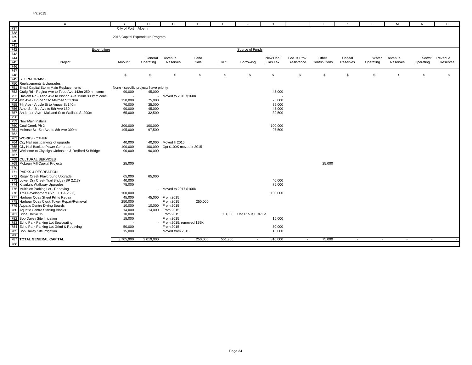|                                                             | A                                                                        | B                                      | C         | D                             | Е       | F           | G                         | н        |              |               | K        |           | M        | N         | $\Omega$ |
|-------------------------------------------------------------|--------------------------------------------------------------------------|----------------------------------------|-----------|-------------------------------|---------|-------------|---------------------------|----------|--------------|---------------|----------|-----------|----------|-----------|----------|
|                                                             |                                                                          | City of Port Alberni                   |           |                               |         |             |                           |          |              |               |          |           |          |           |          |
|                                                             |                                                                          |                                        |           |                               |         |             |                           |          |              |               |          |           |          |           |          |
|                                                             |                                                                          | 2016 Capital Expenditure Program       |           |                               |         |             |                           |          |              |               |          |           |          |           |          |
|                                                             |                                                                          |                                        |           |                               |         |             |                           |          |              |               |          |           |          |           |          |
|                                                             |                                                                          |                                        |           |                               |         |             |                           |          |              |               |          |           |          |           |          |
|                                                             | Expenditure                                                              |                                        |           |                               |         |             | Source of Funds           |          |              |               |          |           |          |           |          |
|                                                             |                                                                          |                                        |           |                               |         |             |                           |          |              |               |          |           |          |           |          |
|                                                             |                                                                          |                                        | General   | Revenue                       | Land    |             |                           | New Deal | Fed. & Prov. | Other         | Capital  | Water     | Revenue  | Sewer     | Revenue  |
|                                                             | Project                                                                  | Amount                                 | Operating | Reserves                      | Sale    | <b>ERRF</b> | Borrowing                 | Gas Tax  | Assistance   | Contributions | Reserves | Operating | Reserves | Operating | Reserves |
|                                                             |                                                                          |                                        |           |                               |         |             |                           |          |              |               |          |           |          |           |          |
|                                                             |                                                                          |                                        |           |                               |         |             |                           |          |              |               |          |           |          |           |          |
|                                                             |                                                                          | \$                                     | \$        | \$                            | \$      | \$          | Ŝ.                        | \$       | \$           | \$            | - \$     | \$        | \$       | \$.       | \$.      |
|                                                             | <b>STORM DRAINS</b>                                                      |                                        |           |                               |         |             |                           |          |              |               |          |           |          |           |          |
|                                                             | Replacements & Upgrades                                                  |                                        |           |                               |         |             |                           |          |              |               |          |           |          |           |          |
|                                                             | Small Capital Storm Main Replacements                                    | None - specific projects have priority |           |                               |         |             |                           |          |              |               |          |           |          |           |          |
|                                                             | Craig Rd - Regina Ave to Tebo Ave 143m 250mm conc                        | 90,000                                 | 45,000    |                               |         |             |                           | 45,000   |              |               |          |           |          |           |          |
|                                                             | Haslam Rd - Tebo Ave to Bishop Ave 190m 300mm conc                       |                                        |           | Moved to 2015 \$160K          |         |             |                           |          |              |               |          |           |          |           |          |
|                                                             | 4th Ave - Bruce St to Melrose St 270m                                    | 150,000                                | 75,000    |                               |         |             |                           | 75,000   |              |               |          |           |          |           |          |
|                                                             | 7th Ave - Argyle St to Angus St 140m                                     | 70,000                                 | 35,000    |                               |         |             |                           | 35,000   |              |               |          |           |          |           |          |
|                                                             | Athol St - 3rd Ave to 5th Ave 180m                                       | 90,000                                 | 45,000    |                               |         |             |                           | 45,000   |              |               |          |           |          |           |          |
|                                                             | Anderson Ave - Maitland St to Wallace St 200m                            | 65,000                                 | 32,500    |                               |         |             |                           | 32,500   |              |               |          |           |          |           |          |
|                                                             |                                                                          |                                        |           |                               |         |             |                           |          |              |               |          |           |          |           |          |
|                                                             | New Main Installs                                                        |                                        |           |                               |         |             |                           |          |              |               |          |           |          |           |          |
|                                                             | Coal Creek Ph 2                                                          | 200,000                                | 100,000   |                               |         |             |                           | 100,000  |              |               |          |           |          |           |          |
|                                                             | Melrose St - 5th Ave to 8th Ave 300m                                     | 195,000                                | 97,500    |                               |         |             |                           | 97,500   |              |               |          |           |          |           |          |
|                                                             |                                                                          |                                        |           |                               |         |             |                           |          |              |               |          |           |          |           |          |
|                                                             | WORKS - OTHER                                                            |                                        |           |                               |         |             |                           |          |              |               |          |           |          |           |          |
|                                                             | City Hall east parking lot upgrade                                       | 40,000                                 | 40.000    | Moved fr 2015                 |         |             |                           |          |              |               |          |           |          |           |          |
|                                                             | City Hall Backup Power Generator                                         | 100,000                                | 100,000   | Opt \$100K moved fr 2015      |         |             |                           |          |              |               |          |           |          |           |          |
|                                                             | Welcome to City signs Johnston & Redford St Bridge                       | 90,000                                 | 90,000    |                               |         |             |                           |          |              |               |          |           |          |           |          |
|                                                             |                                                                          |                                        |           |                               |         |             |                           |          |              |               |          |           |          |           |          |
|                                                             | CULTURAL SERVICES                                                        |                                        |           |                               |         |             |                           |          |              |               |          |           |          |           |          |
|                                                             | McLean Mill Capital Projects                                             | 25,000                                 |           |                               |         |             |                           |          |              | 25,000        |          |           |          |           |          |
|                                                             |                                                                          |                                        |           |                               |         |             |                           |          |              |               |          |           |          |           |          |
|                                                             | PARKS & RECREATION                                                       |                                        |           |                               |         |             |                           |          |              |               |          |           |          |           |          |
|                                                             | Roger Creek Playground Upgrade                                           | 65,000                                 | 65,000    |                               |         |             |                           |          |              |               |          |           |          |           |          |
|                                                             | Lower Dry Creek Trail Bridge (SP 2.2:3)                                  | 40,000                                 |           |                               |         |             |                           | 40,000   |              |               |          |           |          |           |          |
|                                                             | Kitsuksis Walkway Upgrades                                               | 75,000                                 |           |                               |         |             |                           | 75,000   |              |               |          |           |          |           |          |
|                                                             | Multiplex Parking Lot - Repaving                                         | ٠.                                     |           | - Moved to 2017 \$100K        |         |             |                           |          |              |               |          |           |          |           |          |
|                                                             |                                                                          |                                        |           |                               |         |             |                           |          |              |               |          |           |          |           |          |
|                                                             | Trail Development (SP 1.1:1 & 2.2:3)<br>Harbour Quay Sheet Piling Repair | 100,000<br>45,000                      |           |                               |         |             |                           | 100,000  |              |               |          |           |          |           |          |
|                                                             | Harbour Quay Clock Tower Repair/Removal                                  |                                        |           | 45,000 From 2015<br>From 2015 |         |             |                           |          |              |               |          |           |          |           |          |
|                                                             | <b>Aquatic Centre Diving Boards</b>                                      | 250,000<br>10,000                      |           | 10,000 From 2015              | 250,000 |             |                           |          |              |               |          |           |          |           |          |
|                                                             |                                                                          |                                        |           |                               |         |             |                           |          |              |               |          |           |          |           |          |
|                                                             | <b>Aquatic Centre Starting Blocks</b><br>Brine Unit #615                 | 14,000<br>10,000                       |           | 14,000 From 2015<br>From 2015 |         |             | 10,000 Unit 615 is ERRF'd |          |              |               |          |           |          |           |          |
|                                                             |                                                                          |                                        |           |                               |         |             |                           |          |              |               |          |           |          |           |          |
|                                                             | <b>Bob Dailey Site Irrigation</b>                                        | 15,000                                 |           | From 2015                     |         |             |                           | 15,000   |              |               |          |           |          |           |          |
|                                                             | Echo Park Parking Lot Sealcoating                                        |                                        |           | From 2015; removed \$25K      |         |             |                           |          |              |               |          |           |          |           |          |
|                                                             | Echo Park Parking Lot Grind & Repaving                                   | 50,000                                 |           | From 2015                     |         |             |                           | 50,000   |              |               |          |           |          |           |          |
| 780<br>781<br>782<br>783<br>784<br>785<br>786<br>787<br>788 | <b>Bob Dailey Site Irrigation</b>                                        | 15,000                                 |           | Moved from 2015               |         |             |                           | 15,000   |              |               |          |           |          |           |          |
|                                                             |                                                                          |                                        |           |                               |         |             |                           |          |              |               |          |           |          |           |          |
|                                                             | <b>TOTAL GENERAL CAPITAL</b>                                             | 3,705,900                              | 2,019,000 |                               | 250,000 | 551,900     | $\sim$                    | 810,000  | $\sim$       | 75,000        | $\sim$   | $\sim$    | $\sim$   | $\sim$    |          |
|                                                             |                                                                          |                                        |           |                               |         |             |                           |          |              |               |          |           |          |           |          |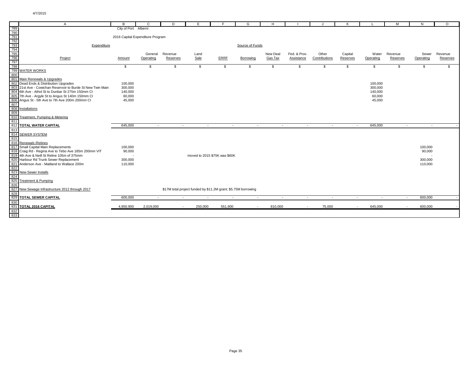|                                                      | A                                                           | R.                               | C         | D        | E                                                              |                | G               | H        |              |               | к        |           | м        | N.        | $\Omega$ |
|------------------------------------------------------|-------------------------------------------------------------|----------------------------------|-----------|----------|----------------------------------------------------------------|----------------|-----------------|----------|--------------|---------------|----------|-----------|----------|-----------|----------|
| 789                                                  |                                                             | City of Port Alberni             |           |          |                                                                |                |                 |          |              |               |          |           |          |           |          |
|                                                      |                                                             |                                  |           |          |                                                                |                |                 |          |              |               |          |           |          |           |          |
| 790<br>791<br>792<br>793<br>794<br>795<br>796<br>797 |                                                             | 2016 Capital Expenditure Program |           |          |                                                                |                |                 |          |              |               |          |           |          |           |          |
|                                                      |                                                             |                                  |           |          |                                                                |                |                 |          |              |               |          |           |          |           |          |
|                                                      | Expenditure                                                 |                                  |           |          |                                                                |                | Source of Funds |          |              |               |          |           |          |           |          |
|                                                      |                                                             |                                  |           |          |                                                                |                |                 |          |              |               |          |           |          |           |          |
|                                                      |                                                             |                                  | General   | Revenue  | Land                                                           |                |                 | New Deal | Fed. & Prov. | Other         | Capital  | Water     | Revenue  | Sewer     | Revenue  |
|                                                      | Project                                                     | Amount                           | Operating | Reserves | Sale                                                           | ERRF           | Borrowing       | Gas Tax  | Assistance   | Contributions | Reserves | Operating | Reserves | Operating | Reserves |
|                                                      |                                                             |                                  |           |          |                                                                |                |                 |          |              |               |          |           |          |           |          |
| 798                                                  |                                                             | \$                               | \$        | \$       | \$                                                             | \$             | \$              | \$       | \$           | \$            | \$       | \$        | \$       | \$        | s.       |
|                                                      | 799 WATER WORKS                                             |                                  |           |          |                                                                |                |                 |          |              |               |          |           |          |           |          |
| 800                                                  |                                                             |                                  |           |          |                                                                |                |                 |          |              |               |          |           |          |           |          |
|                                                      | 801 Main Renewals & Upgrades                                |                                  |           |          |                                                                |                |                 |          |              |               |          |           |          |           |          |
|                                                      | 802 Dead Ends & Distribution Upgrades                       | 100,000                          |           |          |                                                                |                |                 |          |              |               |          | 100,000   |          |           |          |
|                                                      | 803 21st Ave - Cowichan Reservoir to Burde St New Twin Main | 300,000                          |           |          |                                                                |                |                 |          |              |               |          | 300,000   |          |           |          |
|                                                      | 804 6th Ave - Athol St to Dunbar St 275m 150mm CI           | 140,000                          |           |          |                                                                |                |                 |          |              |               |          | 140,000   |          |           |          |
|                                                      | 805 7th Ave - Argyle St to Angus St 140m 150mm CI           | 60,000<br>45.000                 |           |          |                                                                |                |                 |          |              |               |          | 60,000    |          |           |          |
| 807                                                  | 806 Angus St - 5th Ave to 7th Ave 200m 200mm CI             |                                  |           |          |                                                                |                |                 |          |              |               |          | 45,000    |          |           |          |
|                                                      | 808 Installations                                           |                                  |           |          |                                                                |                |                 |          |              |               |          |           |          |           |          |
| 809                                                  |                                                             |                                  |           |          |                                                                |                |                 |          |              |               |          |           |          |           |          |
|                                                      | 810 Treatment, Pumping & Metering                           |                                  |           |          |                                                                |                |                 |          |              |               |          |           |          |           |          |
| 811                                                  |                                                             |                                  |           |          |                                                                |                |                 |          |              |               |          |           |          |           |          |
|                                                      | <b>812 TOTAL WATER CAPITAL</b>                              | 645,000                          | $\sim$    | $\sim$   | $\sim$ $-$                                                     | $\sim$         | $\sim$          | $\sim$   | $\sim$       | $\sim$        | $\sim$   | 645,000   | $\sim$   | $\sim$    |          |
| 813                                                  |                                                             |                                  |           |          |                                                                |                |                 |          |              |               |          |           |          |           |          |
| 814                                                  | <b>SEWER SYSTEM</b>                                         |                                  |           |          |                                                                |                |                 |          |              |               |          |           |          |           |          |
| 815                                                  |                                                             |                                  |           |          |                                                                |                |                 |          |              |               |          |           |          |           |          |
|                                                      | 816 Renewals / Relines                                      |                                  |           |          |                                                                |                |                 |          |              |               |          |           |          |           |          |
|                                                      | 817 Small Capital Main Replacements                         | 100,000                          |           |          |                                                                |                |                 |          |              |               |          |           |          | 100,000   |          |
|                                                      | 818 Craig Rd - Regina Ave to Tebo Ave 185m 200mm VIT        | 90,000                           |           |          |                                                                |                |                 |          |              |               |          |           |          | 90,000    |          |
|                                                      | 819 4th Ave & Neill St Reline 105m of 375mm                 |                                  |           |          | moved to 2015 \$75K was \$60K                                  |                |                 |          |              |               |          |           |          |           |          |
|                                                      | 820 Harbour Rd Trunk Sewer Replacement                      | 300,000                          |           |          |                                                                |                |                 |          |              |               |          |           |          | 300,000   |          |
| 821                                                  | Anderson Ave - Maitland to Wallace 200m                     | 110,000                          |           |          |                                                                |                |                 |          |              |               |          |           |          | 110,000   |          |
| 822                                                  |                                                             |                                  |           |          |                                                                |                |                 |          |              |               |          |           |          |           |          |
|                                                      | 823 New Sewer Installs                                      |                                  |           |          |                                                                |                |                 |          |              |               |          |           |          |           |          |
| 824                                                  |                                                             |                                  |           |          |                                                                |                |                 |          |              |               |          |           |          |           |          |
|                                                      | 825 Treatment & Pumping                                     |                                  |           |          |                                                                |                |                 |          |              |               |          |           |          |           |          |
| 826                                                  |                                                             |                                  |           |          |                                                                |                |                 |          |              |               |          |           |          |           |          |
|                                                      | 827 New Sewage Infrastructure 2012 through 2017             |                                  |           |          | \$17M total project funded by \$11.2M grant; \$5.75M borrowing |                |                 |          |              |               |          |           |          |           |          |
| 828                                                  |                                                             |                                  |           |          |                                                                |                |                 |          |              |               |          |           |          |           |          |
| 829                                                  | <b>TOTAL SEWER CAPITAL</b>                                  | 600,000                          | $\sim$    | $\sim$   | $\overline{a}$                                                 | $\overline{a}$ | $\sim$          | $\sim$   | $\sim$       | $\sim$        | $\sim$   | $\sim$    | $\sim$   | 600,000   |          |
| 830<br>831                                           | TOTAL 2016 CAPITAL                                          | 4,950,900                        | 2,019,000 | $\sim$   | 250,000                                                        | 551,900        | $\sim$          | 810,000  | $\sim$       | 75,000        | $\sim$   | 645,000   | $\sim$   | 600,000   |          |
|                                                      |                                                             |                                  |           |          |                                                                |                |                 |          |              |               |          |           |          |           |          |
| 832<br>833                                           |                                                             |                                  |           |          |                                                                |                |                 |          |              |               |          |           |          |           |          |
|                                                      |                                                             |                                  |           |          |                                                                |                |                 |          |              |               |          |           |          |           |          |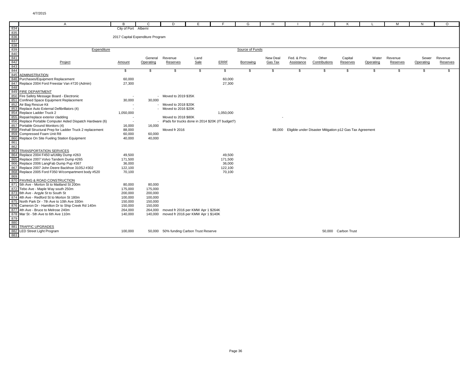|                                                  | $\overline{A}$                                          | B                                | C                  | D                                       | F.   |                                                  | G               | H        |              |                                                                 | к                   |           | M        | N         | $\Omega$ |
|--------------------------------------------------|---------------------------------------------------------|----------------------------------|--------------------|-----------------------------------------|------|--------------------------------------------------|-----------------|----------|--------------|-----------------------------------------------------------------|---------------------|-----------|----------|-----------|----------|
| 834                                              |                                                         | City of Port Alberni             |                    |                                         |      |                                                  |                 |          |              |                                                                 |                     |           |          |           |          |
| 835                                              |                                                         |                                  |                    |                                         |      |                                                  |                 |          |              |                                                                 |                     |           |          |           |          |
|                                                  |                                                         | 2017 Capital Expenditure Program |                    |                                         |      |                                                  |                 |          |              |                                                                 |                     |           |          |           |          |
| $\begin{array}{r} 836 \\ 837 \\ 838 \end{array}$ |                                                         |                                  |                    |                                         |      |                                                  |                 |          |              |                                                                 |                     |           |          |           |          |
|                                                  |                                                         |                                  |                    |                                         |      |                                                  |                 |          |              |                                                                 |                     |           |          |           |          |
| 839<br>840<br>841<br>842<br>843                  | Expenditure                                             |                                  |                    |                                         |      |                                                  | Source of Funds |          |              |                                                                 |                     |           |          |           |          |
|                                                  |                                                         |                                  |                    |                                         |      |                                                  |                 |          |              |                                                                 |                     |           |          |           |          |
|                                                  |                                                         |                                  | General            | Revenue                                 | Land |                                                  |                 | New Deal | Fed. & Prov. | Other                                                           | Capital             | Water     | Revenue  | Sewer     | Revenue  |
|                                                  | Project                                                 | Amount                           | Operating          | Reserves                                | Sale | ERRF                                             | Borrowing       | Gas Tax  | Assistance   | Contributions                                                   | Reserves            | Operating | Reserves | Operating | Reserves |
|                                                  |                                                         |                                  |                    |                                         |      |                                                  |                 |          |              |                                                                 |                     |           |          |           |          |
| 844                                              |                                                         | \$                               | \$                 | \$                                      | \$   | \$                                               | \$              | \$       | \$           | \$                                                              | \$                  | - \$      | -S       | \$        | \$       |
|                                                  | 845 ADMINISTRATION                                      |                                  |                    |                                         |      |                                                  |                 |          |              |                                                                 |                     |           |          |           |          |
| 846                                              | Purchases/Equipment Replacement                         | 60,000                           |                    |                                         |      | 60,000                                           |                 |          |              |                                                                 |                     |           |          |           |          |
| 847                                              | Replace 2004 Ford Freestar Van #720 (Admin)             | 27,300                           |                    |                                         |      | 27,300                                           |                 |          |              |                                                                 |                     |           |          |           |          |
| 848                                              |                                                         |                                  |                    |                                         |      |                                                  |                 |          |              |                                                                 |                     |           |          |           |          |
| 849                                              | <b>FIRE DEPARTMENT</b>                                  |                                  |                    |                                         |      |                                                  |                 |          |              |                                                                 |                     |           |          |           |          |
| 850                                              | Fire Safety Message Board - Electronic                  |                                  |                    | - Moved to 2019 \$35K                   |      |                                                  |                 |          |              |                                                                 |                     |           |          |           |          |
| 851                                              | Confined Space Equipment Replacement                    | 30,000                           | 30,000             |                                         |      |                                                  |                 |          |              |                                                                 |                     |           |          |           |          |
| 852                                              | Air Bag Rescue Kit                                      |                                  |                    | - Moved to 2018 \$20K                   |      |                                                  |                 |          |              |                                                                 |                     |           |          |           |          |
| 853                                              | Replace Auto External Defibrillators (4)                |                                  |                    | - Moved to 2016 \$20K                   |      |                                                  |                 |          |              |                                                                 |                     |           |          |           |          |
| 854                                              | Replace Ladder Truck 2                                  | 1,050,000                        |                    |                                         |      | 1,050,000                                        |                 |          |              |                                                                 |                     |           |          |           |          |
| 855                                              | Repair/replace exterior cladding                        |                                  |                    | Moved to 2018 \$80K                     |      |                                                  |                 |          |              |                                                                 |                     |           |          |           |          |
| 856                                              | Replace Portable Computer Aided Dispatch Hardware (6)   | $\sim$                           |                    |                                         |      | iPads for trucks done in 2014 \$20K (IT budget?) |                 |          |              |                                                                 |                     |           |          |           |          |
|                                                  | 857 Portable Ground Monitors (4)                        | 16,000                           | 16,000             |                                         |      |                                                  |                 |          |              |                                                                 |                     |           |          |           |          |
| 858                                              | Firehall Structural Prep for Ladder Truck 2 replacement | 88,000                           |                    | Moved fr 2016                           |      |                                                  |                 |          |              | 88,000 Eligible under Disaster Mitigation p12 Gas Tax Agreement |                     |           |          |           |          |
| 859                                              | Compressed Foam Unit R8                                 | 60,000                           | 60,000             |                                         |      |                                                  |                 |          |              |                                                                 |                     |           |          |           |          |
| 860                                              | Replace On Site Fueling Station Equipment               | 40,000                           | 40,000             |                                         |      |                                                  |                 |          |              |                                                                 |                     |           |          |           |          |
| 861                                              |                                                         |                                  |                    |                                         |      |                                                  |                 |          |              |                                                                 |                     |           |          |           |          |
| 862                                              |                                                         |                                  |                    |                                         |      |                                                  |                 |          |              |                                                                 |                     |           |          |           |          |
| 863                                              | <b>TRANSPORTATION SERVICES</b>                          |                                  |                    |                                         |      |                                                  |                 |          |              |                                                                 |                     |           |          |           |          |
| 864                                              | Replace 2004 F450 w/Utility Dump #263                   | 49,500                           |                    |                                         |      | 49,500                                           |                 |          |              |                                                                 |                     |           |          |           |          |
| 865                                              | Replace 2007 Volvo Tandem Dump #265                     | 171,500                          |                    |                                         |      | 171,500                                          |                 |          |              |                                                                 |                     |           |          |           |          |
|                                                  | 866 Replace 2006 LangFab Dump Pup #367                  | 36,000                           |                    |                                         |      | 36,000                                           |                 |          |              |                                                                 |                     |           |          |           |          |
| 867                                              | Replace 2007 John Deere Backhoe 310SJ #302              | 122,100                          |                    |                                         |      | 122,100                                          |                 |          |              |                                                                 |                     |           |          |           |          |
| 869                                              | 868 Replace 2005 Ford F350 W/compartment body #520      | 70,100                           |                    |                                         |      | 70,100                                           |                 |          |              |                                                                 |                     |           |          |           |          |
|                                                  | 870 PAVING & ROAD CONSTRUCTION                          |                                  |                    |                                         |      |                                                  |                 |          |              |                                                                 |                     |           |          |           |          |
|                                                  | 871 5th Ave - Morton St to Maitland St 200m             | 80,000                           | 80,000             |                                         |      |                                                  |                 |          |              |                                                                 |                     |           |          |           |          |
|                                                  | 872 Tebo Ave - Maple Way south 250m                     | 175,000                          | 175,000            |                                         |      |                                                  |                 |          |              |                                                                 |                     |           |          |           |          |
|                                                  | 873 6th Ave - Argyle St to South St                     | 200,000                          | 200,000            |                                         |      |                                                  |                 |          |              |                                                                 |                     |           |          |           |          |
|                                                  | 874 4th Ave - Redford St to Morton St 180m              | 100.000                          |                    |                                         |      |                                                  |                 |          |              |                                                                 |                     |           |          |           |          |
| 875                                              | North Park Dr - 7th Ave to 10th Ave 330m                | 150,000                          | 100,000<br>150,000 |                                         |      |                                                  |                 |          |              |                                                                 |                     |           |          |           |          |
|                                                  | 876 Cameron Dr - Hamilton Dr to Ship Creek Rd 140m      | 150.000                          | 150,000            |                                         |      |                                                  |                 |          |              |                                                                 |                     |           |          |           |          |
|                                                  | 877 4th Ave - Bruce to Melrose 240m                     | 264,000                          | 264,000            | moved fr 2016 per KMW Apr 1 \$264K      |      |                                                  |                 |          |              |                                                                 |                     |           |          |           |          |
| 878                                              | Mar St - 5th Ave to 6th Ave 110m                        | 140,000                          | 140,000            | moved fr 2016 per KMW Apr 1 \$140K      |      |                                                  |                 |          |              |                                                                 |                     |           |          |           |          |
| 879                                              |                                                         |                                  |                    |                                         |      |                                                  |                 |          |              |                                                                 |                     |           |          |           |          |
| 880                                              |                                                         |                                  |                    |                                         |      |                                                  |                 |          |              |                                                                 |                     |           |          |           |          |
| 881                                              | <b>TRAFFIC UPGRADES</b>                                 |                                  |                    |                                         |      |                                                  |                 |          |              |                                                                 |                     |           |          |           |          |
| 882                                              | <b>LED Street Light Program</b>                         | 100,000                          |                    | 50,000 50% funding Carbon Trust Reserve |      |                                                  |                 |          |              |                                                                 | 50,000 Carbon Trust |           |          |           |          |
| 883                                              |                                                         |                                  |                    |                                         |      |                                                  |                 |          |              |                                                                 |                     |           |          |           |          |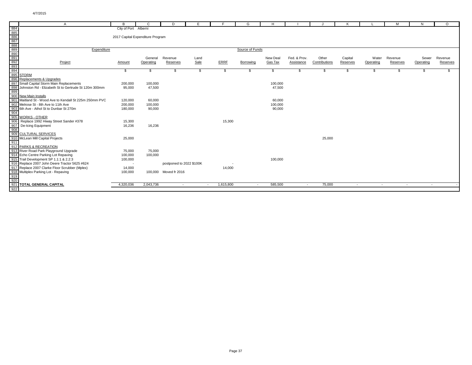| A                                                        | B                                | C.        | D                        | Е      | F.        | G               | H        |              |               | K        |           | м        | N         | $\Omega$ |
|----------------------------------------------------------|----------------------------------|-----------|--------------------------|--------|-----------|-----------------|----------|--------------|---------------|----------|-----------|----------|-----------|----------|
| 884                                                      | City of Port Alberni             |           |                          |        |           |                 |          |              |               |          |           |          |           |          |
| 885<br>886                                               |                                  |           |                          |        |           |                 |          |              |               |          |           |          |           |          |
|                                                          | 2017 Capital Expenditure Program |           |                          |        |           |                 |          |              |               |          |           |          |           |          |
| 887                                                      |                                  |           |                          |        |           |                 |          |              |               |          |           |          |           |          |
| 888                                                      |                                  |           |                          |        |           |                 |          |              |               |          |           |          |           |          |
| 889                                                      | Expenditure                      |           |                          |        |           | Source of Funds |          |              |               |          |           |          |           |          |
| 890                                                      |                                  |           |                          |        |           |                 |          |              |               |          |           |          |           |          |
| $\frac{891}{892}$                                        |                                  | General   | Revenue                  | Land   |           |                 | New Deal | Fed. & Prov. | Other         | Capital  | Water     | Revenue  | Sewer     | Revenue  |
| Project                                                  | Amount                           | Operating | Reserves                 | Sale   | ERRF      | Borrowing       | Gas Tax  | Assistance   | Contributions | Reserves | Operating | Reserves | Operating | Reserves |
| 893                                                      |                                  |           |                          |        |           |                 |          |              |               |          |           |          |           |          |
| 894                                                      | S.                               | \$        | -S                       | \$     | \$        | S.              | \$       | \$           | \$            | \$       | S.        | \$       | \$.       | \$.      |
| 895 STORM                                                |                                  |           |                          |        |           |                 |          |              |               |          |           |          |           |          |
| 896 Replacements & Upgrades                              |                                  |           |                          |        |           |                 |          |              |               |          |           |          |           |          |
| 897 Small Capital Storm Main Replacements                | 200,000                          | 100,000   |                          |        |           |                 | 100,000  |              |               |          |           |          |           |          |
| 898 Johnston Rd - Elizabeth St to Gertrude St 120m 300mm | 95,000                           | 47,500    |                          |        |           |                 | 47,500   |              |               |          |           |          |           |          |
| 899                                                      |                                  |           |                          |        |           |                 |          |              |               |          |           |          |           |          |
| 900 New Main Installs                                    |                                  |           |                          |        |           |                 |          |              |               |          |           |          |           |          |
| 901 Maitland St - Wood Ave to Kendall St 225m 250mm PVC  | 120,000                          | 60,000    |                          |        |           |                 | 60,000   |              |               |          |           |          |           |          |
| 902 Melrose St - 8th Ave to 11th Ave                     | 200,000                          | 100,000   |                          |        |           |                 | 100,000  |              |               |          |           |          |           |          |
| 903 6th Ave - Athol St to Dunbar St 270m                 | 180,000                          | 90,000    |                          |        |           |                 | 90,000   |              |               |          |           |          |           |          |
| 904                                                      |                                  |           |                          |        |           |                 |          |              |               |          |           |          |           |          |
| 905 WORKS - OTHER                                        |                                  |           |                          |        |           |                 |          |              |               |          |           |          |           |          |
| 906 Replace 1992 Hiway Street Sander #378                | 15,300                           |           |                          |        | 15,300    |                 |          |              |               |          |           |          |           |          |
| 907 De-Icing Equipment                                   | 16,236                           | 16,236    |                          |        |           |                 |          |              |               |          |           |          |           |          |
| 908                                                      |                                  |           |                          |        |           |                 |          |              |               |          |           |          |           |          |
| 909 CULTURAL SERVICES                                    |                                  |           |                          |        |           |                 |          |              |               |          |           |          |           |          |
| 910 McLean Mill Capital Projects                         | 25,000                           |           |                          |        |           |                 |          |              | 25,000        |          |           |          |           |          |
| 911                                                      |                                  |           |                          |        |           |                 |          |              |               |          |           |          |           |          |
| 912 PARKS & RECREATION                                   |                                  |           |                          |        |           |                 |          |              |               |          |           |          |           |          |
| 913 River Road Park Playground Upgrade                   | 75,000                           | 75,000    |                          |        |           |                 |          |              |               |          |           |          |           |          |
| 914 Echo Centre Parking Lot Repaving                     | 100,000                          | 100,000   |                          |        |           |                 |          |              |               |          |           |          |           |          |
| 915 Trail Development SP 1.1:1 & 2.2:3                   | 100,000                          |           |                          |        |           |                 | 100,000  |              |               |          |           |          |           |          |
| 916 Replace 2007 John Deere Tractor 5625 #624            |                                  |           | postponed to 2022 \$100K |        |           |                 |          |              |               |          |           |          |           |          |
| 917 Replace 2007 Clarke Floor Scrubber (Mplex)           | 14,000                           |           |                          |        | 14,000    |                 |          |              |               |          |           |          |           |          |
| 918 Multiplex Parking Lot - Repaving                     | 100,000                          |           | 100,000 Moved fr 2016    |        |           |                 |          |              |               |          |           |          |           |          |
| 919                                                      |                                  |           |                          |        |           |                 |          |              |               |          |           |          |           |          |
| 920                                                      |                                  |           |                          |        |           |                 |          |              |               |          |           |          |           |          |
| 921 TOTAL GENERAL CAPITAL                                | 4,320,036                        | 2,043,736 | $\sim$                   | $\sim$ | 1,615,800 | $\sim$          | 585,500  | $\sim$       | 75,000        | $\sim$   | $\sim$    | $\sim$   | $\sim$    |          |
| 922                                                      |                                  |           |                          |        |           |                 |          |              |               |          |           |          |           |          |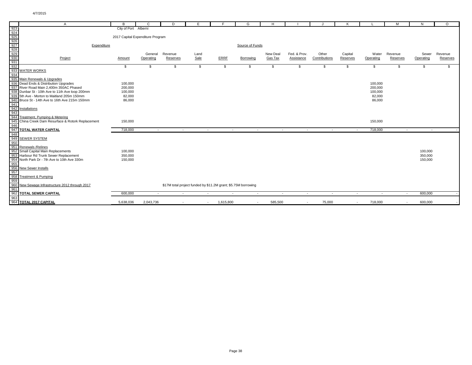|                   | $\mathsf{A}$                                    | R.                               | C         | D        | E.                                                             | E         | G               | H        |                |               | K        |           | M        | N         | $\circ$  |
|-------------------|-------------------------------------------------|----------------------------------|-----------|----------|----------------------------------------------------------------|-----------|-----------------|----------|----------------|---------------|----------|-----------|----------|-----------|----------|
| 923               |                                                 | City of Port Alberni             |           |          |                                                                |           |                 |          |                |               |          |           |          |           |          |
| 924               |                                                 |                                  |           |          |                                                                |           |                 |          |                |               |          |           |          |           |          |
| $\frac{925}{926}$ |                                                 | 2017 Capital Expenditure Program |           |          |                                                                |           |                 |          |                |               |          |           |          |           |          |
|                   |                                                 |                                  |           |          |                                                                |           |                 |          |                |               |          |           |          |           |          |
| 927<br>928        | Expenditure                                     |                                  |           |          |                                                                |           | Source of Funds |          |                |               |          |           |          |           |          |
|                   |                                                 |                                  |           |          |                                                                |           |                 |          |                |               |          |           |          |           |          |
| 929               |                                                 |                                  | General   | Revenue  | Land                                                           |           |                 | New Deal | Fed. & Prov.   | Other         | Capital  | Water     | Revenue  | Sewer     | Revenue  |
| 930               | Project                                         | Amount                           | Operating | Reserves | Sale                                                           | ERRF      | Borrowing       | Gas Tax  | Assistance     | Contributions | Reserves | Operating | Reserves | Operating | Reserves |
| 931               |                                                 |                                  |           |          |                                                                |           |                 |          |                |               |          |           |          |           |          |
| 932<br>933        | <b>WATER WORKS</b>                              | \$                               | \$        | \$       | - \$                                                           | \$        | \$              | \$       | \$             | \$            | \$       | \$        | S.       | \$.       | -S       |
| 934               |                                                 |                                  |           |          |                                                                |           |                 |          |                |               |          |           |          |           |          |
|                   | 935 Main Renewals & Upgrades                    |                                  |           |          |                                                                |           |                 |          |                |               |          |           |          |           |          |
|                   | 936 Dead Ends & Distribution Upgrades           | 100,000                          |           |          |                                                                |           |                 |          |                |               |          | 100,000   |          |           |          |
|                   | 937 River Road Main 2,400m 350AC Phased         | 200,000                          |           |          |                                                                |           |                 |          |                |               |          | 200,000   |          |           |          |
|                   | 938 Dunbar St - 10th Ave to 11th Ave loop 200mm | 100,000                          |           |          |                                                                |           |                 |          |                |               |          | 100,000   |          |           |          |
|                   | 939 5th Ave - Morton to Maitland 205m 150mm     | 82,000                           |           |          |                                                                |           |                 |          |                |               |          | 82,000    |          |           |          |
|                   | 940 Bruce St - 14th Ave to 16th Ave 215m 150mm  | 86,000                           |           |          |                                                                |           |                 |          |                |               |          | 86,000    |          |           |          |
| 941               |                                                 |                                  |           |          |                                                                |           |                 |          |                |               |          |           |          |           |          |
|                   | 942 Installations                               |                                  |           |          |                                                                |           |                 |          |                |               |          |           |          |           |          |
| 943               |                                                 |                                  |           |          |                                                                |           |                 |          |                |               |          |           |          |           |          |
|                   | 944 Treatment, Pumping & Metering               |                                  |           |          |                                                                |           |                 |          |                |               |          |           |          |           |          |
| 945               | China Creek Dam Resurface & Rotork Replacement  | 150,000                          |           |          |                                                                |           |                 |          |                |               |          | 150,000   |          |           |          |
| 946               |                                                 |                                  |           |          |                                                                |           |                 |          |                |               |          |           |          |           |          |
| 947               | <b>TOTAL WATER CAPITAL</b>                      | 718,000                          | $\sim$    | $\sim$   | $\overline{\phantom{a}}$                                       |           | $\sim$          | $\sim$   | $\sim$         | $\sim$        |          | 718,000   | $\sim$   | $\sim$    |          |
| 948               |                                                 |                                  |           |          |                                                                |           |                 |          |                |               |          |           |          |           |          |
| 949               | <b>SEWER SYSTEM</b>                             |                                  |           |          |                                                                |           |                 |          |                |               |          |           |          |           |          |
| 950               |                                                 |                                  |           |          |                                                                |           |                 |          |                |               |          |           |          |           |          |
|                   | 951 Renewals / Relines                          |                                  |           |          |                                                                |           |                 |          |                |               |          |           |          |           |          |
|                   | 952 Small Capital Main Replacements             | 100,000                          |           |          |                                                                |           |                 |          |                |               |          |           |          | 100,000   |          |
|                   | 953 Harbour Rd Trunk Sewer Replacement          | 350,000                          |           |          |                                                                |           |                 |          |                |               |          |           |          | 350,000   |          |
| 954               | North Park Dr - 7th Ave to 10th Ave 330m        | 150,000                          |           |          |                                                                |           |                 |          |                |               |          |           |          | 150,000   |          |
| 955               |                                                 |                                  |           |          |                                                                |           |                 |          |                |               |          |           |          |           |          |
| 957               | 956 New Sewer Installs                          |                                  |           |          |                                                                |           |                 |          |                |               |          |           |          |           |          |
| 958               | <b>Treatment &amp; Pumping</b>                  |                                  |           |          |                                                                |           |                 |          |                |               |          |           |          |           |          |
| 959               |                                                 |                                  |           |          |                                                                |           |                 |          |                |               |          |           |          |           |          |
| 960               | New Sewage Infrastructure 2012 through 2017     |                                  |           |          | \$17M total project funded by \$11.2M grant; \$5.75M borrowing |           |                 |          |                |               |          |           |          |           |          |
| 961               |                                                 |                                  |           |          |                                                                |           |                 |          |                |               |          |           |          |           |          |
| 962               | <b>TOTAL SEWER CAPITAL</b>                      | 600,000                          | $\sim$    | $\sim$   | $\sim$                                                         | $\sim$    | $\sim$          | $\sim$   | $\sim$         | $\sim$        | $\sim$   | $\sim$    | $\sim$   | 600,000   |          |
| 963               |                                                 |                                  |           |          |                                                                |           |                 |          |                |               |          |           |          |           |          |
|                   | 964 TOTAL 2017 CAPITAL                          | 5.638.036                        | 2,043,736 |          | $\sim$                                                         | 1,615,800 | $\overline{a}$  | 585.500  | $\overline{a}$ | 75,000        |          | 718,000   |          | 600,000   |          |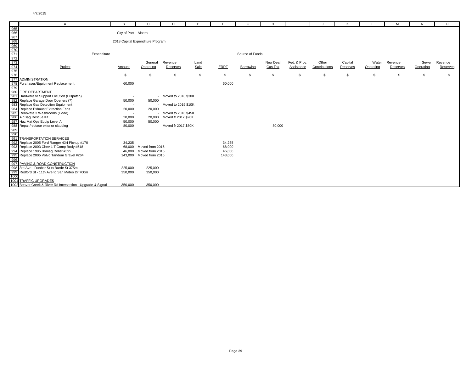|                                                             | A                                                                                                                                                                           | в                    | C                                | D                     | Е    | F       | G               | H        |              |               |          |           | M        | N         | $\circ$  |
|-------------------------------------------------------------|-----------------------------------------------------------------------------------------------------------------------------------------------------------------------------|----------------------|----------------------------------|-----------------------|------|---------|-----------------|----------|--------------|---------------|----------|-----------|----------|-----------|----------|
|                                                             |                                                                                                                                                                             |                      |                                  |                       |      |         |                 |          |              |               |          |           |          |           |          |
|                                                             |                                                                                                                                                                             | City of Port Alberni |                                  |                       |      |         |                 |          |              |               |          |           |          |           |          |
|                                                             |                                                                                                                                                                             |                      |                                  |                       |      |         |                 |          |              |               |          |           |          |           |          |
|                                                             |                                                                                                                                                                             |                      | 2018 Capital Expenditure Program |                       |      |         |                 |          |              |               |          |           |          |           |          |
|                                                             |                                                                                                                                                                             |                      |                                  |                       |      |         |                 |          |              |               |          |           |          |           |          |
| 965<br>966<br>967<br>972<br>973<br>973<br>973<br>973<br>975 |                                                                                                                                                                             |                      |                                  |                       |      |         |                 |          |              |               |          |           |          |           |          |
|                                                             | Expenditure                                                                                                                                                                 |                      |                                  |                       |      |         | Source of Funds |          |              |               |          |           |          |           |          |
|                                                             |                                                                                                                                                                             |                      |                                  |                       |      |         |                 |          |              |               |          |           |          |           |          |
|                                                             |                                                                                                                                                                             |                      | General                          | Revenue               | Land |         |                 | New Deal | Fed. & Prov. | Other         | Capital  | Water     | Revenue  | Sewer     | Revenue  |
|                                                             | Project                                                                                                                                                                     | Amount               | Operating                        | Reserves              | Sale | ERRF    | Borrowing       | Gas Tax  | Assistance   | Contributions | Reserves | Operating | Reserves | Operating | Reserves |
|                                                             |                                                                                                                                                                             |                      |                                  |                       |      |         |                 |          |              |               |          |           |          |           |          |
|                                                             | 976<br>977 ADMINISTRATION                                                                                                                                                   | \$                   | \$                               | - S                   | \$.  | \$.     | S               |          | \$           | \$            | \$       | -S        |          |           |          |
|                                                             |                                                                                                                                                                             |                      |                                  |                       |      |         |                 |          |              |               |          |           |          |           |          |
|                                                             | 978 Purchases/Equipment Replacement                                                                                                                                         | 60,000               |                                  |                       |      | 60,000  |                 |          |              |               |          |           |          |           |          |
|                                                             |                                                                                                                                                                             |                      |                                  |                       |      |         |                 |          |              |               |          |           |          |           |          |
|                                                             | 980 FIRE DEPARTMENT                                                                                                                                                         |                      |                                  |                       |      |         |                 |          |              |               |          |           |          |           |          |
|                                                             | 981 Hardware to Support Locution (Dispatch)                                                                                                                                 | $\sim$               |                                  | - Moved to 2016 \$30K |      |         |                 |          |              |               |          |           |          |           |          |
|                                                             | 982 Replace Garage Door Openers (7)                                                                                                                                         | 50,000               | 50,000                           |                       |      |         |                 |          |              |               |          |           |          |           |          |
|                                                             |                                                                                                                                                                             | $\sim$               |                                  | - Moved to 2019 \$10K |      |         |                 |          |              |               |          |           |          |           |          |
|                                                             |                                                                                                                                                                             | 20,000               | 20,000                           |                       |      |         |                 |          |              |               |          |           |          |           |          |
|                                                             |                                                                                                                                                                             |                      |                                  | - Moved to 2016 \$45K |      |         |                 |          |              |               |          |           |          |           |          |
|                                                             | 983<br>Replace Gas Detection Equipment<br>984 Replace Exhaust Extraction Fans<br>985 Renovate 3 Washrooms (Code)<br>986 Air Bag Rescue Kit<br>987 Haz Mat Ops Equip Level A | 20,000               | 20,000                           | Moved fr 2017 \$20K   |      |         |                 |          |              |               |          |           |          |           |          |
|                                                             |                                                                                                                                                                             | 50,000               | 50,000                           |                       |      |         |                 |          |              |               |          |           |          |           |          |
|                                                             | 1988<br>Repair/replace exterior cladding<br>989<br>990<br>990                                                                                                               | 80,000               |                                  | Moved fr 2017 \$80K   |      |         |                 | 80,000   |              |               |          |           |          |           |          |
|                                                             |                                                                                                                                                                             |                      |                                  |                       |      |         |                 |          |              |               |          |           |          |           |          |
|                                                             | 991 TRANSPORTATION SERVICES                                                                                                                                                 |                      |                                  |                       |      |         |                 |          |              |               |          |           |          |           |          |
|                                                             | 992 Replace 2005 Ford Ranger 4X4 Pickup #170                                                                                                                                | 34,235               |                                  |                       |      | 34,235  |                 |          |              |               |          |           |          |           |          |
|                                                             | 993 Replace 2003 Chev 1 T Comp Body #518                                                                                                                                    | 68.000               | Moved from 2015                  |                       |      | 68,000  |                 |          |              |               |          |           |          |           |          |
|                                                             | 994 Replace 1995 Bomag Roller #395                                                                                                                                          | 46.000               | Moved from 2015                  |                       |      | 46,000  |                 |          |              |               |          |           |          |           |          |
|                                                             |                                                                                                                                                                             | 143,000              | Moved from 2015                  |                       |      | 143,000 |                 |          |              |               |          |           |          |           |          |
|                                                             | 995 Replace 2005 Volvo Tandem Gravel #264                                                                                                                                   |                      |                                  |                       |      |         |                 |          |              |               |          |           |          |           |          |
|                                                             | 997 PAVING & ROAD CONSTRUCTION                                                                                                                                              |                      |                                  |                       |      |         |                 |          |              |               |          |           |          |           |          |
|                                                             | 998 3rd Ave - Dunbar St to Burde St 375m                                                                                                                                    | 225,000              | 225,000                          |                       |      |         |                 |          |              |               |          |           |          |           |          |
|                                                             |                                                                                                                                                                             | 350,000              | 350,000                          |                       |      |         |                 |          |              |               |          |           |          |           |          |
|                                                             | 999 Redford St - 11th Ave to San Mateo Dr 700m                                                                                                                              |                      |                                  |                       |      |         |                 |          |              |               |          |           |          |           |          |
|                                                             | 1001 TRAFFIC UPGRADES                                                                                                                                                       |                      |                                  |                       |      |         |                 |          |              |               |          |           |          |           |          |
|                                                             | 1002 Beaver Creek & River Rd Intersection - Upgrade & Signal                                                                                                                | 350,000              | 350,000                          |                       |      |         |                 |          |              |               |          |           |          |           |          |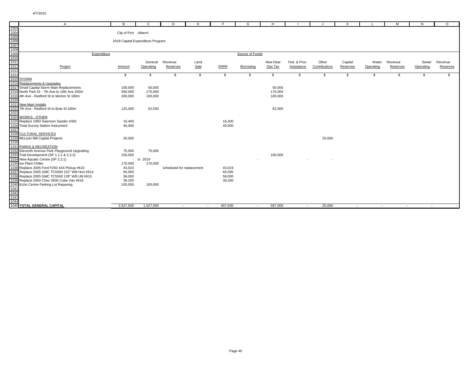|                      | $\mathsf{A}$                                                                                | в                                | C         | D                         | Е      | E       | G               | H        |              |               | К        |           | M        | N         | $\circ$  |
|----------------------|---------------------------------------------------------------------------------------------|----------------------------------|-----------|---------------------------|--------|---------|-----------------|----------|--------------|---------------|----------|-----------|----------|-----------|----------|
| 1003                 |                                                                                             |                                  |           |                           |        |         |                 |          |              |               |          |           |          |           |          |
| 1004<br>1005<br>1006 |                                                                                             | City of Port Alberni             |           |                           |        |         |                 |          |              |               |          |           |          |           |          |
|                      |                                                                                             | 2018 Capital Expenditure Program |           |                           |        |         |                 |          |              |               |          |           |          |           |          |
|                      |                                                                                             |                                  |           |                           |        |         |                 |          |              |               |          |           |          |           |          |
|                      |                                                                                             |                                  |           |                           |        |         |                 |          |              |               |          |           |          |           |          |
| 1007<br>1008<br>1009 | Expenditure                                                                                 |                                  |           |                           |        |         | Source of Funds |          |              |               |          |           |          |           |          |
| 1010                 |                                                                                             |                                  |           |                           |        |         |                 |          |              |               |          |           |          |           |          |
| 1011                 |                                                                                             |                                  | General   | Revenue                   | Land   |         |                 | New Deal | Fed. & Prov. | Other         | Capital  | Water     | Revenue  | Sewer     | Revenue  |
| 1012                 | Project                                                                                     | Amount                           | Operating | Reserves                  | Sale   | ERRF    | Borrowing       | Gas Tax  | Assistance   | Contributions | Reserves | Operating | Reserves | Operating | Reserves |
| 1013                 |                                                                                             |                                  |           |                           |        |         |                 |          |              |               |          |           |          |           |          |
| 1014                 |                                                                                             | \$                               | \$        | \$                        | \$     | \$      | \$              | \$       | \$           | \$            | \$       | \$        | -\$      | \$        | \$       |
| 1015 STORM           |                                                                                             |                                  |           |                           |        |         |                 |          |              |               |          |           |          |           |          |
|                      | 1016 Replacements & Upgrades                                                                |                                  |           |                           |        |         |                 |          |              |               |          |           |          |           |          |
|                      | 1017 Small Capital Storm Main Replacements                                                  | 100,000                          | 50,000    |                           |        |         |                 | 50,000   |              |               |          |           |          |           |          |
|                      | 1018 North Park Dr - 7th Ave to 10th Ave 330m                                               | 350,000                          | 175,000   |                           |        |         |                 | 175,000  |              |               |          |           |          |           |          |
|                      | 1019 4th Ave - Redford St to Morton St 180m                                                 | 200,000                          | 100,000   |                           |        |         |                 | 100,000  |              |               |          |           |          |           |          |
| 1020                 |                                                                                             |                                  |           |                           |        |         |                 |          |              |               |          |           |          |           |          |
|                      | 1021 New Main Installs                                                                      |                                  |           |                           |        |         |                 |          |              |               |          |           |          |           |          |
|                      | 1022 7th Ave - Redford St to Bute St 180m                                                   | 125,000                          | 62,500    |                           |        |         |                 | 62,500   |              |               |          |           |          |           |          |
| 1023                 |                                                                                             |                                  |           |                           |        |         |                 |          |              |               |          |           |          |           |          |
|                      | 1024 WORKS - OTHER                                                                          |                                  |           |                           |        |         |                 |          |              |               |          |           |          |           |          |
|                      | 1025 Replace 1993 Swenson Sander #382                                                       | 16,400                           |           |                           |        | 16,400  |                 |          |              |               |          |           |          |           |          |
|                      | 1026 Total Survey Station Instrument                                                        | 40,000                           |           |                           |        | 40,000  |                 |          |              |               |          |           |          |           |          |
| 1027                 |                                                                                             |                                  |           |                           |        |         |                 |          |              |               |          |           |          |           |          |
|                      | 1028 CULTURAL SERVICES                                                                      |                                  |           |                           |        |         |                 |          |              |               |          |           |          |           |          |
|                      | 1029 McLean Mill Capital Projects                                                           | 25,000                           |           |                           |        |         |                 |          |              | 25,000        |          |           |          |           |          |
| 1030                 |                                                                                             |                                  |           |                           |        |         |                 |          |              |               |          |           |          |           |          |
|                      | 1031 PARKS & RECREATION                                                                     |                                  |           |                           |        |         |                 |          |              |               |          |           |          |           |          |
|                      | 1032 Eleventh Avenue Park Playground Upgrading<br>1033 Trail Development (SP 1.1:1 & 2.2:3) | 75,000<br>100,000                | 75,000    |                           |        |         |                 |          |              |               |          |           |          |           |          |
|                      | 1034 New Aquatic Centre (SP 2.2:1)                                                          |                                  | to 2019   |                           |        |         |                 | 100,000  |              |               |          |           |          |           |          |
|                      | 1035 Ice Plant Chiller                                                                      | $\sim$<br>170,000                | 170,000   |                           |        |         |                 |          |              |               |          |           |          |           |          |
|                      | 1036 Replace 2005 Ford F250 4X4 Pickup #610                                                 | 43,023                           |           | scheduled for replacement |        | 43,023  |                 |          |              |               |          |           |          |           |          |
|                      | 1037 Replace 2005 GMC TC5500 152" WB Hort #614                                              | 65,000                           |           |                           |        | 65,000  |                 |          |              |               |          |           |          |           |          |
|                      | 1038 Replace 2005 GMC TC5500 128" WB Util #615                                              | 58,000                           |           |                           |        | 58,000  |                 |          |              |               |          |           |          |           |          |
|                      | 1039 Replace 2004 Chev 3500 Cube Van #616                                                   | 39,200                           |           |                           |        | 39,200  |                 |          |              |               |          |           |          |           |          |
|                      | 1040 Echo Centre Parking Lot Repaving                                                       | 100,000                          | 100,000   |                           |        |         |                 |          |              |               |          |           |          |           |          |
| 1041                 |                                                                                             |                                  |           |                           |        |         |                 |          |              |               |          |           |          |           |          |
| 1042                 |                                                                                             |                                  |           |                           |        |         |                 |          |              |               |          |           |          |           |          |
| 1043                 |                                                                                             |                                  |           |                           |        |         |                 |          |              |               |          |           |          |           |          |
| 1044                 |                                                                                             |                                  |           |                           |        |         |                 |          |              |               |          |           |          |           |          |
|                      | <b>1045 TOTAL GENERAL CAPITAL</b>                                                           | 2,527,635                        | 1,527,500 | $\sim$                    | $\sim$ | 407,635 | $\sim$          | 567,500  | $\sim$       | 25,000        | $\sim$   | $\sim$    | $\sim$   | $\sim$    |          |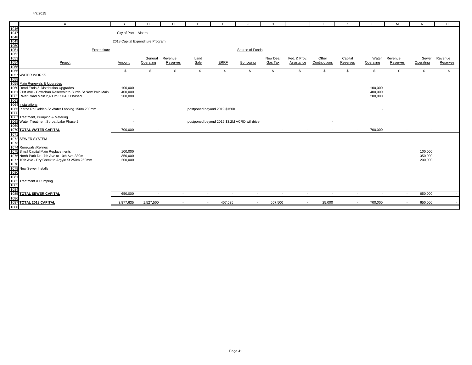|      | $\mathsf{A}$                                                 | B                                | $\mathsf{C}$ | D                        | E                            | E       | G                                            | H        |                |               | K                        |                          | M        | N         | $\circ$  |
|------|--------------------------------------------------------------|----------------------------------|--------------|--------------------------|------------------------------|---------|----------------------------------------------|----------|----------------|---------------|--------------------------|--------------------------|----------|-----------|----------|
| 1046 |                                                              |                                  |              |                          |                              |         |                                              |          |                |               |                          |                          |          |           |          |
| 1047 |                                                              | City of Port Alberni             |              |                          |                              |         |                                              |          |                |               |                          |                          |          |           |          |
| 1048 |                                                              |                                  |              |                          |                              |         |                                              |          |                |               |                          |                          |          |           |          |
| 1049 |                                                              | 2018 Capital Expenditure Program |              |                          |                              |         |                                              |          |                |               |                          |                          |          |           |          |
| 1050 |                                                              |                                  |              |                          |                              |         |                                              |          |                |               |                          |                          |          |           |          |
| 1051 | Expenditure                                                  |                                  |              |                          |                              |         | Source of Funds                              |          |                |               |                          |                          |          |           |          |
| 1052 |                                                              |                                  |              |                          |                              |         |                                              |          |                |               |                          |                          |          |           |          |
| 1053 |                                                              |                                  | General      | Revenue                  | Land                         |         |                                              | New Deal | Fed. & Prov.   | Other         | Capital                  | Water                    | Revenue  | Sewer     | Revenue  |
| 1054 | Project                                                      | Amount                           | Operating    | Reserves                 | Sale                         | ERRF    | Borrowing                                    | Gas Tax  | Assistance     | Contributions | Reserves                 | Operating                | Reserves | Operating | Reserves |
| 1055 |                                                              |                                  |              |                          |                              |         |                                              |          |                |               |                          |                          |          |           |          |
| 1056 |                                                              | \$                               | \$           | \$                       | \$                           | \$      | \$                                           | \$       | \$             | \$            | \$                       | \$                       | \$       | \$        | \$       |
|      | 1057 WATER WORKS                                             |                                  |              |                          |                              |         |                                              |          |                |               |                          |                          |          |           |          |
| 1058 |                                                              |                                  |              |                          |                              |         |                                              |          |                |               |                          |                          |          |           |          |
|      | 1059 Main Renewals & Upgrades                                |                                  |              |                          |                              |         |                                              |          |                |               |                          |                          |          |           |          |
|      | 1060 Dead Ends & Distribution Upgrades                       | 100,000                          |              |                          |                              |         |                                              |          |                |               |                          | 100,000                  |          |           |          |
|      | 1061 21st Ave - Cowichan Reservoir to Burde St New Twin Main | 400,000                          |              |                          |                              |         |                                              |          |                |               |                          | 400,000                  |          |           |          |
|      | 1062 River Road Main 2,400m 350AC Phased                     | 200,000                          |              |                          |                              |         |                                              |          |                |               |                          | 200,000                  |          |           |          |
| 1063 |                                                              |                                  |              |                          |                              |         |                                              |          |                |               |                          |                          |          |           |          |
|      | 1064 Installations                                           |                                  |              |                          |                              |         |                                              |          |                |               |                          |                          |          |           |          |
|      | 1065 Pierce Rd/Golden St Water Looping 150m 200mm            |                                  |              |                          | postponed beyond 2019 \$150K |         |                                              |          |                |               |                          |                          |          |           |          |
| 1066 |                                                              |                                  |              |                          |                              |         |                                              |          |                |               |                          |                          |          |           |          |
|      | 1067 Treatment, Pumping & Metering                           |                                  |              |                          |                              |         |                                              |          |                |               |                          |                          |          |           |          |
|      | 1068 Water Treatment Sproat Lake Phase 2                     |                                  |              |                          |                              |         | postponed beyond 2019 \$3.2M ACRD will drive |          |                |               |                          |                          |          |           |          |
| 1069 |                                                              |                                  |              |                          |                              |         |                                              |          |                |               |                          |                          |          |           |          |
|      | 1070 TOTAL WATER CAPITAL                                     | 700,000                          | $\sim$       | $\sim$                   | $\sim$                       | $\sim$  | $\sim$                                       | $\sim$   | $\sim$         | $\sim$        | $\sim$                   | 700,000                  | $\sim$   | $\sim$    |          |
| 1071 |                                                              |                                  |              |                          |                              |         |                                              |          |                |               |                          |                          |          |           |          |
|      | 1072 SEWER SYSTEM                                            |                                  |              |                          |                              |         |                                              |          |                |               |                          |                          |          |           |          |
| 1073 |                                                              |                                  |              |                          |                              |         |                                              |          |                |               |                          |                          |          |           |          |
|      | 1074 Renewals / Relines                                      |                                  |              |                          |                              |         |                                              |          |                |               |                          |                          |          |           |          |
|      | 1075 Small Capital Main Replacements                         | 100,000                          |              |                          |                              |         |                                              |          |                |               |                          |                          |          | 100,000   |          |
|      | 1076 North Park Dr - 7th Ave to 10th Ave 330m                | 350,000                          |              |                          |                              |         |                                              |          |                |               |                          |                          |          | 350,000   |          |
|      | 1077 10th Ave - Dry Creek to Argyle St 250m 250mm            | 200,000                          |              |                          |                              |         |                                              |          |                |               |                          |                          |          | 200,000   |          |
| 1078 |                                                              |                                  |              |                          |                              |         |                                              |          |                |               |                          |                          |          |           |          |
|      | 1079 New Sewer Installs                                      |                                  |              |                          |                              |         |                                              |          |                |               |                          |                          |          |           |          |
| 1080 |                                                              |                                  |              |                          |                              |         |                                              |          |                |               |                          |                          |          |           |          |
| 1081 |                                                              |                                  |              |                          |                              |         |                                              |          |                |               |                          |                          |          |           |          |
|      | 1082 Treatment & Pumping                                     |                                  |              |                          |                              |         |                                              |          |                |               |                          |                          |          |           |          |
| 1083 |                                                              |                                  |              |                          |                              |         |                                              |          |                |               |                          |                          |          |           |          |
| 1084 |                                                              |                                  |              |                          |                              |         |                                              |          |                |               |                          |                          |          |           |          |
|      | 1085 TOTAL SEWER CAPITAL                                     | 650,000                          | $\sim$       | $\overline{\phantom{a}}$ | $\sim$                       | $\sim$  | $\sim$                                       | $\sim$   | $\sim$         | $\sim$        | $\overline{\phantom{a}}$ | $\overline{\phantom{a}}$ | $\sim$   | 650,000   |          |
| 1086 |                                                              |                                  |              |                          |                              |         |                                              |          |                |               |                          |                          |          |           |          |
|      | 1087 TOTAL 2018 CAPITAL                                      | 3,877,635                        | 1,527,500    |                          | $\sim$                       | 407,635 | $\sim$                                       | 567,500  | $\overline{a}$ | 25,000        |                          | 700,000                  |          | 650,000   |          |
| 1088 |                                                              |                                  |              |                          |                              |         |                                              |          |                |               |                          |                          |          |           |          |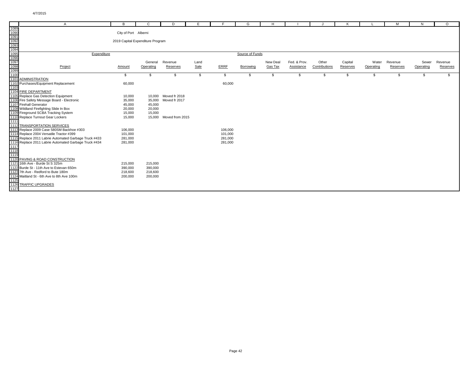| A                                                                                                                                                                                                                                                                                                        | в                                | C                | D               | Е    | E       | G               | H        |              |               | к        |           | M        | N         | $\circ$  |
|----------------------------------------------------------------------------------------------------------------------------------------------------------------------------------------------------------------------------------------------------------------------------------------------------------|----------------------------------|------------------|-----------------|------|---------|-----------------|----------|--------------|---------------|----------|-----------|----------|-----------|----------|
| 1089<br>1099<br>1099<br>1099<br>1095<br>1095<br>1097<br>1097<br>1099<br>1099<br>2008<br>2008<br>2009<br>2008<br>2009<br>2008<br>2008<br>2008<br>2008<br>2008<br>2008<br>2008<br>2008<br>2008<br>2008<br>2008<br>2008<br>2008<br>2008<br>2008<br>2008<br>2008<br>2008<br>2008<br>2008<br>2008<br>2008<br> |                                  |                  |                 |      |         |                 |          |              |               |          |           |          |           |          |
|                                                                                                                                                                                                                                                                                                          | City of Port Alberni             |                  |                 |      |         |                 |          |              |               |          |           |          |           |          |
|                                                                                                                                                                                                                                                                                                          |                                  |                  |                 |      |         |                 |          |              |               |          |           |          |           |          |
|                                                                                                                                                                                                                                                                                                          | 2019 Capital Expenditure Program |                  |                 |      |         |                 |          |              |               |          |           |          |           |          |
|                                                                                                                                                                                                                                                                                                          |                                  |                  |                 |      |         |                 |          |              |               |          |           |          |           |          |
|                                                                                                                                                                                                                                                                                                          |                                  |                  |                 |      |         |                 |          |              |               |          |           |          |           |          |
| Expenditure                                                                                                                                                                                                                                                                                              |                                  |                  |                 |      |         | Source of Funds |          |              |               |          |           |          |           |          |
|                                                                                                                                                                                                                                                                                                          |                                  |                  |                 |      |         |                 |          |              |               |          |           |          |           |          |
|                                                                                                                                                                                                                                                                                                          |                                  | General          | Revenue         | Land |         |                 | New Deal | Fed. & Prov. | Other         | Capital  | Water     | Revenue  | Sewer     | Revenue  |
|                                                                                                                                                                                                                                                                                                          | Amount                           | Operating        | Reserves        | Sale | ERRF    | Borrowing       | Gas Tax  | Assistance   | Contributions | Reserves | Operating | Reserves | Operating | Reserves |
|                                                                                                                                                                                                                                                                                                          |                                  |                  |                 |      |         |                 |          |              |               |          |           |          |           |          |
|                                                                                                                                                                                                                                                                                                          | \$                               | \$               | \$              | \$   | -S      | S               | \$       | \$           | S.            | \$       | -S        | \$       |           | \$.      |
|                                                                                                                                                                                                                                                                                                          |                                  |                  |                 |      |         |                 |          |              |               |          |           |          |           |          |
|                                                                                                                                                                                                                                                                                                          | 60,000                           |                  |                 |      | 60,000  |                 |          |              |               |          |           |          |           |          |
|                                                                                                                                                                                                                                                                                                          |                                  |                  |                 |      |         |                 |          |              |               |          |           |          |           |          |
| 1104 FIRE DEPARTMENT                                                                                                                                                                                                                                                                                     |                                  |                  |                 |      |         |                 |          |              |               |          |           |          |           |          |
| 1105 Replace Gas Detection Equipment<br>1105 Replace Gas Detection Equipment<br>1106 Fire Safety Message Board - Electronic                                                                                                                                                                              | 10,000                           | 10,000           | Moved fr 2018   |      |         |                 |          |              |               |          |           |          |           |          |
|                                                                                                                                                                                                                                                                                                          | 35,000                           | 35,000           | Moved fr 2017   |      |         |                 |          |              |               |          |           |          |           |          |
|                                                                                                                                                                                                                                                                                                          | 45,000                           | 45,000           |                 |      |         |                 |          |              |               |          |           |          |           |          |
| 1108 Wildland Firefighting Slide In Box                                                                                                                                                                                                                                                                  | 20,000                           | 20,000<br>15,000 |                 |      |         |                 |          |              |               |          |           |          |           |          |
|                                                                                                                                                                                                                                                                                                          | 15,000<br>15,000                 | 15,000           | Moved from 2015 |      |         |                 |          |              |               |          |           |          |           |          |
|                                                                                                                                                                                                                                                                                                          |                                  |                  |                 |      |         |                 |          |              |               |          |           |          |           |          |
| 109 Windam Firelignung Side in Box<br>1109 Fireground SCBA Tracking System<br>11110 Replace Turnout Gear Lockers<br>11112 TRANSPORTATION SERVICES<br>1113 Replace 2009 Case 580SM Backhoe #303                                                                                                           |                                  |                  |                 |      |         |                 |          |              |               |          |           |          |           |          |
|                                                                                                                                                                                                                                                                                                          | 106,000                          |                  |                 |      | 106,000 |                 |          |              |               |          |           |          |           |          |
| 1114 Replace 2004 Versatile Tractor #399                                                                                                                                                                                                                                                                 | 101,000                          |                  |                 |      | 101,000 |                 |          |              |               |          |           |          |           |          |
| 1115 Replace 2011 Labrie Automated Garbage Truck #433                                                                                                                                                                                                                                                    | 281,000                          |                  |                 |      | 281,000 |                 |          |              |               |          |           |          |           |          |
|                                                                                                                                                                                                                                                                                                          | 281,000                          |                  |                 |      | 281,000 |                 |          |              |               |          |           |          |           |          |
| 1116 Replace 2011 Labrie Automated Garbage Truck #434<br>1117<br>1118 Replace 2011 Labrie Automated Garbage Truck #434<br>1118<br>1120 PAVING & ROAD CONSTRUCTION                                                                                                                                        |                                  |                  |                 |      |         |                 |          |              |               |          |           |          |           |          |
|                                                                                                                                                                                                                                                                                                          |                                  |                  |                 |      |         |                 |          |              |               |          |           |          |           |          |
|                                                                                                                                                                                                                                                                                                          |                                  |                  |                 |      |         |                 |          |              |               |          |           |          |           |          |
|                                                                                                                                                                                                                                                                                                          |                                  |                  |                 |      |         |                 |          |              |               |          |           |          |           |          |
|                                                                                                                                                                                                                                                                                                          | 215,000                          | 215,000          |                 |      |         |                 |          |              |               |          |           |          |           |          |
|                                                                                                                                                                                                                                                                                                          | 390,000                          | 390,000          |                 |      |         |                 |          |              |               |          |           |          |           |          |
|                                                                                                                                                                                                                                                                                                          | 218,600                          | 218,600          |                 |      |         |                 |          |              |               |          |           |          |           |          |
|                                                                                                                                                                                                                                                                                                          | 200,000                          | 200,000          |                 |      |         |                 |          |              |               |          |           |          |           |          |
|                                                                                                                                                                                                                                                                                                          |                                  |                  |                 |      |         |                 |          |              |               |          |           |          |           |          |
| 1120 PAVING & ROAD CONSTRUCTION<br>1121 16th Ave - Burde St S 325m<br>1122 Burde St - 11th Ave to Estevan 650m<br>1123 7th Ave - Redford to Bute 180m<br>1124 Maitland St - 6th Ave to 8th Ave 100m<br>1125<br>1126 TRAFFIC UPGRADES                                                                     |                                  |                  |                 |      |         |                 |          |              |               |          |           |          |           |          |
|                                                                                                                                                                                                                                                                                                          |                                  |                  |                 |      |         |                 |          |              |               |          |           |          |           |          |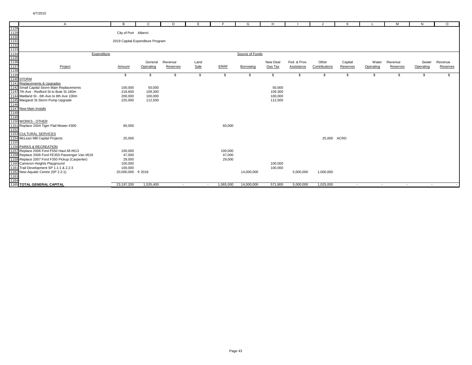| $\mathsf{A}$                                                                                                                                                                                                                                                     | в                                | C         | D        | Е      |           | G               | н        |              |               | К                        |           | M        | N         | $\circ$  |
|------------------------------------------------------------------------------------------------------------------------------------------------------------------------------------------------------------------------------------------------------------------|----------------------------------|-----------|----------|--------|-----------|-----------------|----------|--------------|---------------|--------------------------|-----------|----------|-----------|----------|
|                                                                                                                                                                                                                                                                  |                                  |           |          |        |           |                 |          |              |               |                          |           |          |           |          |
|                                                                                                                                                                                                                                                                  | City of Port Alberni             |           |          |        |           |                 |          |              |               |                          |           |          |           |          |
|                                                                                                                                                                                                                                                                  |                                  |           |          |        |           |                 |          |              |               |                          |           |          |           |          |
|                                                                                                                                                                                                                                                                  | 2019 Capital Expenditure Program |           |          |        |           |                 |          |              |               |                          |           |          |           |          |
|                                                                                                                                                                                                                                                                  |                                  |           |          |        |           |                 |          |              |               |                          |           |          |           |          |
|                                                                                                                                                                                                                                                                  |                                  |           |          |        |           |                 |          |              |               |                          |           |          |           |          |
| Expenditure                                                                                                                                                                                                                                                      |                                  |           |          |        |           | Source of Funds |          |              |               |                          |           |          |           |          |
|                                                                                                                                                                                                                                                                  |                                  |           |          |        |           |                 |          |              |               |                          |           |          |           |          |
|                                                                                                                                                                                                                                                                  |                                  | General   | Revenue  | Land   |           |                 | New Deal | Fed. & Prov. | Other         | Capital                  | Water     | Revenue  | Sewer     | Revenue  |
|                                                                                                                                                                                                                                                                  | Amount                           | Operating | Reserves | Sale   | ERRF      | Borrowing       | Gas Tax  | Assistance   | Contributions | Reserves                 | Operating | Reserves | Operating | Reserves |
| A<br>1128<br>1129<br>1130<br>1131<br>1133<br>1135<br>1136<br>1136<br>1140<br>SIDORM<br>1141<br>Replacements & Upgrades<br>1142<br>Small Capital Storm Main Replacements<br>1142 The Neutron Step Back of the St 180m<br>1144 The Neutron St to Bute St 180m<br>1 |                                  |           |          |        |           |                 |          |              |               |                          |           |          |           |          |
|                                                                                                                                                                                                                                                                  | S                                | - \$      | S        | \$     | \$        | S.              | \$       | -\$          | - 56          | \$                       | - 35      | \$       |           | \$.      |
|                                                                                                                                                                                                                                                                  |                                  |           |          |        |           |                 |          |              |               |                          |           |          |           |          |
|                                                                                                                                                                                                                                                                  |                                  |           |          |        |           |                 |          |              |               |                          |           |          |           |          |
|                                                                                                                                                                                                                                                                  | 100,000                          | 50,000    |          |        |           |                 | 50,000   |              |               |                          |           |          |           |          |
|                                                                                                                                                                                                                                                                  | 218,600                          | 109,300   |          |        |           |                 | 109,300  |              |               |                          |           |          |           |          |
|                                                                                                                                                                                                                                                                  | 200,000                          | 100,000   |          |        |           |                 | 100,000  |              |               |                          |           |          |           |          |
|                                                                                                                                                                                                                                                                  | 225,000                          | 112,500   |          |        |           |                 | 112,500  |              |               |                          |           |          |           |          |
|                                                                                                                                                                                                                                                                  |                                  |           |          |        |           |                 |          |              |               |                          |           |          |           |          |
|                                                                                                                                                                                                                                                                  |                                  |           |          |        |           |                 |          |              |               |                          |           |          |           |          |
|                                                                                                                                                                                                                                                                  |                                  |           |          |        |           |                 |          |              |               |                          |           |          |           |          |
|                                                                                                                                                                                                                                                                  |                                  |           |          |        |           |                 |          |              |               |                          |           |          |           |          |
|                                                                                                                                                                                                                                                                  | 60,000                           |           |          |        | 60,000    |                 |          |              |               |                          |           |          |           |          |
| 1143 7th Ave - Rediord St to Bute St 180m<br>1144 Maitland St - 6th Ave to 8th Ave 100m<br>1145 Margaret St Storm Pump Upgrade<br>1146<br>1147 New Main Installs<br>1150 WORKS - OTHER<br>1155 Replace 2004 Tiger Flail Mower #300<br>1152<br>1152<br>20         |                                  |           |          |        |           |                 |          |              |               |                          |           |          |           |          |
| 1153 CULTURAL SERVICES                                                                                                                                                                                                                                           |                                  |           |          |        |           |                 |          |              |               |                          |           |          |           |          |
|                                                                                                                                                                                                                                                                  | 25,000                           |           |          |        |           |                 |          |              | 25,000 ACRD   |                          |           |          |           |          |
|                                                                                                                                                                                                                                                                  |                                  |           |          |        |           |                 |          |              |               |                          |           |          |           |          |
|                                                                                                                                                                                                                                                                  |                                  |           |          |        |           |                 |          |              |               |                          |           |          |           |          |
|                                                                                                                                                                                                                                                                  | 100,000                          |           |          |        | 100,000   |                 |          |              |               |                          |           |          |           |          |
|                                                                                                                                                                                                                                                                  | 47,000                           |           |          |        | 47,000    |                 |          |              |               |                          |           |          |           |          |
|                                                                                                                                                                                                                                                                  | 29,000                           |           |          |        | 29,000    |                 |          |              |               |                          |           |          |           |          |
| T153<br>1154<br>1155<br>1156 PARKS & RECREATION<br>1157 Replace 2006 Ford F550 Haul All #613<br>1158 Replace 2007 Ford F5350 Passenger Van #619<br>1159 Replace 2007 Ford F350 Pickup (Carpenter)<br>1160 Cameron Heights Playground<br>1160 C                   | 100,000                          |           |          |        |           |                 | 100,000  |              |               |                          |           |          |           |          |
| 1161 Trail Development SP 1.1:1 & 2.2:3                                                                                                                                                                                                                          | 100,000                          |           |          |        |           |                 | 100,000  |              |               |                          |           |          |           |          |
| The Transformed Centre (SP 2.2:1)<br>1162 New Aquatic Centre (SP 2.2:1)<br>1163<br>1164<br>1165 <b>TOTAL GENERAL CAPITAL</b>                                                                                                                                     | 20,000,000 fr 2018               |           |          |        |           | 14,000,000      |          | 5,000,000    | 1,000,000     |                          |           |          |           |          |
|                                                                                                                                                                                                                                                                  |                                  |           |          |        |           |                 |          |              |               |                          |           |          |           |          |
|                                                                                                                                                                                                                                                                  |                                  |           |          |        |           |                 |          |              |               |                          |           |          |           |          |
|                                                                                                                                                                                                                                                                  | 23,197,200                       | 1,535,400 | $\sim$   | $\sim$ | 1.065.000 | 14,000,000      | 571,800  | 5,000,000    | 1,025,000     | $\overline{\phantom{a}}$ | $\sim$    | $\sim$   | $\sim$    |          |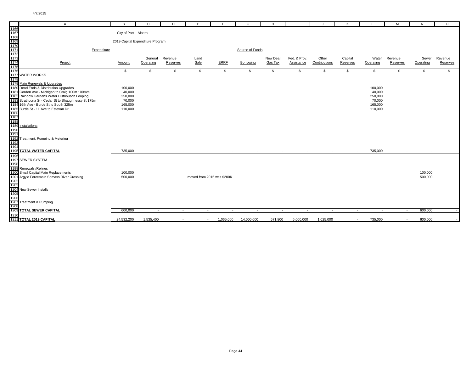|                                                      | Α                                                    | B                                | C                        | D        | Е                          |           | G               | H                        |              |               | к                        |           | М        | N         | $\circ$  |
|------------------------------------------------------|------------------------------------------------------|----------------------------------|--------------------------|----------|----------------------------|-----------|-----------------|--------------------------|--------------|---------------|--------------------------|-----------|----------|-----------|----------|
| 1166                                                 |                                                      |                                  |                          |          |                            |           |                 |                          |              |               |                          |           |          |           |          |
| 1167<br>1168<br>1169<br>1170<br>1171<br>1172<br>1173 |                                                      | City of Port Alberni             |                          |          |                            |           |                 |                          |              |               |                          |           |          |           |          |
|                                                      |                                                      |                                  |                          |          |                            |           |                 |                          |              |               |                          |           |          |           |          |
|                                                      |                                                      | 2019 Capital Expenditure Program |                          |          |                            |           |                 |                          |              |               |                          |           |          |           |          |
|                                                      |                                                      |                                  |                          |          |                            |           |                 |                          |              |               |                          |           |          |           |          |
|                                                      | Expenditure                                          |                                  |                          |          |                            |           | Source of Funds |                          |              |               |                          |           |          |           |          |
|                                                      |                                                      |                                  |                          |          |                            |           |                 |                          |              |               |                          |           |          |           |          |
|                                                      |                                                      |                                  | General                  | Revenue  | Land                       |           |                 | New Deal                 | Fed. & Prov. | Other         | Capital                  | Water     | Revenue  | Sewer     | Revenue  |
|                                                      | Project                                              | Amount                           | Operating                | Reserves | Sale                       | ERRF      | Borrowing       | Gas Tax                  | Assistance   | Contributions | Reserves                 | Operating | Reserves | Operating | Reserves |
| 1175                                                 |                                                      |                                  |                          |          |                            |           |                 |                          |              |               |                          |           |          |           |          |
| 1176                                                 |                                                      | \$                               | \$                       | \$       | \$                         | \$        | S.              | \$                       | \$           | \$            | \$                       | \$        | \$       | S.        | S.       |
|                                                      | 1177 WATER WORKS                                     |                                  |                          |          |                            |           |                 |                          |              |               |                          |           |          |           |          |
| 1178                                                 |                                                      |                                  |                          |          |                            |           |                 |                          |              |               |                          |           |          |           |          |
|                                                      | 1179 Main Renewals & Upgrades                        |                                  |                          |          |                            |           |                 |                          |              |               |                          |           |          |           |          |
|                                                      | 1180 Dead Ends & Distribution Upgrades               | 100,000                          |                          |          |                            |           |                 |                          |              |               |                          | 100,000   |          |           |          |
|                                                      | 1181 Gordon Ave - Michigan to Craig 100m 100mm       | 40,000                           |                          |          |                            |           |                 |                          |              |               |                          | 40,000    |          |           |          |
|                                                      | 1182 Rainbow Gardens Water Distribution Looping      | 250,000                          |                          |          |                            |           |                 |                          |              |               |                          | 250,000   |          |           |          |
|                                                      | 1183 Strathcona St - Cedar St to Shaughnessy St 175m | 70,000                           |                          |          |                            |           |                 |                          |              |               |                          | 70,000    |          |           |          |
|                                                      | 1184 16th Ave - Burde St to South 325m               | 165,000                          |                          |          |                            |           |                 |                          |              |               |                          | 165,000   |          |           |          |
|                                                      | 1185 Burde St - 11 Ave to Estevan Dr                 | 110,000                          |                          |          |                            |           |                 |                          |              |               |                          | 110,000   |          |           |          |
| 1186                                                 |                                                      |                                  |                          |          |                            |           |                 |                          |              |               |                          |           |          |           |          |
| 1187                                                 |                                                      |                                  |                          |          |                            |           |                 |                          |              |               |                          |           |          |           |          |
| 1188                                                 |                                                      |                                  |                          |          |                            |           |                 |                          |              |               |                          |           |          |           |          |
|                                                      | 1189 Installations                                   |                                  |                          |          |                            |           |                 |                          |              |               |                          |           |          |           |          |
| 1190                                                 |                                                      |                                  |                          |          |                            |           |                 |                          |              |               |                          |           |          |           |          |
| 1191                                                 |                                                      |                                  |                          |          |                            |           |                 |                          |              |               |                          |           |          |           |          |
|                                                      | 1192 Treatment, Pumping & Metering                   |                                  |                          |          |                            |           |                 |                          |              |               |                          |           |          |           |          |
| 1193                                                 |                                                      |                                  |                          |          |                            |           |                 |                          |              |               |                          |           |          |           |          |
| 1194                                                 |                                                      |                                  |                          |          |                            |           |                 |                          |              |               |                          |           |          |           |          |
|                                                      | <b>1195 TOTAL WATER CAPITAL</b>                      | 735,000                          | $\overline{\phantom{a}}$ | $\sim$   | $\overline{\phantom{a}}$   | $\sim$    | $\sim$          | $\overline{\phantom{a}}$ | $\sim$       | $\sim$        | $\overline{\phantom{a}}$ | 735,000   | $\sim$   | $\sim$    |          |
| 1196                                                 |                                                      |                                  |                          |          |                            |           |                 |                          |              |               |                          |           |          |           |          |
|                                                      | 1197 SEWER SYSTEM                                    |                                  |                          |          |                            |           |                 |                          |              |               |                          |           |          |           |          |
|                                                      |                                                      |                                  |                          |          |                            |           |                 |                          |              |               |                          |           |          |           |          |
| 1198                                                 | 1199 Renewals / Relines                              |                                  |                          |          |                            |           |                 |                          |              |               |                          |           |          |           |          |
|                                                      |                                                      |                                  |                          |          |                            |           |                 |                          |              |               |                          |           |          |           |          |
|                                                      | 1200 Small Capital Main Replacements                 | 100,000                          |                          |          |                            |           |                 |                          |              |               |                          |           |          | 100,000   |          |
|                                                      | 1201 Argyle Forcemain Somass River Crossing          | 500,000                          |                          |          | moved from 2015 was \$200K |           |                 |                          |              |               |                          |           |          | 500,000   |          |
| 1202                                                 |                                                      |                                  |                          |          |                            |           |                 |                          |              |               |                          |           |          |           |          |
| 1203                                                 |                                                      |                                  |                          |          |                            |           |                 |                          |              |               |                          |           |          |           |          |
|                                                      | 1204 New Sewer Installs                              |                                  |                          |          |                            |           |                 |                          |              |               |                          |           |          |           |          |
| 1205                                                 |                                                      |                                  |                          |          |                            |           |                 |                          |              |               |                          |           |          |           |          |
| 1206                                                 |                                                      |                                  |                          |          |                            |           |                 |                          |              |               |                          |           |          |           |          |
|                                                      | 1207 Treatment & Pumping                             |                                  |                          |          |                            |           |                 |                          |              |               |                          |           |          |           |          |
| 1208                                                 |                                                      |                                  |                          |          |                            |           |                 |                          |              |               |                          |           |          |           |          |
|                                                      | 1209 TOTAL SEWER CAPITAL                             | 600,000                          | $\sim$                   | $\sim$   | $\sim$                     | $\sim$    | $\sim$          | $\sim$                   | $\sim$       | $\sim$        | $\sim$                   | $\sim$    | $\sim$   | 600,000   |          |
| 1210                                                 |                                                      |                                  |                          |          |                            |           |                 |                          |              |               |                          |           |          |           |          |
|                                                      | 1211 TOTAL 2019 CAPITAL                              | 24.532.200                       | 1.535.400                | $\sim$   | $\sim$                     | 1,065,000 | 14.000.000      | 571.800                  | 5.000.000    | 1.025.000     | $\sim$                   | 735,000   | $\sim$   | 600,000   |          |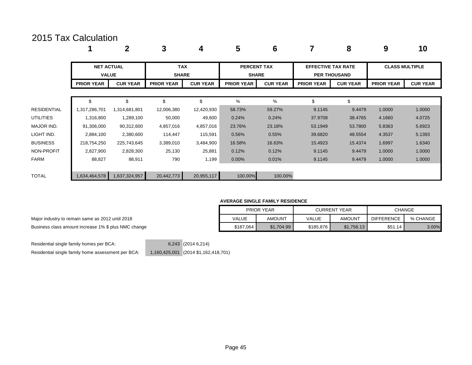### 2015 Tax Calculation

|             |                                   | $\mathbf 2$     | 3                          | 4               | 5                                  | 6               |                           | 8                   | 9                     | 10              |
|-------------|-----------------------------------|-----------------|----------------------------|-----------------|------------------------------------|-----------------|---------------------------|---------------------|-----------------------|-----------------|
|             | <b>NET ACTUAL</b><br><b>VALUE</b> |                 | <b>TAX</b><br><b>SHARE</b> |                 | <b>PERCENT TAX</b><br><b>SHARE</b> |                 | <b>EFFECTIVE TAX RATE</b> | <b>PER THOUSAND</b> | <b>CLASS MULTIPLE</b> |                 |
|             | <b>PRIOR YEAR</b>                 | <b>CUR YEAR</b> | <b>PRIOR YEAR</b>          | <b>CUR YEAR</b> | <b>PRIOR YEAR</b>                  | <b>CUR YEAR</b> | <b>PRIOR YEAR</b>         | <b>CUR YEAR</b>     | <b>PRIOR YEAR</b>     | <b>CUR YEAR</b> |
|             | \$                                | \$              | \$                         | \$              | %                                  | %               | \$                        | \$.                 |                       |                 |
| RESIDENTIAL | 1,317,286,701                     | 1,314,681,801   | 12,006,380                 | 12,420,930      | 58.73%                             | 59.27%          | 9.1145                    | 9.4479              | 1.0000                | 1.0000          |
| UTILITIES   | 1,316,800                         | 1,289,100       | 50,000                     | 49,600          | 0.24%                              | 0.24%           | 37.9708                   | 38.4765             | 4.1660                | 4.0725          |
| MAJOR IND.  | 91,306,000                        | 90,312,600      | 4,857,016                  | 4,857,016       | 23.76%                             | 23.18%          | 53.1949                   | 53.7800             | 5.8363                | 5.6923          |
| light ind.  | 2,884,100                         | 2,380,600       | 114,447                    | 115,591         | 0.56%                              | 0.55%           | 39.6820                   | 48.5554             | 4.3537                | 5.1393          |
| BUSINESS    | 218,754,250                       | 225,743,645     | 3,389,010                  | 3,484,900       | 16.58%                             | 16.63%          | 15.4923                   | 15.4374             | 1.6997                | 1.6340          |
| NON-PROFIT  | 2,827,900                         | 2,828,300       | 25,130                     | 25,881          | 0.12%                              | 0.12%           | 9.1145                    | 9.4479              | 1.0000                | 1.0000          |
| FARM        | 88,827                            | 88,911          | 790                        | 1,199           | $0.00\%$                           | 0.01%           | 9.1145                    | 9.4479              | 1.0000                | 1.0000          |
|             |                                   |                 |                            |                 |                                    |                 |                           |                     |                       |                 |
| TOTAL       | 1,634,464,578                     | 1,637,324,957   | 20,442,773                 | 20,955,117      | 100.00%                            | 100.00%         |                           |                     |                       |                 |

#### **AVERAGE SINGLE FAMILY RESIDENCE**

|           | <b>PRIOR YEAR</b> |           | <b>CURRENT YEAR</b> |                   | CHANGE   |
|-----------|-------------------|-----------|---------------------|-------------------|----------|
| VALUE     | <b>AMOUNT</b>     | VALUE     | AMOUNT              | <b>DIFFERENCE</b> | % CHANGE |
| \$187,064 | \$1.704.99        | \$185,876 | \$1.756.13          | \$51.14           | $3.00\%$ |

Major industry to remain same as 2012 until 2018 Business class amount increase 1% \$ plus NMC change

Residential single family homes per BCA: 6,243 (2014 6,214)

Residential single family home assessment per BCA: 1,160,425,001 (2014 \$1,162,418,701)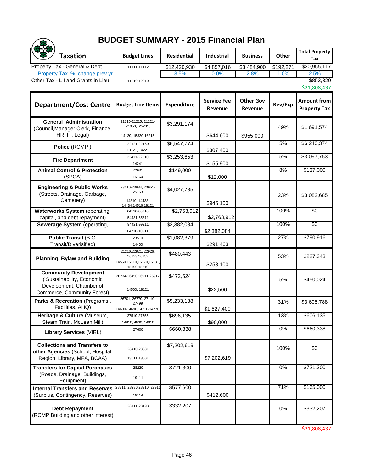|                                                                                                                     | <b>BUDGET SUMMARY - 2015 Financial Plan</b>                                   |                    |                               |                             |           |                                           |
|---------------------------------------------------------------------------------------------------------------------|-------------------------------------------------------------------------------|--------------------|-------------------------------|-----------------------------|-----------|-------------------------------------------|
| <b>Taxation</b>                                                                                                     | <b>Budget Lines</b>                                                           | <b>Residential</b> | <b>Industrial</b>             | <b>Business</b>             | Other     | <b>Total Property</b><br>Tax              |
| Property Tax - General & Debt                                                                                       | 11111-11112                                                                   | \$12,420,930       | \$4,857,016                   | \$3,484,900                 | \$192,271 | \$20,955,117                              |
| Property Tax % change prev yr.<br>Other Tax - L I and Grants in Lieu                                                |                                                                               | 3.5%               | 0.0%                          | 2.8%                        | 1.0%      | 2.5%<br>\$853,320                         |
|                                                                                                                     | 11210-12910                                                                   |                    |                               |                             |           | \$21,808,437                              |
| <b>Department/Cost Centre</b>                                                                                       | <b>Budget Line Items</b>                                                      | <b>Expenditure</b> | <b>Service Fee</b><br>Revenue | <b>Other Gov</b><br>Revenue | Rev/Exp   | <b>Amount from</b><br><b>Property Tax</b> |
| <b>General Administration</b><br>(Council, Manager, Clerk, Finance,<br>HR, IT, Legal)                               | 21110-21215, 21221-<br>21950, 25281,<br>14120, 15320-16215                    | \$3,291,174        | \$644,600                     | \$955,000                   | 49%       | \$1,691,574                               |
| Police (RCMP)                                                                                                       | 22121-22180<br>13121, 14221                                                   | \$6,547,774        | \$307,400                     |                             | 5%        | \$6,240,374                               |
| <b>Fire Department</b>                                                                                              | 22411-22510<br>14241                                                          | \$3,253,653        | \$155,900                     |                             | 5%        | \$3,097,753                               |
| <b>Animal Control &amp; Protection</b><br>(SPCA)                                                                    | 22931<br>15160                                                                | \$149,000          | \$12,000                      |                             | 8%        | \$137,000                                 |
| <b>Engineering &amp; Public Works</b><br>(Streets, Drainage, Garbage,<br>Cemetery)                                  | 23110-23884, 23951-<br>25163<br>14310, 14433,<br>14434,14516,18121            | \$4,027,785        | \$945,100                     |                             | 23%       | \$3,082,685                               |
| <b>Waterworks System (operating,</b><br>capital, and debt repayment)                                                | 64110-68910<br>54431-55611                                                    | \$2,763,912        | \$2,763,912                   |                             | 100%      | \$0                                       |
| Sewerage System (operating,                                                                                         | 94421-99211<br>104210-109110                                                  | \$2,382,084        | \$2,382,084                   |                             | 100%      | \$0                                       |
| <b>Public Transit (B.C.</b><br>Transit/Diverisified)                                                                | 23510<br>14400                                                                | \$1,082,379        | \$291,463                     |                             | 27%       | \$790,916                                 |
| <b>Planning, Bylaw and Building</b>                                                                                 | 21216,22921, 22926,<br>26129,26132<br>14550,15110,15170,15181,<br>15190,15210 | \$480,443          | \$253,100                     |                             | 53%       | \$227,343                                 |
| <b>Community Development</b><br>(Sustainability, Economic<br>Development, Chamber of<br>Commerce, Community Forest) | 26234-26450,26911-26917<br>14560, 18121                                       | \$472,524          | \$22,500                      |                             | 5%        | \$450,024                                 |
| Parks & Recreation (Programs<br>Facilities, AHQ)                                                                    | 26701, 26770, 27110-<br>27499<br>14600-14690,14710-14770                      | \$5,233,188        | \$1,627,400                   |                             | 31%       | \$3,605,788                               |
| Heritage & Culture (Museum,<br>Steam Train, McLean Mill)                                                            | 27510-27555<br>14810, 4830, 14910                                             | \$696,135          | \$90,000                      |                             | 13%       | \$606,135                                 |
| <b>Library Services (VIRL)</b>                                                                                      | 27600                                                                         | \$660,338          |                               |                             | $0\%$     | \$660,338                                 |
| <b>Collections and Transfers to</b><br>other Agencies (School, Hospital,<br>Region, Library, MFA, BCAA)             | 28410-28831<br>19811-19831                                                    | \$7,202,619        | \$7,202,619                   |                             | 100%      | \$0                                       |
| <b>Transfers for Capital Purchases</b><br>(Roads, Drainage, Buildings,<br>Equipment)                                | 28220<br>19111                                                                | \$721,300          |                               |                             | $0\%$     | \$721,300                                 |
| <b>Internal Transfers and Reserves</b><br>(Surplus, Contingency, Reserves)                                          | 28211, 28236, 28910, 2991<br>19114                                            | \$577,600          | \$412,600                     |                             | 71%       | \$165,000                                 |
| <b>Debt Repayment</b><br>(RCMP Building and other interest)                                                         | 28111-28193                                                                   | \$332,207          |                               |                             | 0%        | \$332,207                                 |

\$21,808,437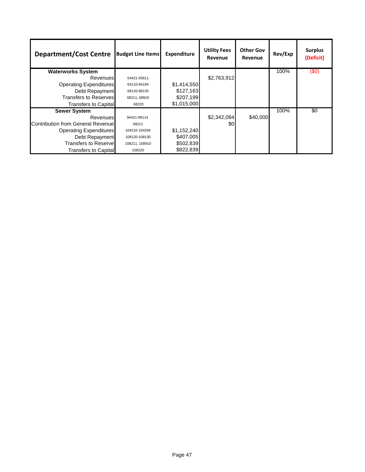| <b>Department/Cost Centre</b>     | <b>Budget Line Items</b> | <b>Expenditure</b> | <b>Utility Fees</b><br>Revenue | <b>Other Gov</b><br>Revenue | Rev/Exp | <b>Surplus</b><br>(Deficit) |
|-----------------------------------|--------------------------|--------------------|--------------------------------|-----------------------------|---------|-----------------------------|
| <b>Waterworks System</b>          |                          |                    |                                |                             | 100%    | (50)                        |
| Revenues                          | 54421-55611              |                    | \$2,763,912                    |                             |         |                             |
| <b>Operating Expenditures</b>     | 64110-64194              | \$1,414,550        |                                |                             |         |                             |
| Debt Repayment                    | 68120-68130              | \$127,163          |                                |                             |         |                             |
| <b>Transfers to Reserves</b>      | 68211, 68910             | \$207,199          |                                |                             |         |                             |
| <b>Transfers to Capital</b>       | 68220                    | \$1,015,000        |                                |                             |         |                             |
| <b>Sewer System</b>               |                          |                    |                                |                             | 100%    | \$0                         |
| Revenues                          | 94421-99114              |                    | \$2,342,084                    | \$40,000                    |         |                             |
| Contribution from General Revenue | 99211                    |                    | \$0                            |                             |         |                             |
| <b>Operating Expenditures</b>     | 104210-104294            | \$1,152,240        |                                |                             |         |                             |
| Debt Repayment                    | 108120-108130            | \$407,005          |                                |                             |         |                             |
| Transfers to Reserve              | 108211, 108910           | \$502,839          |                                |                             |         |                             |
| Transfers to Capital              | 108220                   | \$822,839          |                                |                             |         |                             |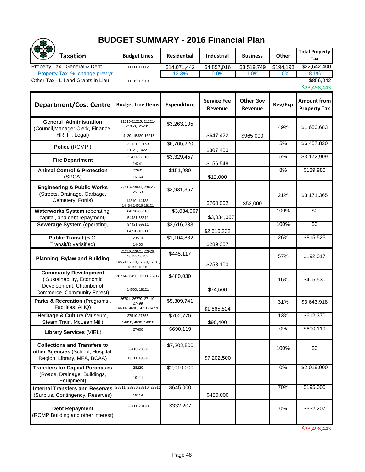| <b>BUDGET SUMMARY - 2016 Financial Plan</b>                                                                         |                                                                               |                    |                               |                             |           |                                           |  |  |
|---------------------------------------------------------------------------------------------------------------------|-------------------------------------------------------------------------------|--------------------|-------------------------------|-----------------------------|-----------|-------------------------------------------|--|--|
| <b>Taxation</b>                                                                                                     | <b>Budget Lines</b>                                                           | <b>Residential</b> | Industrial                    | <b>Business</b>             | Other     | <b>Total Property</b><br>Tax              |  |  |
| Property Tax - General & Debt                                                                                       | 11111-11112                                                                   | \$14,071,442       | \$4,857,016                   | \$3,519,749                 | \$194,193 | \$22,642,400                              |  |  |
| Property Tax % change prev yr.                                                                                      |                                                                               | 13.3%              | 0.0%                          | 1.0%                        | 1.0%      | 8.1%                                      |  |  |
| Other Tax - L I and Grants in Lieu                                                                                  | 11210-12910                                                                   |                    |                               |                             |           | \$856,042<br>\$23,498,443                 |  |  |
| <b>Department/Cost Centre</b>                                                                                       | <b>Budget Line Items</b>                                                      | <b>Expenditure</b> | <b>Service Fee</b><br>Revenue | <b>Other Gov</b><br>Revenue | Rev/Exp   | <b>Amount from</b><br><b>Property Tax</b> |  |  |
| <b>General Administration</b><br>(Council, Manager, Clerk, Finance,<br>HR, IT, Legal)                               | 21110-21215, 21221-<br>21950, 25281,<br>14120, 15320-16215                    | \$3,263,105        | \$647,422                     | \$965,000                   | 49%       | \$1,650,683                               |  |  |
| Police (RCMP)                                                                                                       | 22121-22180<br>13121, 14221                                                   | \$6,765,220        | \$307,400                     |                             | 5%        | \$6,457,820                               |  |  |
| <b>Fire Department</b>                                                                                              | 22411-22510<br>14241                                                          | \$3,329,457        | \$156,548                     |                             | 5%        | \$3,172,909                               |  |  |
| <b>Animal Control &amp; Protection</b><br>(SPCA)                                                                    | 22931<br>15160                                                                | \$151,980          | \$12,000                      |                             | 8%        | \$139,980                                 |  |  |
| <b>Engineering &amp; Public Works</b><br>(Streets, Drainage, Garbage,<br>Cemetery, Fortis)                          | 23110-23884, 23951-<br>25163<br>14310, 14433,<br>14434,14516,18121            | \$3,931,367        | \$760,002                     | \$52,000                    | 21%       | \$3,171,365                               |  |  |
| Waterworks System (operating,<br>capital, and debt repayment)                                                       | 64110-68910<br>54431-55611                                                    | \$3,034,067        | \$3,034,067                   |                             | 100%      | \$0                                       |  |  |
| Sewerage System (operating,                                                                                         | 94421-99211<br>104210-109110                                                  | \$2,616,233        | \$2,616,232                   |                             | 100%      | $\overline{50}$                           |  |  |
| <b>Public Transit (B.C.</b><br>Transit/Diverisified)                                                                | 23510<br>14400                                                                | \$1,104,882        | \$289,357                     |                             | 26%       | \$815,525                                 |  |  |
| <b>Planning, Bylaw and Building</b>                                                                                 | 21216,22921, 22926,<br>26129,26132<br>14550,15110,15170,15181,<br>15190,15210 | \$445,117          | \$253,100                     |                             | 57%       | \$192,017                                 |  |  |
| <b>Community Development</b><br>(Sustainability, Economic<br>Development, Chamber of<br>Commerce, Community Forest) | 26234-26450,26911-26917<br>14560, 18121                                       | \$480,030          | \$74,500                      |                             | 16%       | \$405,530                                 |  |  |
| Parks & Recreation (Programs,<br>Facilities, AHQ)                                                                   | 26701, 26770, 27110-<br>27499<br>14600-14690,14710-14770                      | \$5,309,741        | \$1,665,824                   |                             | 31%       | \$3,643,918                               |  |  |
| Heritage & Culture (Museum,<br>Steam Train, McLean Mill)                                                            | 27510-27555<br>14810, 4830, 14910                                             | \$702,770          | \$90,400                      |                             | 13%       | \$612,370                                 |  |  |
| <b>Library Services (VIRL)</b>                                                                                      | 27600                                                                         | \$690,119          |                               |                             | $0\%$     | \$690,119                                 |  |  |
| <b>Collections and Transfers to</b><br>other Agencies (School, Hospital,<br>Region, Library, MFA, BCAA)             | 28410-28831<br>19811-19831                                                    | \$7,202,500        | \$7,202,500                   |                             | 100%      | \$0                                       |  |  |
| <b>Transfers for Capital Purchases</b><br>(Roads, Drainage, Buildings,<br>Equipment)                                | 28220<br>19111                                                                | \$2,019,000        |                               |                             | $0\%$     | \$2,019,000                               |  |  |
| <b>Internal Transfers and Reserves</b><br>(Surplus, Contingency, Reserves)                                          | 28211, 28236, 28910, 29911<br>19114                                           | \$645,000          | \$450,000                     |                             | 70%       | \$195,000                                 |  |  |
| <b>Debt Repayment</b><br>(RCMP Building and other interest)                                                         | 28111-28193                                                                   | \$332,207          |                               |                             | 0%        | \$332,207                                 |  |  |

\$23,498,443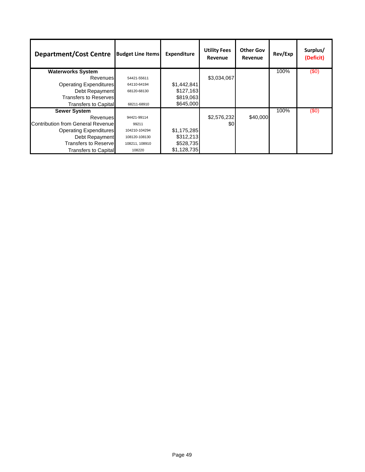| <b>Department/Cost Centre</b>     | <b>Budget Line Items</b> | <b>Expenditure</b> | <b>Utility Fees</b><br>Revenue | <b>Other Gov</b><br>Revenue | Rev/Exp | Surplus/<br>(Deficit) |
|-----------------------------------|--------------------------|--------------------|--------------------------------|-----------------------------|---------|-----------------------|
| <b>Waterworks System</b>          |                          |                    |                                |                             | 100%    | (50)                  |
| <b>Revenues</b>                   | 54421-55611              |                    | \$3,034,067                    |                             |         |                       |
| <b>Operating Expenditures</b>     | 64110-64194              | \$1,442,841        |                                |                             |         |                       |
| Debt Repayment                    | 68120-68130              | \$127,163          |                                |                             |         |                       |
| <b>Transfers to Reserves</b>      |                          | \$819,063          |                                |                             |         |                       |
| <b>Transfers to Capital</b>       | 68211-68910              | \$645,000          |                                |                             |         |                       |
| <b>Sewer System</b>               |                          |                    |                                |                             | 100%    | (50)                  |
| <b>Revenues</b>                   | 94421-99114              |                    | \$2,576,232                    | \$40,000                    |         |                       |
| Contribution from General Revenue | 99211                    |                    | \$0                            |                             |         |                       |
| <b>Operating Expenditures</b>     | 104210-104294            | \$1,175,285        |                                |                             |         |                       |
| Debt Repayment                    | 108120-108130            | \$312,213          |                                |                             |         |                       |
| <b>Transfers to Reservel</b>      | 108211, 108910           | \$528,735          |                                |                             |         |                       |
| Transfers to Capital              | 108220                   | \$1,128,735        |                                |                             |         |                       |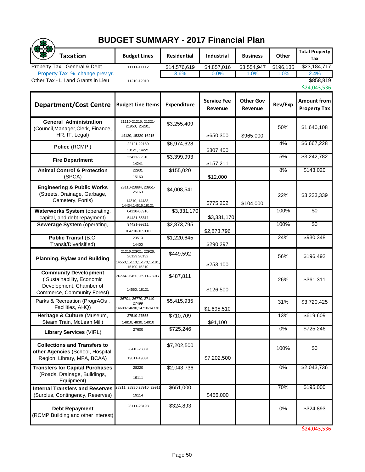| <b>BUDGET SUMMARY - 2017 Financial Plan</b>                                                                         |                                                                               |                    |                               |                             |           |                                           |  |  |
|---------------------------------------------------------------------------------------------------------------------|-------------------------------------------------------------------------------|--------------------|-------------------------------|-----------------------------|-----------|-------------------------------------------|--|--|
| <b>Taxation</b>                                                                                                     | <b>Budget Lines</b>                                                           | <b>Residential</b> | <b>Industrial</b>             | <b>Business</b>             | Other     | <b>Total Property</b><br>Tax              |  |  |
| Property Tax - General & Debt                                                                                       | 11111-11112                                                                   | \$14,576,619       | \$4,857,016                   | \$3,554,947                 | \$196,135 | \$23,184,717                              |  |  |
| Property Tax % change prev yr.<br>Other Tax - L I and Grants in Lieu                                                |                                                                               | 3.6%               | 0.0%                          | 1.0%                        | 1.0%      | 2.4%                                      |  |  |
|                                                                                                                     | 11210-12910                                                                   |                    |                               |                             |           | \$858,819<br>\$24,043,536                 |  |  |
| <b>Department/Cost Centre</b>                                                                                       | <b>Budget Line Items</b>                                                      | <b>Expenditure</b> | <b>Service Fee</b><br>Revenue | <b>Other Gov</b><br>Revenue | Rev/Exp   | <b>Amount from</b><br><b>Property Tax</b> |  |  |
| <b>General Administration</b><br>(Council, Manager, Clerk, Finance,<br>HR, IT, Legal)                               | 21110-21215, 21221-<br>21950, 25281,<br>14120, 15320-16215                    | \$3,255,409        | \$650,300                     | \$965,000                   | 50%       | \$1,640,108                               |  |  |
| Police (RCMP)                                                                                                       | 22121-22180<br>13121, 14221                                                   | \$6,974,628        | \$307,400                     |                             | 4%        | \$6,667,228                               |  |  |
| <b>Fire Department</b>                                                                                              | 22411-22510<br>14241                                                          | \$3,399,993        | \$157,211                     |                             | 5%        | \$3,242,782                               |  |  |
| <b>Animal Control &amp; Protection</b><br>(SPCA)                                                                    | 22931<br>15160                                                                | \$155,020          | \$12,000                      |                             | 8%        | \$143,020                                 |  |  |
| <b>Engineering &amp; Public Works</b><br>(Streets, Drainage, Garbage,<br>Cemetery, Fortis)                          | 23110-23884, 23951-<br>25163<br>14310, 14433,<br>14434,14516,18121            | \$4,008,541        | \$775,202                     | \$104,000                   | 22%       | \$3,233,339                               |  |  |
| <b>Waterworks System (operating,</b><br>capital, and debt repayment)                                                | 64110-68910<br>54431-55611                                                    | \$3,331,170        | \$3,331,170                   |                             | 100%      | \$0                                       |  |  |
| Sewerage System (operating,                                                                                         | 94421-99211<br>104210-109110                                                  | \$2,873,795        | \$2,873,796                   |                             | 100%      | \$0                                       |  |  |
| <b>Public Transit (B.C.</b><br>Transit/Diverisified)                                                                | 23510<br>14400                                                                | \$1,220,645        | \$290,297                     |                             | 24%       | \$930,348                                 |  |  |
| <b>Planning, Bylaw and Building</b>                                                                                 | 21216,22921, 22926,<br>26129,26132<br>14550,15110,15170,15181,<br>15190,15210 | \$449,592          | \$253,100                     |                             | 56%       | \$196,492                                 |  |  |
| <b>Community Development</b><br>(Sustainability, Economic<br>Development, Chamber of<br>Commerce, Community Forest) | 26234-26450,26911-26917<br>14560, 18121                                       | \$487,811          | \$126,500                     |                             | 26%       | \$361,311                                 |  |  |
| Parks & Recreation (ProgrAOs,<br>Facilities, AHQ)                                                                   | 26701, 26770, 27110-<br>27499<br>14600-14690,14710-14770                      | \$5,415,935        | \$1,695,510                   |                             | 31%       | \$3,720,425                               |  |  |
| Heritage & Culture (Museum,<br>Steam Train, McLean Mill)                                                            | 27510-27555<br>14810, 4830, 14910                                             | \$710,709          | \$91,100                      |                             | 13%       | \$619,609                                 |  |  |
| <b>Library Services (VIRL)</b>                                                                                      | 27600                                                                         | \$725,246          |                               |                             | $0\%$     | \$725,246                                 |  |  |
| <b>Collections and Transfers to</b><br>other Agencies (School, Hospital,<br>Region, Library, MFA, BCAA)             | 28410-28831<br>19811-19831                                                    | \$7,202,500        | \$7,202,500                   |                             | 100%      | \$0                                       |  |  |
| <b>Transfers for Capital Purchases</b><br>(Roads, Drainage, Buildings,<br>Equipment)                                | 28220<br>19111                                                                | \$2,043,736        |                               |                             | $0\%$     | \$2,043,736                               |  |  |
| <b>Internal Transfers and Reserves</b><br>(Surplus, Contingency, Reserves)                                          | 28211, 28236, 28910, 2991<br>19114                                            | \$651,000          | \$456,000                     |                             | 70%       | \$195,000                                 |  |  |
| <b>Debt Repayment</b><br>(RCMP Building and other interest)                                                         | 28111-28193                                                                   | \$324,893          |                               |                             | 0%        | \$324,893                                 |  |  |

\$24,043,536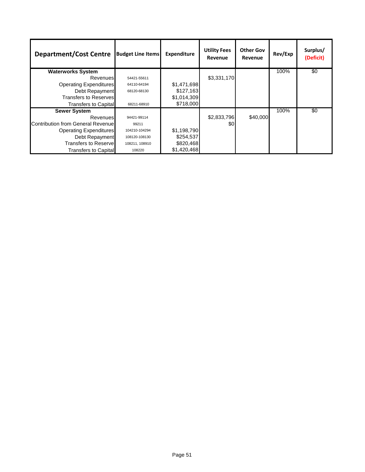| <b>Department/Cost Centre</b>            | <b>Budget Line Items</b> | <b>Expenditure</b> | <b>Utility Fees</b><br>Revenue | <b>Other Gov</b><br>Revenue | Rev/Exp | Surplus/<br>(Deficit) |
|------------------------------------------|--------------------------|--------------------|--------------------------------|-----------------------------|---------|-----------------------|
| <b>Waterworks System</b>                 |                          |                    |                                |                             | 100%    | $\overline{30}$       |
| Revenues                                 | 54421-55611              |                    | \$3,331,170                    |                             |         |                       |
| <b>Operating Expenditures</b>            | 64110-64194              | \$1,471,698        |                                |                             |         |                       |
| Debt Repayment                           | 68120-68130              | \$127,163          |                                |                             |         |                       |
| <b>Transfers to Reserves</b>             |                          | \$1,014,309        |                                |                             |         |                       |
| <b>Transfers to Capital</b>              | 68211-68910              | \$718,000          |                                |                             |         |                       |
| <b>Sewer System</b>                      |                          |                    |                                |                             | 100%    | \$0                   |
| Revenues                                 | 94421-99114              |                    | \$2,833,796                    | \$40,000                    |         |                       |
| <b>Contribution from General Revenue</b> | 99211                    |                    | \$0                            |                             |         |                       |
| <b>Operating Expenditures</b>            | 104210-104294            | \$1,198,790        |                                |                             |         |                       |
| Debt Repayment                           | 108120-108130            | \$254,537          |                                |                             |         |                       |
| Transfers to Reservel                    | 108211, 108910           | \$820,468          |                                |                             |         |                       |
| Transfers to Capital                     | 108220                   | \$1,420,468        |                                |                             |         |                       |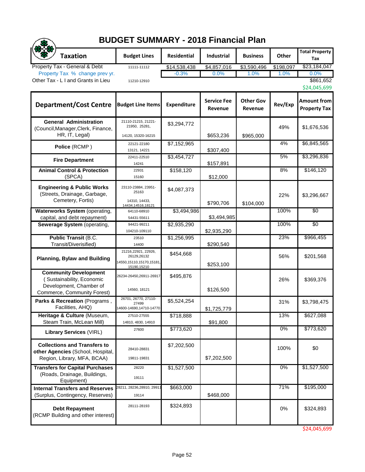|                                                                                                                     | <b>BUDGET SUMMARY - 2018 Financial Plan</b>                                   |                    |                               |                             |           |                                           |  |  |  |
|---------------------------------------------------------------------------------------------------------------------|-------------------------------------------------------------------------------|--------------------|-------------------------------|-----------------------------|-----------|-------------------------------------------|--|--|--|
| <b>Taxation</b>                                                                                                     | <b>Budget Lines</b>                                                           | Residential        | Industrial                    | <b>Business</b>             | Other     | <b>Total Property</b><br>Tax              |  |  |  |
| Property Tax - General & Debt                                                                                       | 11111-11112                                                                   | \$14,538,438       | \$4,857,016                   | \$3,590,496                 | \$198,097 | \$23,184,047                              |  |  |  |
| Property Tax % change prev yr.<br>Other Tax - L I and Grants in Lieu                                                | 11210-12910                                                                   | $-0.3%$            | 0.0%                          | 1.0%                        | 1.0%      | 0.0%<br>\$861,652<br>\$24,045,699         |  |  |  |
| <b>Department/Cost Centre</b>                                                                                       | <b>Budget Line Items</b>                                                      | <b>Expenditure</b> | <b>Service Fee</b><br>Revenue | <b>Other Gov</b><br>Revenue | Rev/Exp   | <b>Amount from</b><br><b>Property Tax</b> |  |  |  |
| <b>General Administration</b><br>(Council, Manager, Clerk, Finance,<br>HR, IT, Legal)                               | 21110-21215, 21221-<br>21950, 25281,<br>14120, 15320-16215                    | \$3,294,772        | \$653,236                     | \$965,000                   | 49%       | \$1,676,536                               |  |  |  |
| Police (RCMP)                                                                                                       | 22121-22180<br>13121, 14221                                                   | \$7,152,965        | \$307,400                     |                             | 4%        | \$6,845,565                               |  |  |  |
| <b>Fire Department</b>                                                                                              | 22411-22510<br>14241                                                          | \$3,454,727        | \$157,891                     |                             | 5%        | \$3,296,836                               |  |  |  |
| <b>Animal Control &amp; Protection</b><br>(SPCA)                                                                    | 22931<br>15160                                                                | \$158,120          | \$12,000                      |                             | 8%        | \$146,120                                 |  |  |  |
| <b>Engineering &amp; Public Works</b><br>(Streets, Drainage, Garbage,<br>Cemetery, Fortis)                          | 23110-23884, 23951-<br>25163<br>14310, 14433,<br>14434,14516,18121            | \$4,087,373        | \$790,706                     | \$104,000                   | 22%       | \$3,296,667                               |  |  |  |
| Waterworks System (operating,<br>capital, and debt repayment)                                                       | 64110-68910<br>54431-55611                                                    | \$3,494,986        | \$3,494,985                   |                             | 100%      | $\overline{50}$                           |  |  |  |
| Sewerage System (operating,                                                                                         | 94421-99211<br>104210-109110                                                  | \$2,935,290        | \$2,935,290                   |                             | 100%      | \$0                                       |  |  |  |
| <b>Public Transit (B.C.</b><br>Transit/Diverisified)                                                                | 23510<br>14400                                                                | \$1,256,995        | \$290,540                     |                             | 23%       | \$966,455                                 |  |  |  |
| <b>Planning, Bylaw and Building</b>                                                                                 | 21216,22921, 22926,<br>26129,26132<br>14550,15110,15170,15181,<br>15190,15210 | \$454,668          | \$253,100                     |                             | 56%       | \$201,568                                 |  |  |  |
| <b>Community Development</b><br>(Sustainability, Economic<br>Development, Chamber of<br>Commerce, Community Forest) | 26234-26450,26911-26917<br>14560, 18121                                       | \$495,876          | \$126,500                     |                             | 26%       | \$369,376                                 |  |  |  |
| Parks & Recreation (Programs,<br>Facilities, AHQ)                                                                   | 26701, 26770, 27110-<br>27499<br>14600-14690,14710-14770                      | \$5,524,254        | \$1,725,779                   |                             | 31%       | \$3,798,475                               |  |  |  |
| Heritage & Culture (Museum,<br>Steam Train, McLean Mill)                                                            | 27510-27555<br>14810, 4830, 14910                                             | \$718,888          | \$91,800                      |                             | 13%       | \$627,088                                 |  |  |  |
| <b>Library Services (VIRL)</b>                                                                                      | 27600                                                                         | \$773,620          |                               |                             | $0\%$     | \$773,620                                 |  |  |  |
| <b>Collections and Transfers to</b><br>other Agencies (School, Hospital,<br>Region, Library, MFA, BCAA)             | 28410-28831<br>19811-19831                                                    | \$7,202,500        | \$7,202,500                   |                             | 100%      | \$0                                       |  |  |  |
| <b>Transfers for Capital Purchases</b><br>(Roads, Drainage, Buildings,<br>Equipment)                                | 28220<br>19111                                                                | \$1,527,500        |                               |                             | 0%        | \$1,527,500                               |  |  |  |
| <b>Internal Transfers and Reserves</b><br>(Surplus, Contingency, Reserves)                                          | 28211, 28236, 28910, 2991 <sup>-</sup><br>19114                               | \$663,000          | \$468,000                     |                             | 71%       | \$195,000                                 |  |  |  |
| <b>Debt Repayment</b><br>(RCMP Building and other interest)                                                         | 28111-28193                                                                   | \$324,893          |                               |                             | 0%        | \$324,893                                 |  |  |  |

\$24,045,699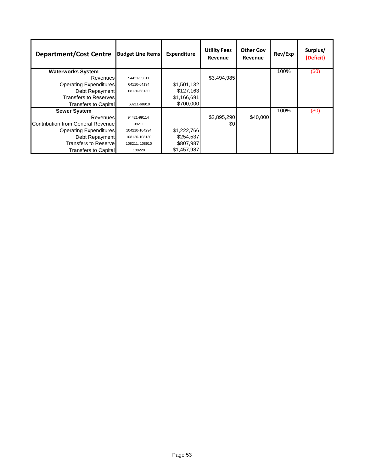| <b>Department/Cost Centre</b>            | <b>Budget Line Items</b> | <b>Expenditure</b> | <b>Utility Fees</b><br>Revenue | <b>Other Gov</b><br>Revenue | Rev/Exp | Surplus/<br>(Deficit) |
|------------------------------------------|--------------------------|--------------------|--------------------------------|-----------------------------|---------|-----------------------|
| <b>Waterworks System</b>                 |                          |                    |                                |                             | 100%    | (50)                  |
| Revenues                                 | 54421-55611              |                    | \$3,494,985                    |                             |         |                       |
| <b>Operating Expenditures</b>            | 64110-64194              | \$1,501,132        |                                |                             |         |                       |
| Debt Repayment                           | 68120-68130              | \$127,163          |                                |                             |         |                       |
| <b>Transfers to Reserves</b>             |                          | \$1,166,691        |                                |                             |         |                       |
| <b>Transfers to Capital</b>              | 68211-68910              | \$700,000          |                                |                             |         |                       |
| <b>Sewer System</b>                      |                          |                    |                                |                             | 100%    | (50)                  |
| <b>Revenues</b>                          | 94421-99114              |                    | \$2,895,290                    | \$40,000                    |         |                       |
| <b>Contribution from General Revenue</b> | 99211                    |                    | \$0                            |                             |         |                       |
| <b>Operating Expenditures</b>            | 104210-104294            | \$1,222,766        |                                |                             |         |                       |
| Debt Repayment                           | 108120-108130            | \$254,537          |                                |                             |         |                       |
| <b>Transfers to Reservel</b>             | 108211, 108910           | \$807,987          |                                |                             |         |                       |
| <b>Transfers to Capital</b>              | 108220                   | \$1,457,987        |                                |                             |         |                       |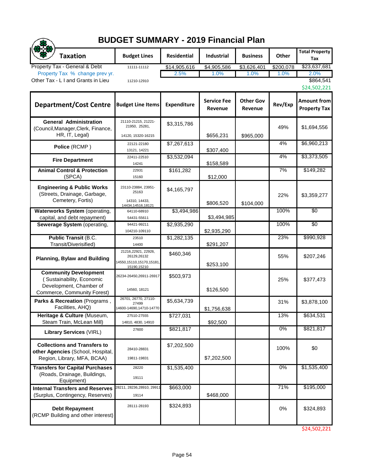| <b>BUDGET SUMMARY - 2019 Financial Plan</b>                                                                         |                                                                               |                    |                               |                             |           |                                           |  |  |
|---------------------------------------------------------------------------------------------------------------------|-------------------------------------------------------------------------------|--------------------|-------------------------------|-----------------------------|-----------|-------------------------------------------|--|--|
| <b>Taxation</b>                                                                                                     | <b>Budget Lines</b>                                                           | <b>Residential</b> | <b>Industrial</b>             | <b>Business</b>             | Other     | <b>Total Property</b><br>Tax              |  |  |
| Property Tax - General & Debt                                                                                       | 11111-11112                                                                   | \$14,905,616       | \$4,905,586                   | \$3,626,401                 | \$200,078 | \$23,637,681                              |  |  |
| Property Tax % change prev yr.                                                                                      |                                                                               | 2.5%               | 1.0%                          | 1.0%                        | 1.0%      | 2.0%                                      |  |  |
| Other Tax - L I and Grants in Lieu                                                                                  | 11210-12910                                                                   |                    |                               |                             |           | \$864,541<br>\$24,502,221                 |  |  |
| <b>Department/Cost Centre</b>                                                                                       | <b>Budget Line Items</b>                                                      | <b>Expenditure</b> | <b>Service Fee</b><br>Revenue | <b>Other Gov</b><br>Revenue | Rev/Exp   | <b>Amount from</b><br><b>Property Tax</b> |  |  |
| <b>General Administration</b><br>(Council, Manager, Clerk, Finance,<br>HR, IT, Legal)                               | 21110-21215, 21221-<br>21950, 25281,<br>14120, 15320-16215                    | \$3,315,786        | \$656,231                     | \$965,000                   | 49%       | \$1,694,556                               |  |  |
| Police (RCMP)                                                                                                       | 22121-22180<br>13121, 14221                                                   | \$7,267,613        | \$307,400                     |                             | 4%        | \$6,960,213                               |  |  |
| <b>Fire Department</b>                                                                                              | 22411-22510<br>14241                                                          | \$3,532,094        | \$158,589                     |                             | 4%        | \$3,373,505                               |  |  |
| <b>Animal Control &amp; Protection</b><br>(SPCA)                                                                    | 22931<br>15160                                                                | \$161,282          | \$12,000                      |                             | 7%        | \$149,282                                 |  |  |
| <b>Engineering &amp; Public Works</b><br>(Streets, Drainage, Garbage,<br>Cemetery, Fortis)                          | 23110-23884, 23951-<br>25163<br>14310, 14433,<br>14434,14516,18121            | \$4,165,797        | \$806,520                     | \$104,000                   | 22%       | \$3,359,277                               |  |  |
| <b>Waterworks System (operating,</b><br>capital, and debt repayment)                                                | 64110-68910<br>54431-55611                                                    | \$3,494,986        | \$3,494,985                   |                             | 100%      | $\overline{50}$                           |  |  |
| Sewerage System (operating,                                                                                         | 94421-99211<br>104210-109110                                                  | \$2,935,290        | \$2,935,290                   |                             | 100%      | \$0                                       |  |  |
| <b>Public Transit (B.C.</b><br>Transit/Diverisified)                                                                | 23510<br>14400                                                                | \$1,282,135        | \$291,207                     |                             | 23%       | \$990,928                                 |  |  |
| <b>Planning, Bylaw and Building</b>                                                                                 | 21216,22921, 22926,<br>26129,26132<br>14550,15110,15170,15181,<br>15190,15210 | \$460,346          | \$253,100                     |                             | 55%       | \$207,246                                 |  |  |
| <b>Community Development</b><br>(Sustainability, Economic<br>Development, Chamber of<br>Commerce, Community Forest) | 26234-26450,26911-26917<br>14560, 18121                                       | \$503,973          | \$126,500                     |                             | 25%       | \$377,473                                 |  |  |
| Parks & Recreation (Programs,<br>Facilities, AHQ)                                                                   | 26701, 26770, 27110-<br>27499<br>14600-14690,14710-14770                      | \$5,634,739        | \$1,756,638                   |                             | 31%       | \$3,878,100                               |  |  |
| Heritage & Culture (Museum,<br>Steam Train, McLean Mill)                                                            | 27510-27555<br>14810, 4830, 14910                                             | \$727,031          | \$92,500                      |                             | 13%       | \$634,531                                 |  |  |
| <b>Library Services (VIRL)</b>                                                                                      | 27600                                                                         | \$821, 817         |                               |                             | $0\%$     | \$821,817                                 |  |  |
| <b>Collections and Transfers to</b><br>other Agencies (School, Hospital,<br>Region, Library, MFA, BCAA)             | 28410-28831<br>19811-19831                                                    | \$7,202,500        | \$7,202,500                   |                             | 100%      | \$0                                       |  |  |
| <b>Transfers for Capital Purchases</b><br>(Roads, Drainage, Buildings,<br>Equipment)                                | 28220<br>19111                                                                | \$1,535,400        |                               |                             | $0\%$     | \$1,535,400                               |  |  |
| <b>Internal Transfers and Reserves</b><br>(Surplus, Contingency, Reserves)                                          | 28211, 28236,28910, 29911<br>19114                                            | \$663,000          | \$468,000                     |                             | 71%       | \$195,000                                 |  |  |
| <b>Debt Repayment</b><br>(RCMP Building and other interest)                                                         | 28111-28193                                                                   | \$324,893          |                               |                             | 0%        | \$324,893                                 |  |  |

\$24,502,221